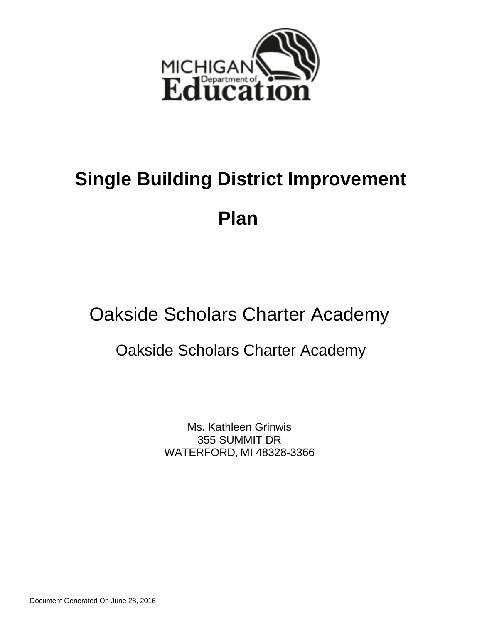

## **Plan**

## Oakside Scholars Charter Academy

## Oakside Scholars Charter Academy

Ms. Kathleen Grinwis 355 SUMMIT DR WATERFORD, MI 48328-3366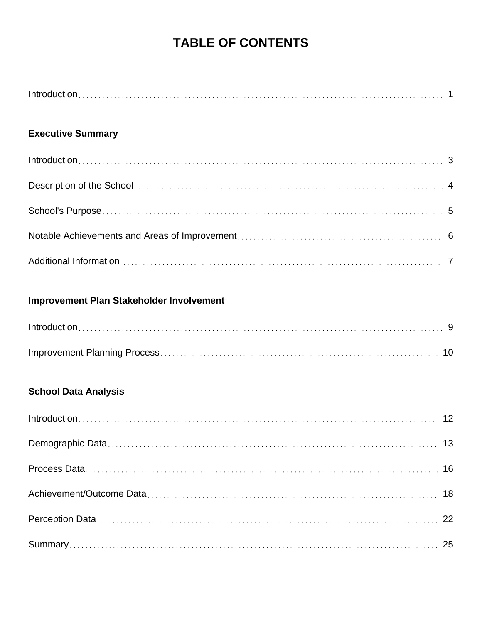## **TABLE OF CONTENTS**

## **Executive Summary**

## **Improvement Plan Stakeholder Involvement**

## **School Data Analysis**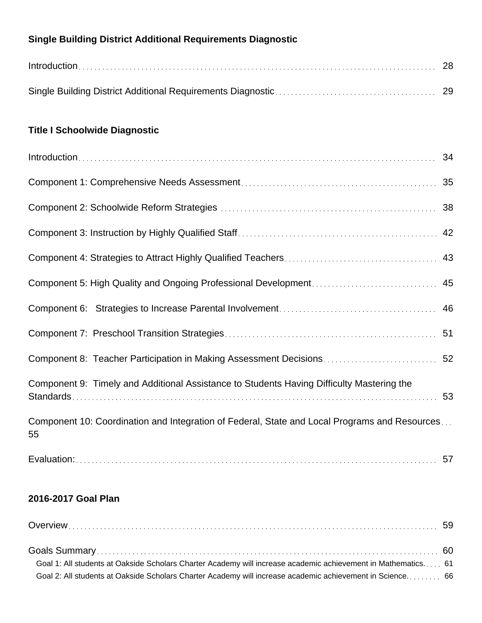## **Single Building District Additional Requirements Diagnostic**

| $Introduction \dots 28$ |  |
|-------------------------|--|
|                         |  |

## **Title I Schoolwide Diagnostic**

| Component 8: Teacher Participation in Making Assessment Decisions 52                                |    |
|-----------------------------------------------------------------------------------------------------|----|
| Component 9: Timely and Additional Assistance to Students Having Difficulty Mastering the           | 53 |
| Component 10: Coordination and Integration of Federal, State and Local Programs and Resources<br>55 |    |
|                                                                                                     |    |

## **2016-2017 Goal Plan**

| Goal 1: All students at Oakside Scholars Charter Academy will increase academic achievement in Mathematics 61 |  |
|---------------------------------------------------------------------------------------------------------------|--|
| Goal 2: All students at Oakside Scholars Charter Academy will increase academic achievement in Science 66     |  |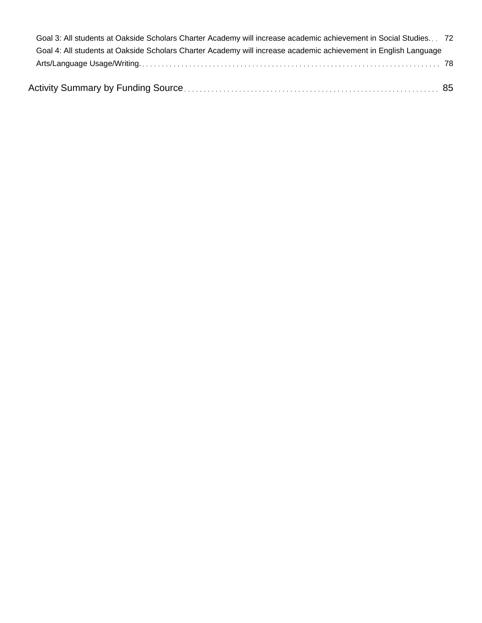| Goal 3: All students at Oakside Scholars Charter Academy will increase academic achievement in Social Studies 72 |  |
|------------------------------------------------------------------------------------------------------------------|--|
| Goal 4: All students at Oakside Scholars Charter Academy will increase academic achievement in English Language  |  |
|                                                                                                                  |  |
|                                                                                                                  |  |
|                                                                                                                  |  |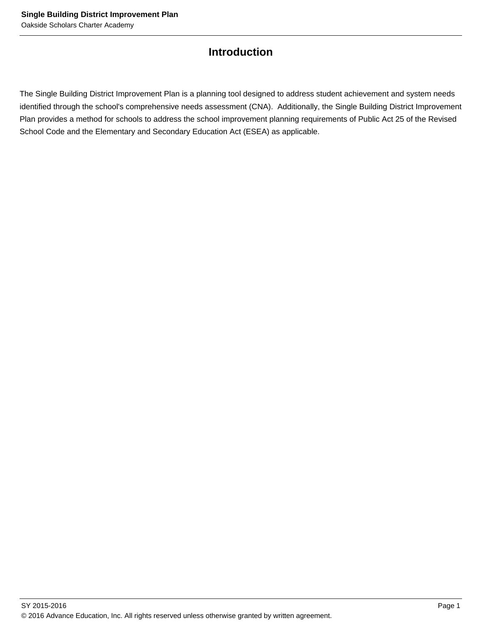## **Introduction**

The Single Building District Improvement Plan is a planning tool designed to address student achievement and system needs identified through the school's comprehensive needs assessment (CNA). Additionally, the Single Building District Improvement Plan provides a method for schools to address the school improvement planning requirements of Public Act 25 of the Revised School Code and the Elementary and Secondary Education Act (ESEA) as applicable.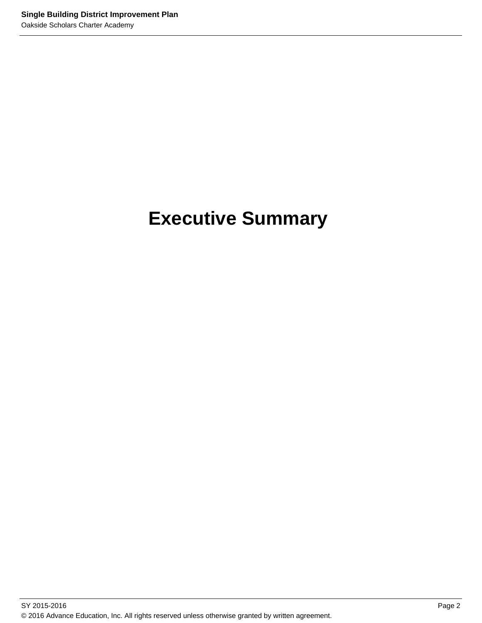## **Executive Summary**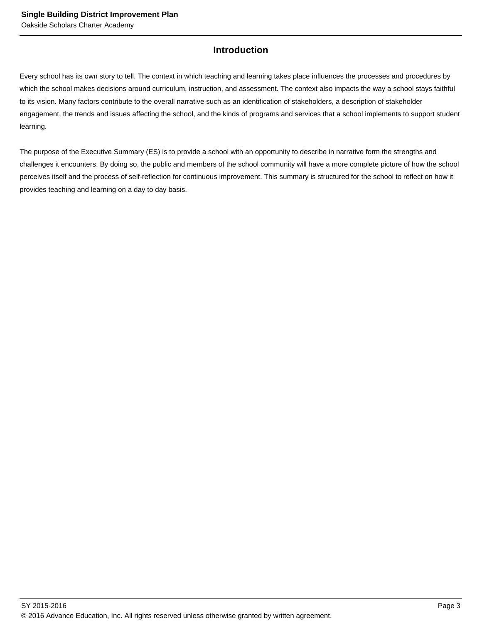## **Introduction**

Every school has its own story to tell. The context in which teaching and learning takes place influences the processes and procedures by which the school makes decisions around curriculum, instruction, and assessment. The context also impacts the way a school stays faithful to its vision. Many factors contribute to the overall narrative such as an identification of stakeholders, a description of stakeholder engagement, the trends and issues affecting the school, and the kinds of programs and services that a school implements to support student learning.

The purpose of the Executive Summary (ES) is to provide a school with an opportunity to describe in narrative form the strengths and challenges it encounters. By doing so, the public and members of the school community will have a more complete picture of how the school perceives itself and the process of self-reflection for continuous improvement. This summary is structured for the school to reflect on how it provides teaching and learning on a day to day basis.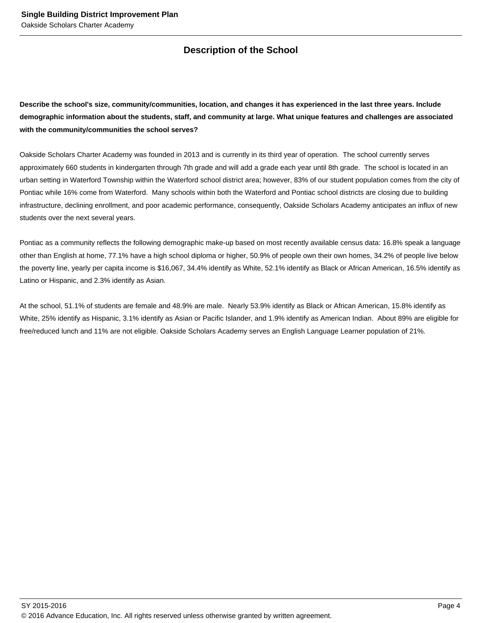## **Description of the School**

**Describe the school's size, community/communities, location, and changes it has experienced in the last three years. Include demographic information about the students, staff, and community at large. What unique features and challenges are associated with the community/communities the school serves?**

Oakside Scholars Charter Academy was founded in 2013 and is currently in its third year of operation. The school currently serves approximately 660 students in kindergarten through 7th grade and will add a grade each year until 8th grade. The school is located in an urban setting in Waterford Township within the Waterford school district area; however, 83% of our student population comes from the city of Pontiac while 16% come from Waterford. Many schools within both the Waterford and Pontiac school districts are closing due to building infrastructure, declining enrollment, and poor academic performance, consequently, Oakside Scholars Academy anticipates an influx of new students over the next several years.

Pontiac as a community reflects the following demographic make-up based on most recently available census data: 16.8% speak a language other than English at home, 77.1% have a high school diploma or higher, 50.9% of people own their own homes, 34.2% of people live below the poverty line, yearly per capita income is \$16,067, 34.4% identify as White, 52.1% identify as Black or African American, 16.5% identify as Latino or Hispanic, and 2.3% identify as Asian.

At the school, 51.1% of students are female and 48.9% are male. Nearly 53.9% identify as Black or African American, 15.8% identify as White, 25% identify as Hispanic, 3.1% identify as Asian or Pacific Islander, and 1.9% identify as American Indian. About 89% are eligible for free/reduced lunch and 11% are not eligible. Oakside Scholars Academy serves an English Language Learner population of 21%.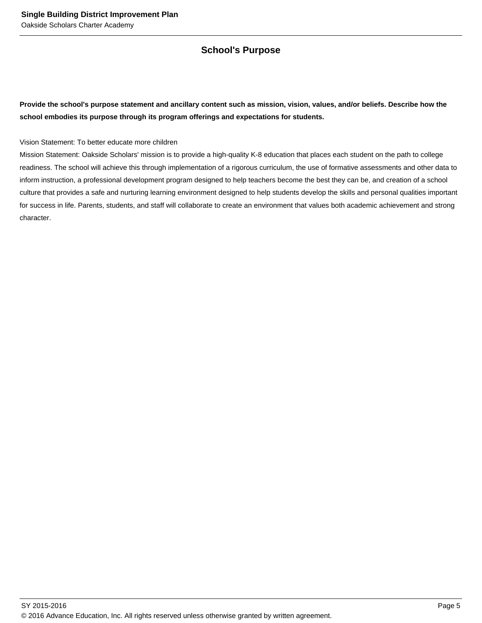## **School's Purpose**

**Provide the school's purpose statement and ancillary content such as mission, vision, values, and/or beliefs. Describe how the school embodies its purpose through its program offerings and expectations for students.**

Vision Statement: To better educate more children

Mission Statement: Oakside Scholars' mission is to provide a high-quality K-8 education that places each student on the path to college readiness. The school will achieve this through implementation of a rigorous curriculum, the use of formative assessments and other data to inform instruction, a professional development program designed to help teachers become the best they can be, and creation of a school culture that provides a safe and nurturing learning environment designed to help students develop the skills and personal qualities important for success in life. Parents, students, and staff will collaborate to create an environment that values both academic achievement and strong character.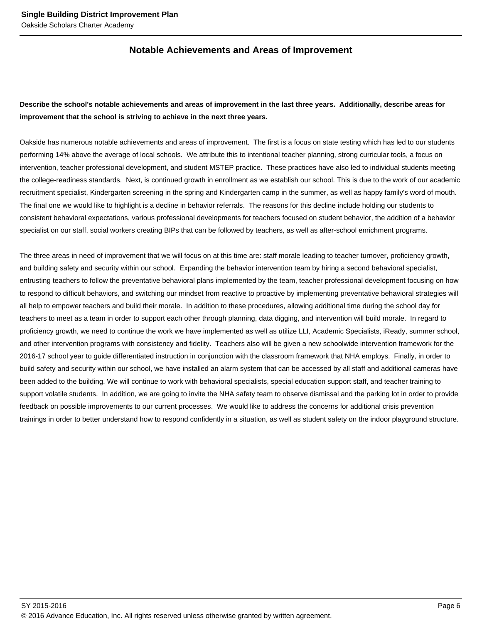## **Notable Achievements and Areas of Improvement**

## **Describe the school's notable achievements and areas of improvement in the last three years. Additionally, describe areas for improvement that the school is striving to achieve in the next three years.**

Oakside has numerous notable achievements and areas of improvement. The first is a focus on state testing which has led to our students performing 14% above the average of local schools. We attribute this to intentional teacher planning, strong curricular tools, a focus on intervention, teacher professional development, and student MSTEP practice. These practices have also led to individual students meeting the college-readiness standards. Next, is continued growth in enrollment as we establish our school. This is due to the work of our academic recruitment specialist, Kindergarten screening in the spring and Kindergarten camp in the summer, as well as happy family's word of mouth. The final one we would like to highlight is a decline in behavior referrals. The reasons for this decline include holding our students to consistent behavioral expectations, various professional developments for teachers focused on student behavior, the addition of a behavior specialist on our staff, social workers creating BIPs that can be followed by teachers, as well as after-school enrichment programs.

The three areas in need of improvement that we will focus on at this time are: staff morale leading to teacher turnover, proficiency growth, and building safety and security within our school. Expanding the behavior intervention team by hiring a second behavioral specialist, entrusting teachers to follow the preventative behavioral plans implemented by the team, teacher professional development focusing on how to respond to difficult behaviors, and switching our mindset from reactive to proactive by implementing preventative behavioral strategies will all help to empower teachers and build their morale. In addition to these procedures, allowing additional time during the school day for teachers to meet as a team in order to support each other through planning, data digging, and intervention will build morale. In regard to proficiency growth, we need to continue the work we have implemented as well as utilize LLI, Academic Specialists, iReady, summer school, and other intervention programs with consistency and fidelity. Teachers also will be given a new schoolwide intervention framework for the 2016-17 school year to guide differentiated instruction in conjunction with the classroom framework that NHA employs. Finally, in order to build safety and security within our school, we have installed an alarm system that can be accessed by all staff and additional cameras have been added to the building. We will continue to work with behavioral specialists, special education support staff, and teacher training to support volatile students. In addition, we are going to invite the NHA safety team to observe dismissal and the parking lot in order to provide feedback on possible improvements to our current processes. We would like to address the concerns for additional crisis prevention trainings in order to better understand how to respond confidently in a situation, as well as student safety on the indoor playground structure.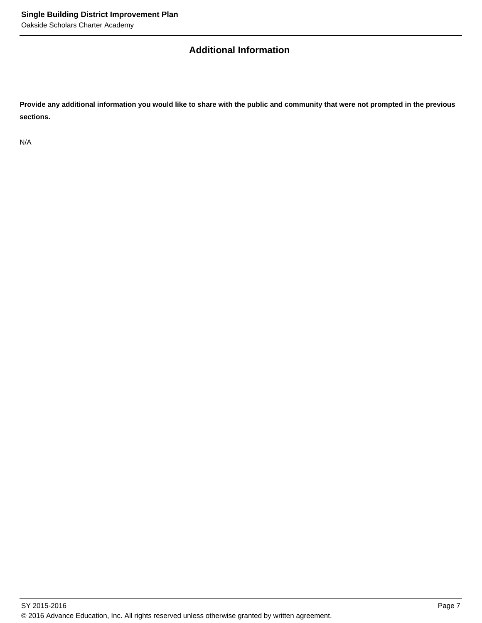## **Additional Information**

**Provide any additional information you would like to share with the public and community that were not prompted in the previous sections.**

N/A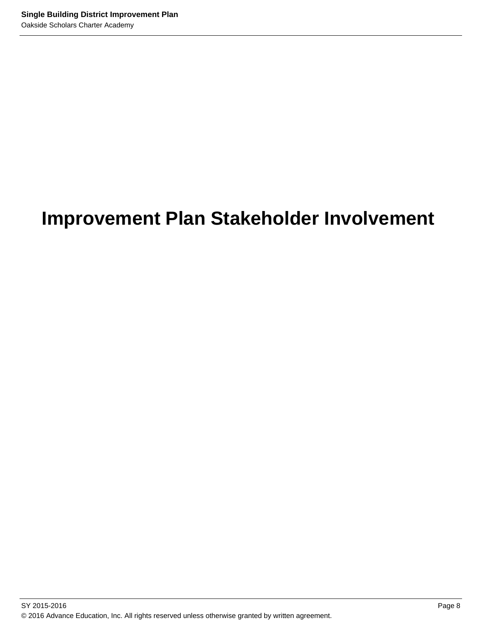## **Improvement Plan Stakeholder Involvement**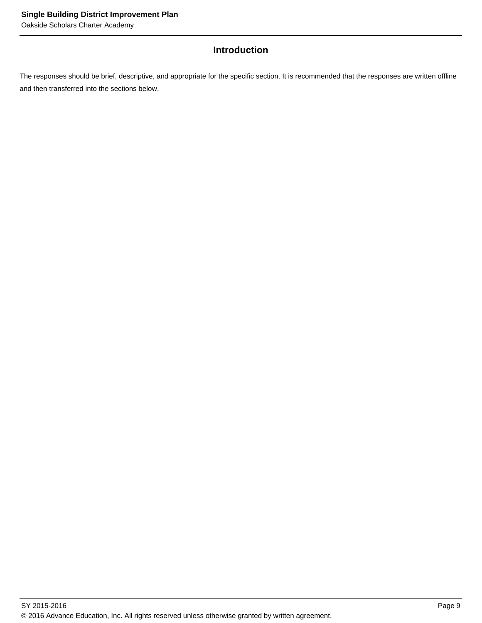## **Introduction**

The responses should be brief, descriptive, and appropriate for the specific section. It is recommended that the responses are written offline and then transferred into the sections below.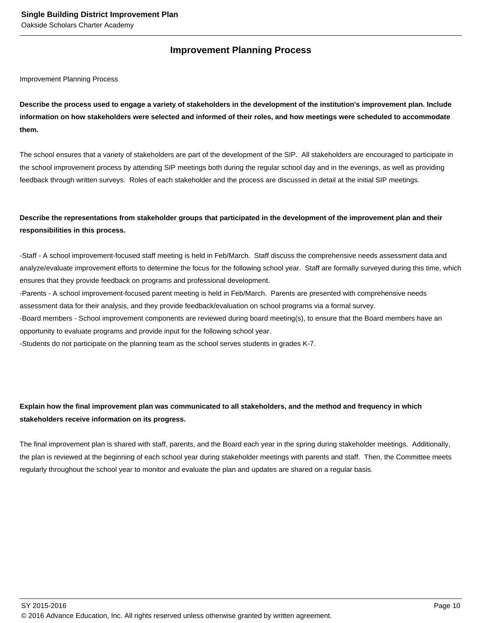## **Improvement Planning Process**

Improvement Planning Process

**Describe the process used to engage a variety of stakeholders in the development of the institution's improvement plan. Include information on how stakeholders were selected and informed of their roles, and how meetings were scheduled to accommodate them.** 

The school ensures that a variety of stakeholders are part of the development of the SIP. All stakeholders are encouraged to participate in the school improvement process by attending SIP meetings both during the regular school day and in the evenings, as well as providing feedback through written surveys. Roles of each stakeholder and the process are discussed in detail at the initial SIP meetings.

## **Describe the representations from stakeholder groups that participated in the development of the improvement plan and their responsibilities in this process.**

- Staff - A school improvement-focused staff meeting is held in Feb/March. Staff discuss the comprehensive needs assessment data and analyze/evaluate improvement efforts to determine the focus for the following school year. Staff are formally surveyed during this time, which ensures that they provide feedback on programs and professional development.

- Parents - A school improvement-focused parent meeting is held in Feb/March. Parents are presented with comprehensive needs assessment data for their analysis, and they provide feedback/evaluation on school programs via a formal survey.

- Board members - School improvement components are reviewed during board meeting(s), to ensure that the Board members have an opportunity to evaluate programs and provide input for the following school year.

- Students do not participate on the planning team as the school serves students in grades K-7.

## **Explain how the final improvement plan was communicated to all stakeholders, and the method and frequency in which stakeholders receive information on its progress.**

The final improvement plan is shared with staff, parents, and the Board each year in the spring during stakeholder meetings. Additionally, the plan is reviewed at the beginning of each school year during stakeholder meetings with parents and staff. Then, the Committee meets regularly throughout the school year to monitor and evaluate the plan and updates are shared on a regular basis.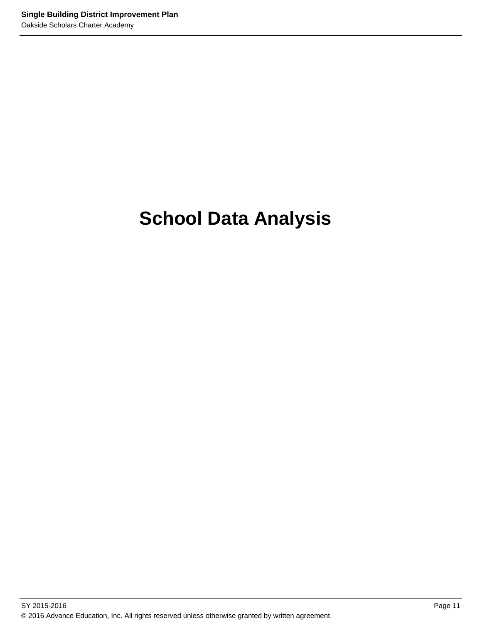## **School Data Analysis**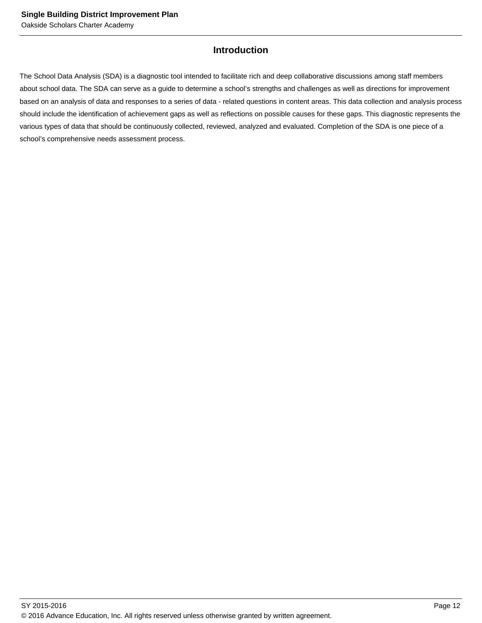## **Introduction**

The School Data Analysis (SDA) is a diagnostic tool intended to facilitate rich and deep collaborative discussions among staff members about school data. The SDA can serve as a guide to determine a school's strengths and challenges as well as directions for improvement based on an analysis of data and responses to a series of data - related questions in content areas. This data collection and analysis process should include the identification of achievement gaps as well as reflections on possible causes for these gaps. This diagnostic represents the various types of data that should be continuously collected, reviewed, analyzed and evaluated. Completion of the SDA is one piece of a school's comprehensive needs assessment process.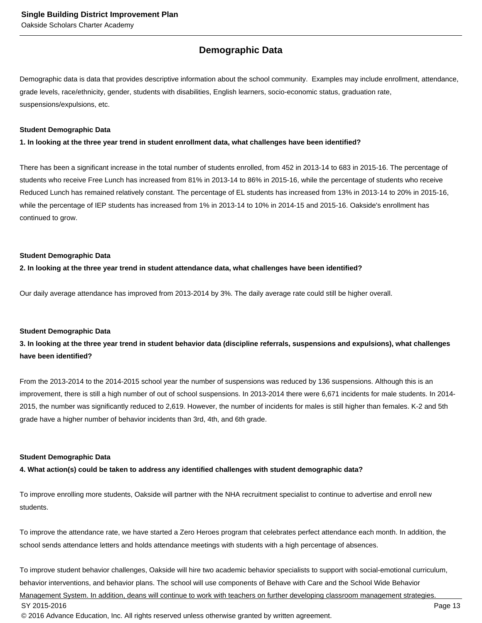## **Demographic Data**

Demographic data is data that provides descriptive information about the school community. Examples may include enrollment, attendance, grade levels, race/ethnicity, gender, students with disabilities, English learners, socio-economic status, graduation rate, suspensions/expulsions, etc.

#### **Student Demographic Data**

**1. In looking at the three year trend in student enrollment data, what challenges have been identified?**

There has been a significant increase in the total number of students enrolled, from 452 in 2013-14 to 683 in 2015-16. The percentage of students who receive Free Lunch has increased from 81% in 2013-14 to 86% in 2015-16, while the percentage of students who receive Reduced Lunch has remained relatively constant. The percentage of EL students has increased from 13% in 2013-14 to 20% in 2015-16, while the percentage of IEP students has increased from 1% in 2013-14 to 10% in 2014-15 and 2015-16. Oakside's enrollment has continued to grow.

#### **Student Demographic Data**

#### **2. In looking at the three year trend in student attendance data, what challenges have been identified?**

Our daily average attendance has improved from 2013-2014 by 3%. The daily average rate could still be higher overall.

#### **Student Demographic Data**

## **3. In looking at the three year trend in student behavior data (discipline referrals, suspensions and expulsions), what challenges have been identified?**

From the 2013-2014 to the 2014-2015 school year the number of suspensions was reduced by 136 suspensions. Although this is an improvement, there is still a high number of out of school suspensions. In 2013-2014 there were 6,671 incidents for male students. In 2014- 2015, the number was significantly reduced to 2,619. However, the number of incidents for males is still higher than females. K-2 and 5th grade have a higher number of behavior incidents than 3rd, 4th, and 6th grade.

#### **Student Demographic Data**

#### **4. What action(s) could be taken to address any identified challenges with student demographic data?**

To improve enrolling more students, Oakside will partner with the NHA recruitment specialist to continue to advertise and enroll new students.

To improve the attendance rate, we have started a Zero Heroes program that celebrates perfect attendance each month. In addition, the school sends attendance letters and holds attendance meetings with students with a high percentage of absences.

To improve student behavior challenges, Oakside will hire two academic behavior specialists to support with social-emotional curriculum, behavior interventions, and behavior plans. The school will use components of Behave with Care and the School Wide Behavior

Management System. In addition, deans will continue to work with teachers on further developing classroom management strategies. SY 2015-2016 Page 13

© 2016 Advance Education, Inc. All rights reserved unless otherwise granted by written agreement.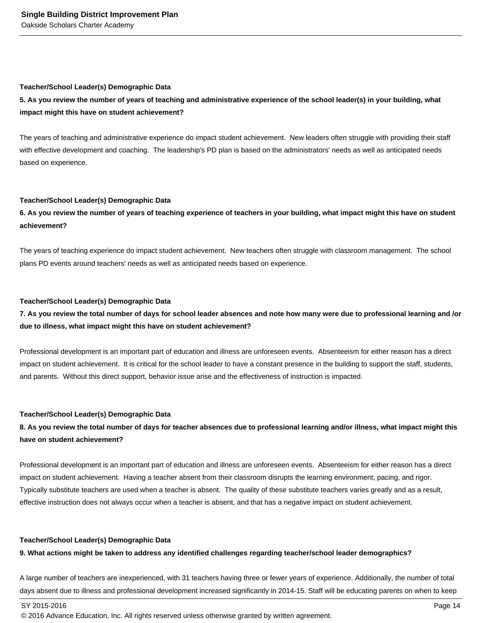#### **Teacher/School Leader(s) Demographic Data**

## **5. As you review the number of years of teaching and administrative experience of the school leader(s) in your building, what impact might this have on student achievement?**

The years of teaching and administrative experience do impact student achievement. New leaders often struggle with providing their staff with effective development and coaching. The leadership's PD plan is based on the administrators' needs as well as anticipated needs based on experience.

#### **Teacher/School Leader(s) Demographic Data**

## **6. As you review the number of years of teaching experience of teachers in your building, what impact might this have on student achievement?**

The years of teaching experience do impact student achievement. New teachers often struggle with classroom management. The school plans PD events around teachers' needs as well as anticipated needs based on experience.

#### **Teacher/School Leader(s) Demographic Data**

## **7. As you review the total number of days for school leader absences and note how many were due to professional learning and /or due to illness, what impact might this have on student achievement?**

Professional development is an important part of education and illness are unforeseen events. Absenteeism for either reason has a direct impact on student achievement. It is critical for the school leader to have a constant presence in the building to support the staff, students, and parents. Without this direct support, behavior issue arise and the effectiveness of instruction is impacted.

#### **Teacher/School Leader(s) Demographic Data**

## **8. As you review the total number of days for teacher absences due to professional learning and/or illness, what impact might this have on student achievement?**

Professional development is an important part of education and illness are unforeseen events. Absenteeism for either reason has a direct impact on student achievement. Having a teacher absent from their classroom disrupts the learning environment, pacing, and rigor. Typically substitute teachers are used when a teacher is absent. The quality of these substitute teachers varies greatly and as a result, effective instruction does not always occur when a teacher is absent, and that has a negative impact on student achievement.

#### **Teacher/School Leader(s) Demographic Data**

#### **9. What actions might be taken to address any identified challenges regarding teacher/school leader demographics?**

A large number of teachers are inexperienced, with 31 teachers having three or fewer years of experience. Additionally, the number of total days absent due to illness and professional development increased significantly in 2014-15. Staff will be educating parents on when to keep

© 2016 Advance Education, Inc. All rights reserved unless otherwise granted by written agreement.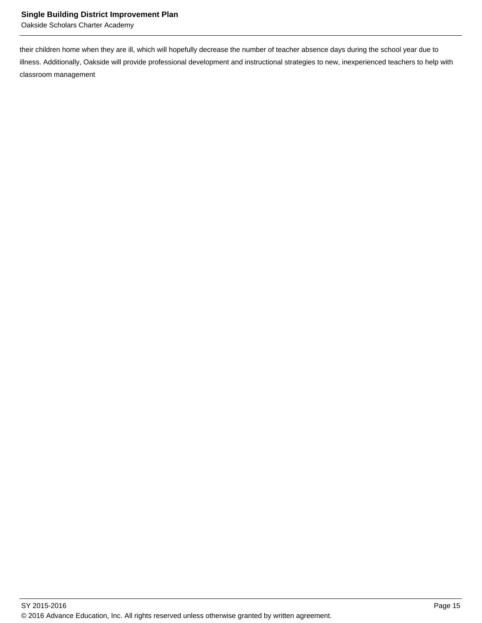Oakside Scholars Charter Academy

their children home when they are ill, which will hopefully decrease the number of teacher absence days during the school year due to illness. Additionally, Oakside will provide professional development and instructional strategies to new, inexperienced teachers to help with classroom management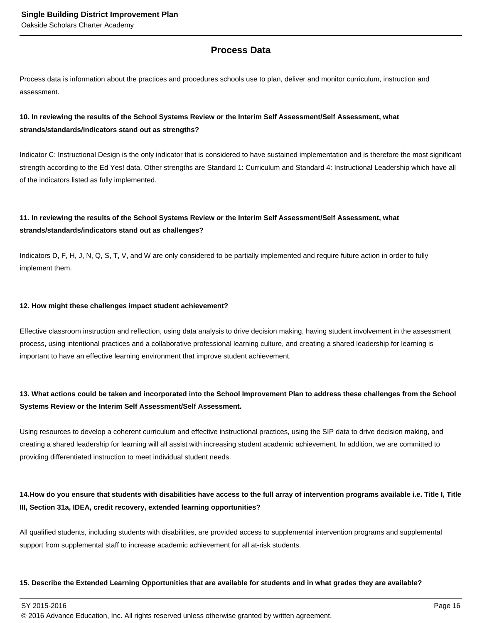## **Process Data**

Process data is information about the practices and procedures schools use to plan, deliver and monitor curriculum, instruction and assessment.

## **10. In reviewing the results of the School Systems Review or the Interim Self Assessment/Self Assessment, what strands/standards/indicators stand out as strengths?**

Indicator C: Instructional Design is the only indicator that is considered to have sustained implementation and is therefore the most significant strength according to the Ed Yes! data. Other strengths are Standard 1: Curriculum and Standard 4: Instructional Leadership which have all of the indicators listed as fully implemented.

## **11. In reviewing the results of the School Systems Review or the Interim Self Assessment/Self Assessment, what strands/standards/indicators stand out as challenges?**

Indicators D, F, H, J, N, Q, S, T, V, and W are only considered to be partially implemented and require future action in order to fully implement them.

#### **12. How might these challenges impact student achievement?**

Effective classroom instruction and reflection, using data analysis to drive decision making, having student involvement in the assessment process, using intentional practices and a collaborative professional learning culture, and creating a shared leadership for learning is important to have an effective learning environment that improve student achievement.

## **13. What actions could be taken and incorporated into the School Improvement Plan to address these challenges from the School Systems Review or the Interim Self Assessment/Self Assessment.**

Using resources to develop a coherent curriculum and effective instructional practices, using the SIP data to drive decision making, and creating a shared leadership for learning will all assist with increasing student academic achievement. In addition, we are committed to providing differentiated instruction to meet individual student needs.

## 14. How do you ensure that students with disabilities have access to the full array of intervention programs available i.e. Title I, Title **III, Section 31a, IDEA, credit recovery, extended learning opportunities?**

All qualified students, including students with disabilities, are provided access to supplemental intervention programs and supplemental support from supplemental staff to increase academic achievement for all at-risk students.

#### **15. Describe the Extended Learning Opportunities that are available for students and in what grades they are available?**

 $\,$  SY 2015-2016  $\,$  Page 16  $\,$  Page 16  $\,$  Page 16  $\,$  Page 16  $\,$  Page 16  $\,$  Page 16  $\,$  Page 16  $\,$  Page 16  $\,$  Page 16  $\,$  Page 16  $\,$  Page 16  $\,$  Page 16  $\,$  Page 16  $\,$  Page 16  $\,$  Page 16  $\,$  Pag

© 2016 Advance Education, Inc. All rights reserved unless otherwise granted by written agreement.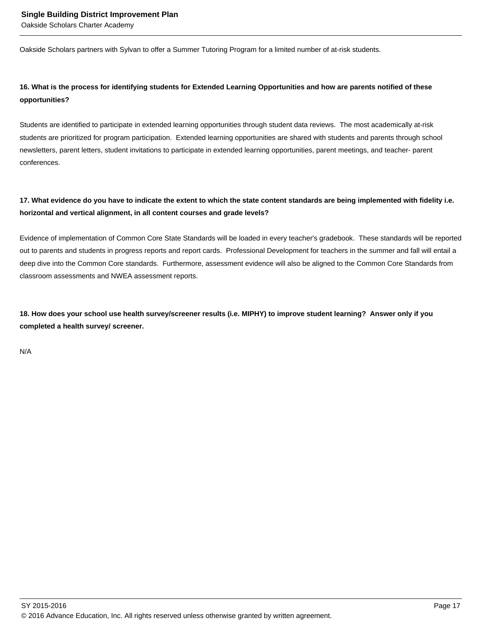Oakside Scholars partners with Sylvan to offer a Summer Tutoring Program for a limited number of at-risk students.

## **16. What is the process for identifying students for Extended Learning Opportunities and how are parents notified of these opportunities?**

Students are identified to participate in extended learning opportunities through student data reviews. The most academically at-risk students are prioritized for program participation. Extended learning opportunities are shared with students and parents through school newsletters, parent letters, student invitations to participate in extended learning opportunities, parent meetings, and teacher- parent conferences.

## **17. What evidence do you have to indicate the extent to which the state content standards are being implemented with fidelity i.e. horizontal and vertical alignment, in all content courses and grade levels?**

Evidence of implementation of Common Core State Standards will be loaded in every teacher's gradebook. These standards will be reported out to parents and students in progress reports and report cards. Professional Development for teachers in the summer and fall will entail a deep dive into the Common Core standards. Furthermore, assessment evidence will also be aligned to the Common Core Standards from classroom assessments and NWEA assessment reports.

**18. How does your school use health survey/screener results (i.e. MIPHY) to improve student learning? Answer only if you completed a health survey/ screener.**

N/A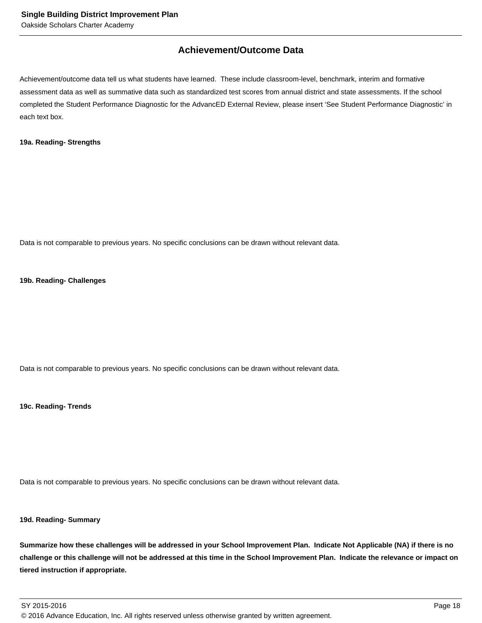## **Achievement/Outcome Data**

Achievement/outcome data tell us what students have learned. These include classroom-level, benchmark, interim and formative assessment data as well as summative data such as standardized test scores from annual district and state assessments. If the school completed the Student Performance Diagnostic for the AdvancED External Review, please insert 'See Student Performance Diagnostic' in each text box.

#### **19a. Reading- Strengths**

Data is not comparable to previous years. No specific conclusions can be drawn without relevant data.

#### **19b. Reading- Challenges**

Data is not comparable to previous years. No specific conclusions can be drawn without relevant data.

**19c. Reading- Trends**

Data is not comparable to previous years. No specific conclusions can be drawn without relevant data.

#### **19d. Reading- Summary**

**Summarize how these challenges will be addressed in your School Improvement Plan. Indicate Not Applicable (NA) if there is no challenge or this challenge will not be addressed at this time in the School Improvement Plan. Indicate the relevance or impact on tiered instruction if appropriate.**

SY 2015-2016 Page 18 © 2016 Advance Education, Inc. All rights reserved unless otherwise granted by written agreement.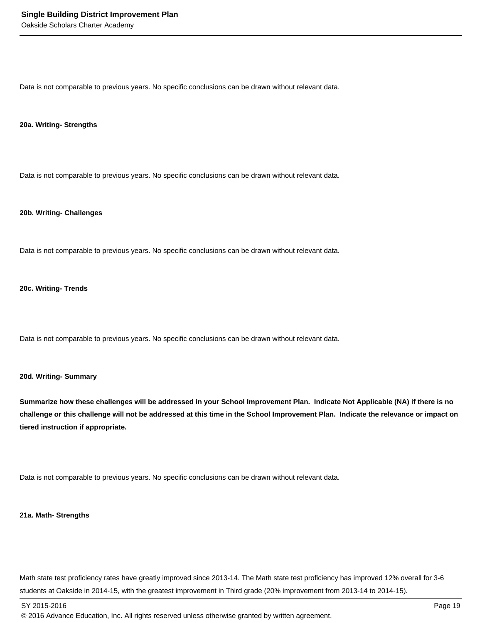Data is not comparable to previous years. No specific conclusions can be drawn without relevant data.

#### **20a. Writing- Strengths**

Data is not comparable to previous years. No specific conclusions can be drawn without relevant data.

#### **20b. Writing- Challenges**

Data is not comparable to previous years. No specific conclusions can be drawn without relevant data.

#### **20c. Writing- Trends**

Data is not comparable to previous years. No specific conclusions can be drawn without relevant data.

#### **20d. Writing- Summary**

**Summarize how these challenges will be addressed in your School Improvement Plan. Indicate Not Applicable (NA) if there is no challenge or this challenge will not be addressed at this time in the School Improvement Plan. Indicate the relevance or impact on tiered instruction if appropriate.**

Data is not comparable to previous years. No specific conclusions can be drawn without relevant data.

#### **21a. Math- Strengths**

Math state test proficiency rates have greatly improved since 2013-14. The Math state test proficiency has improved 12% overall for 3-6 students at Oakside in 2014-15, with the greatest improvement in Third grade (20% improvement from 2013-14 to 2014-15).

<sup>© 2016</sup> Advance Education, Inc. All rights reserved unless otherwise granted by written agreement.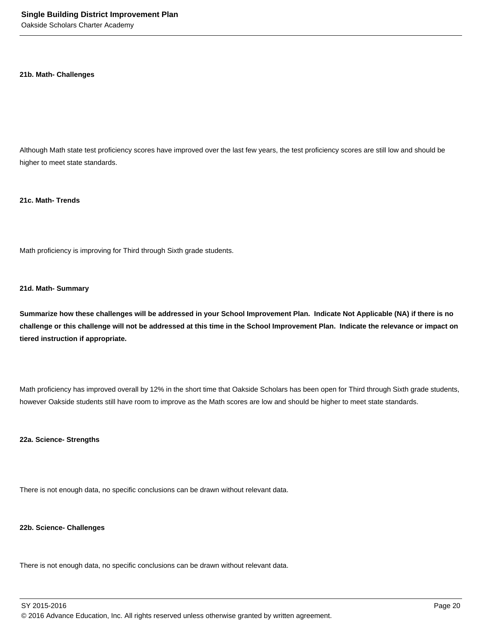#### **21b. Math- Challenges**

Although Math state test proficiency scores have improved over the last few years, the test proficiency scores are still low and should be higher to meet state standards.

#### **21c. Math- Trends**

Math proficiency is improving for Third through Sixth grade students.

#### **21d. Math- Summary**

**Summarize how these challenges will be addressed in your School Improvement Plan. Indicate Not Applicable (NA) if there is no challenge or this challenge will not be addressed at this time in the School Improvement Plan. Indicate the relevance or impact on tiered instruction if appropriate.**

Math proficiency has improved overall by 12% in the short time that Oakside Scholars has been open for Third through Sixth grade students, however Oakside students still have room to improve as the Math scores are low and should be higher to meet state standards.

#### **22a. Science- Strengths**

There is not enough data, no specific conclusions can be drawn without relevant data.

### **22b. Science- Challenges**

There is not enough data, no specific conclusions can be drawn without relevant data.

SY 2015-2016 Page 20 © 2016 Advance Education, Inc. All rights reserved unless otherwise granted by written agreement.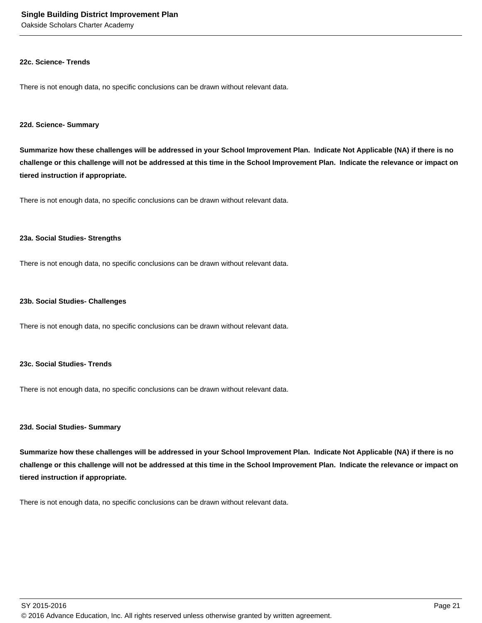Oakside Scholars Charter Academy

#### **22c. Science- Trends**

There is not enough data, no specific conclusions can be drawn without relevant data.

#### **22d. Science- Summary**

**Summarize how these challenges will be addressed in your School Improvement Plan. Indicate Not Applicable (NA) if there is no challenge or this challenge will not be addressed at this time in the School Improvement Plan. Indicate the relevance or impact on tiered instruction if appropriate.**

There is not enough data, no specific conclusions can be drawn without relevant data.

#### **23a. Social Studies- Strengths**

There is not enough data, no specific conclusions can be drawn without relevant data.

#### **23b. Social Studies- Challenges**

There is not enough data, no specific conclusions can be drawn without relevant data.

#### **23c. Social Studies- Trends**

There is not enough data, no specific conclusions can be drawn without relevant data.

#### **23d. Social Studies- Summary**

**Summarize how these challenges will be addressed in your School Improvement Plan. Indicate Not Applicable (NA) if there is no challenge or this challenge will not be addressed at this time in the School Improvement Plan. Indicate the relevance or impact on tiered instruction if appropriate.**

There is not enough data, no specific conclusions can be drawn without relevant data.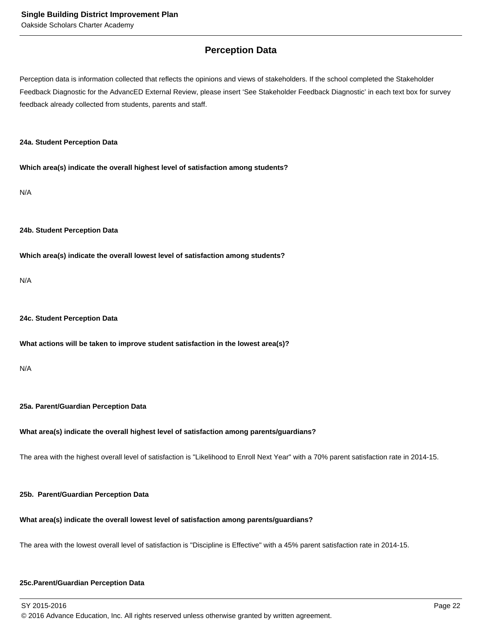## **Perception Data**

Perception data is information collected that reflects the opinions and views of stakeholders. If the school completed the Stakeholder Feedback Diagnostic for the AdvancED External Review, please insert 'See Stakeholder Feedback Diagnostic' in each text box for survey feedback already collected from students, parents and staff.

#### **24a. Student Perception Data**

**Which area(s) indicate the overall highest level of satisfaction among students?**

N/A

#### **24b. Student Perception Data**

**Which area(s) indicate the overall lowest level of satisfaction among students?**

N/A

#### **24c. Student Perception Data**

#### **What actions will be taken to improve student satisfaction in the lowest area(s)?**

N/A

### **25a. Parent/Guardian Perception Data**

### **What area(s) indicate the overall highest level of satisfaction among parents/guardians?**

The area with the highest overall level of satisfaction is "Likelihood to Enroll Next Year" with a 70% parent satisfaction rate in 2014-15.

### **25b. Parent/Guardian Perception Data**

### **What area(s) indicate the overall lowest level of satisfaction among parents/guardians?**

The area with the lowest overall level of satisfaction is "Discipline is Effective" with a 45% parent satisfaction rate in 2014-15.

### **25c. Parent/Guardian Perception Data**

SY 2015-2016 Page 22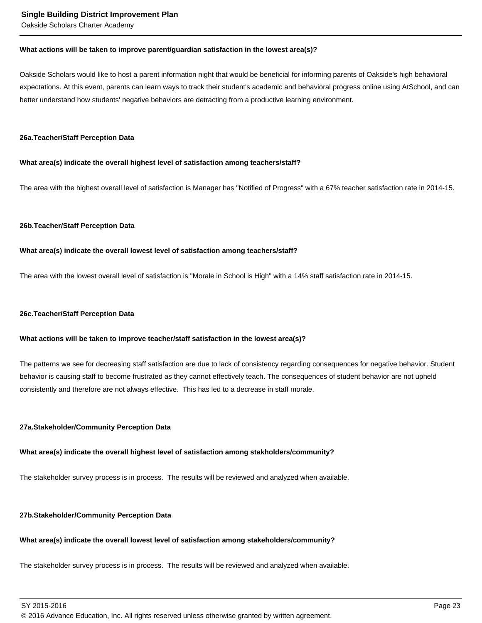Oakside Scholars Charter Academy

#### **What actions will be taken to improve parent/guardian satisfaction in the lowest area(s)?**

Oakside Scholars would like to host a parent information night that would be beneficial for informing parents of Oakside's high behavioral expectations. At this event, parents can learn ways to track their student's academic and behavioral progress online using AtSchool, and can better understand how students' negative behaviors are detracting from a productive learning environment.

#### **26a. Teacher/Staff Perception Data**

#### **What area(s) indicate the overall highest level of satisfaction among teachers/staff?**

The area with the highest overall level of satisfaction is Manager has "Notified of Progress" with a 67% teacher satisfaction rate in 2014-15.

#### **26b. Teacher/Staff Perception Data**

#### **What area(s) indicate the overall lowest level of satisfaction among teachers/staff?**

The area with the lowest overall level of satisfaction is "Morale in School is High" with a 14% staff satisfaction rate in 2014-15.

#### **26c. Teacher/Staff Perception Data**

#### **What actions will be taken to improve teacher/staff satisfaction in the lowest area(s)?**

The patterns we see for decreasing staff satisfaction are due to lack of consistency regarding consequences for negative behavior. Student behavior is causing staff to become frustrated as they cannot effectively teach. The consequences of student behavior are not upheld consistently and therefore are not always effective. This has led to a decrease in staff morale.

#### **27a. Stakeholder/Community Perception Data**

### **What area(s) indicate the overall highest level of satisfaction among stakholders/community?**

The stakeholder survey process is in process. The results will be reviewed and analyzed when available.

### **27b. Stakeholder/Community Perception Data**

### **What area(s) indicate the overall lowest level of satisfaction among stakeholders/community?**

The stakeholder survey process is in process. The results will be reviewed and analyzed when available.

SY 2015-2016 Page 23

© 2016 Advance Education, Inc. All rights reserved unless otherwise granted by written agreement.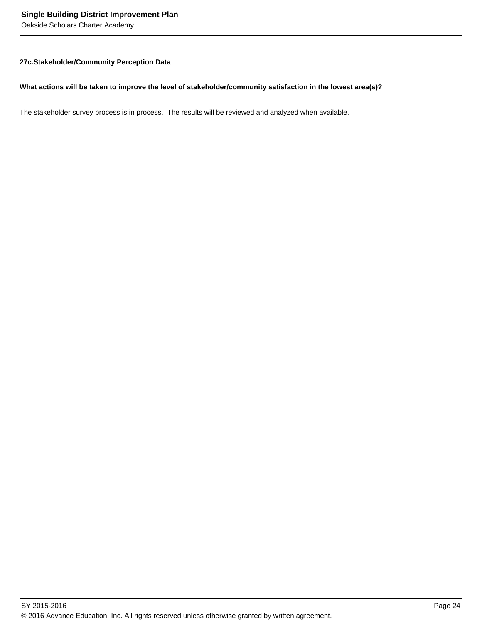Oakside Scholars Charter Academy

#### **27c. Stakeholder/Community Perception Data**

#### **What actions will be taken to improve the level of stakeholder/community satisfaction in the lowest area(s)?**

The stakeholder survey process is in process. The results will be reviewed and analyzed when available.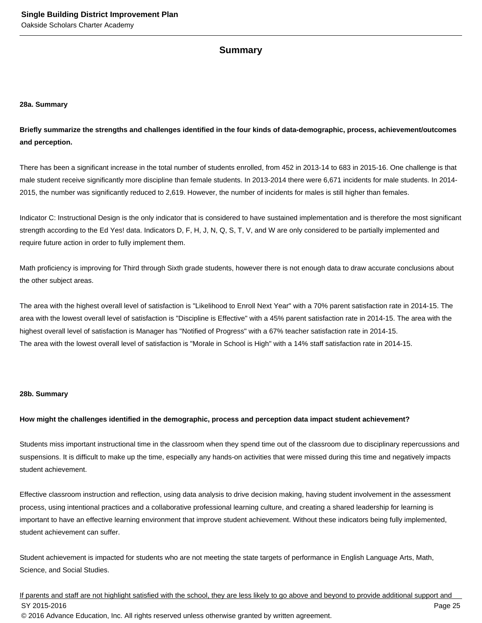## **Summary**

#### **28a. Summary**

**Briefly summarize the strengths and challenges identified in the four kinds of data-demographic, process, achievement/outcomes and perception.**

There has been a significant increase in the total number of students enrolled, from 452 in 2013-14 to 683 in 2015-16. One challenge is that male student receive significantly more discipline than female students. In 2013-2014 there were 6,671 incidents for male students. In 2014- 2015, the number was significantly reduced to 2,619. However, the number of incidents for males is still higher than females.

Indicator C: Instructional Design is the only indicator that is considered to have sustained implementation and is therefore the most significant strength according to the Ed Yes! data. Indicators D, F, H, J, N, Q, S, T, V, and W are only considered to be partially implemented and require future action in order to fully implement them.

Math proficiency is improving for Third through Sixth grade students, however there is not enough data to draw accurate conclusions about the other subject areas.

The area with the highest overall level of satisfaction is "Likelihood to Enroll Next Year" with a 70% parent satisfaction rate in 2014-15. The area with the lowest overall level of satisfaction is "Discipline is Effective" with a 45% parent satisfaction rate in 2014-15. The area with the highest overall level of satisfaction is Manager has "Notified of Progress" with a 67% teacher satisfaction rate in 2014-15. The area with the lowest overall level of satisfaction is "Morale in School is High" with a 14% staff satisfaction rate in 2014-15.

#### **28b. Summary**

#### **How might the challenges identified in the demographic, process and perception data impact student achievement?**

Students miss important instructional time in the classroom when they spend time out of the classroom due to disciplinary repercussions and suspensions. It is difficult to make up the time, especially any hands-on activities that were missed during this time and negatively impacts student achievement.

Effective classroom instruction and reflection, using data analysis to drive decision making, having student involvement in the assessment process, using intentional practices and a collaborative professional learning culture, and creating a shared leadership for learning is important to have an effective learning environment that improve student achievement. Without these indicators being fully implemented, student achievement can suffer.

Student achievement is impacted for students who are not meeting the state targets of performance in English Language Arts, Math, Science, and Social Studies.

If parents and staff are not highlight satisfied with the school, they are less likely to go above and beyond to provide additional support and SY 2015-2016 Page 25 © 2016 Advance Education, Inc. All rights reserved unless otherwise granted by written agreement.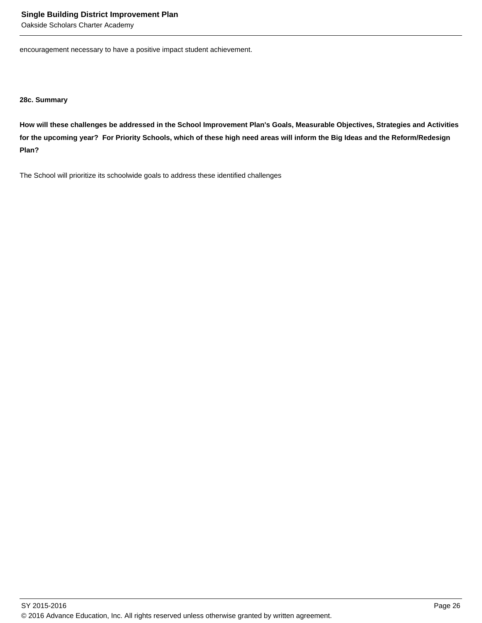Oakside Scholars Charter Academy

encouragement necessary to have a positive impact student achievement.

**28c. Summary**

**How will these challenges be addressed in the School Improvement Plan's Goals, Measurable Objectives, Strategies and Activities for the upcoming year? For Priority Schools, which of these high need areas will inform the Big Ideas and the Reform/Redesign Plan?**

The School will prioritize its schoolwide goals to address these identified challenges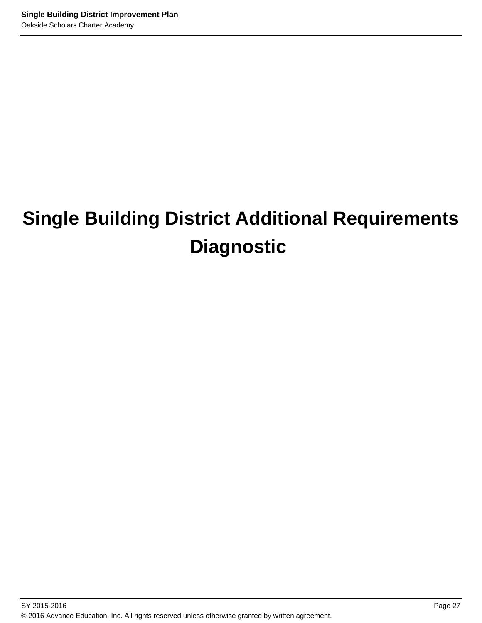## **Single Building District Additional Requirements Diagnostic**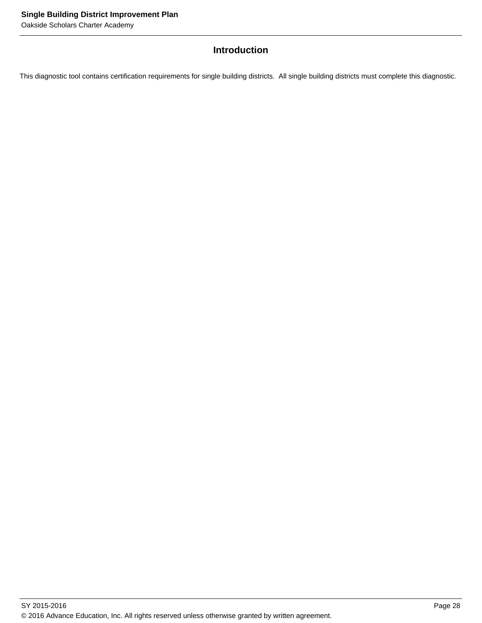## **Introduction**

This diagnostic tool contains certification requirements for single building districts. All single building districts must complete this diagnostic.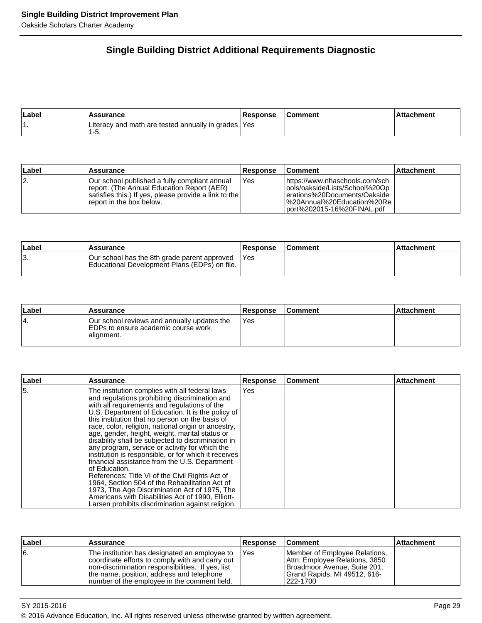## **Single Building District Additional Requirements Diagnostic**

| Label | <b>\ssurance</b>                                             | <b>Response</b> | Comment | hment |
|-------|--------------------------------------------------------------|-----------------|---------|-------|
|       | Literacy and math are tested annually in grades  Yes<br>ס-י. |                 |         |       |

| Label | Assurance                                                                                                                                                                         | <b>Response</b> | <b>Comment</b>                                                                                                                                                  | <b>Attachment</b> |
|-------|-----------------------------------------------------------------------------------------------------------------------------------------------------------------------------------|-----------------|-----------------------------------------------------------------------------------------------------------------------------------------------------------------|-------------------|
| 12.   | lOur school published a fully compliant annual<br>report. (The Annual Education Report (AER)<br>satisfies this.) If yes, please provide a link to the<br>report in the box below. | Yes             | lhttps://www.nhaschools.com/sch<br>ools/oakside/Lists/School%20Op<br>lerations%20Documents/Oakside<br>I%20Annual%20Education%20Re<br>port%202015-16%20FINAL.pdf |                   |

| Label | <b>Assurance</b>                                                                              | <b>Response</b> | <b>Comment</b> | ⊺Attachment |
|-------|-----------------------------------------------------------------------------------------------|-----------------|----------------|-------------|
| ΙЗ.   | Our school has the 8th grade parent approved<br>Educational Development Plans (EDPs) on file. | <b>IYes</b>     |                |             |

| Label | Assurance                                                                                        | <b>Response</b> | <b>Comment</b> | ⊺Attachment |
|-------|--------------------------------------------------------------------------------------------------|-----------------|----------------|-------------|
| 14.   | Our school reviews and annually updates the<br>EDPs to ensure academic course work<br>alignment. | IYes            |                |             |

| ∣Label | <b>Assurance</b>                                                                                                                                                                                                                                                                                                                                                                                                                                                                                                                                                                                                                                                                                                                                                                                                                                                    | <b>Response</b> | l Comment | <b>Attachment</b> |
|--------|---------------------------------------------------------------------------------------------------------------------------------------------------------------------------------------------------------------------------------------------------------------------------------------------------------------------------------------------------------------------------------------------------------------------------------------------------------------------------------------------------------------------------------------------------------------------------------------------------------------------------------------------------------------------------------------------------------------------------------------------------------------------------------------------------------------------------------------------------------------------|-----------------|-----------|-------------------|
| 15.    | The institution complies with all federal laws<br>and regulations prohibiting discrimination and<br>with all requirements and regulations of the<br>U.S. Department of Education. It is the policy of<br>this institution that no person on the basis of<br>race, color, religion, national origin or ancestry,<br>age, gender, height, weight, marital status or<br>disability shall be subjected to discrimination in<br>any program, service or activity for which the<br>institution is responsible, or for which it receives<br>financial assistance from the U.S. Department<br>of Education.<br>References: Title VI of the Civil Rights Act of<br>1964, Section 504 of the Rehabilitation Act of<br>1973, The Age Discrimination Act of 1975, The<br>Americans with Disabilities Act of 1990, Elliott-<br>Larsen prohibits discrimination against religion. | Yes             |           |                   |

| Label | <b>Assurance</b>                                                                                                                                                                                                                                     | ∣Response | ∣Comment                                                                                                                                    | ∣Attachment |
|-------|------------------------------------------------------------------------------------------------------------------------------------------------------------------------------------------------------------------------------------------------------|-----------|---------------------------------------------------------------------------------------------------------------------------------------------|-------------|
| 6.    | The institution has designated an employee to<br>coordinate efforts to comply with and carry out<br>Inon-discrimination responsibilities. If yes, list<br>the name, position, address and telephone<br>Inumber of the employee in the comment field. | Yes       | Member of Employee Relations,<br>Attn: Employee Relations, 3850<br>Broadmoor Avenue, Suite 201,<br>Grand Rapids, MI 49512, 616-<br>222-1700 |             |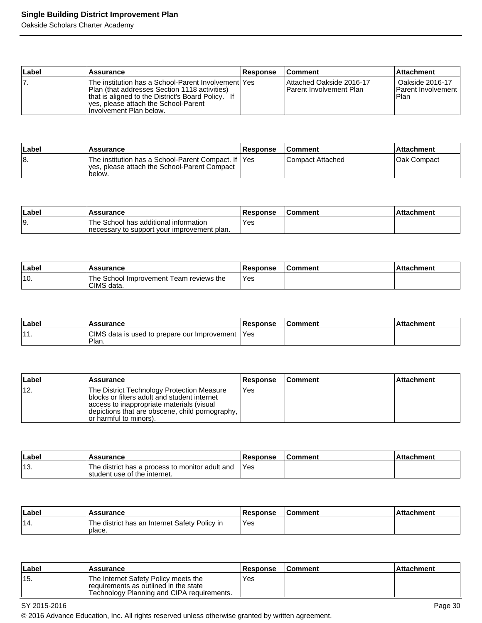Oakside Scholars Charter Academy

| Label | Assurance                                                                                                                                                                                                                        | <b>Response</b> | <b>Comment</b>                                       | <b>Attachment</b>                                      |
|-------|----------------------------------------------------------------------------------------------------------------------------------------------------------------------------------------------------------------------------------|-----------------|------------------------------------------------------|--------------------------------------------------------|
| 7.    | The institution has a School-Parent Involvement   Yes<br>Plan (that addresses Section 1118 activities)<br>that is aligned to the District's Board Policy. If<br>Ives, please attach the School-Parent<br>Involvement Plan below. |                 | Attached Oakside 2016-17<br>IParent Involvement Plan | Oakside 2016-17<br><b>Parent Involvement</b><br>l Plan |

| <b>Label</b> | <b>Assurance</b>                                                                                                | <b>Response</b> | <b>Comment</b>     | ⊺Attachment  |
|--------------|-----------------------------------------------------------------------------------------------------------------|-----------------|--------------------|--------------|
| 18.          | The institution has a School-Parent Compact. If  Yes<br>ves, please attach the School-Parent Compact<br>'below. |                 | l Compact Attached | IOak Compact |

| ∣Labe | Assurance                                                                             | <b>Response</b> | Comment | <b>Attachment</b> |
|-------|---------------------------------------------------------------------------------------|-----------------|---------|-------------------|
| 19.   | The School has additional information<br>Inecessary to support your improvement plan. | `Yes            |         |                   |

| Labe | <b>Assurance</b>                                      | <b>Response</b> | l Comment | Attachment |
|------|-------------------------------------------------------|-----------------|-----------|------------|
| '10. | The School Improvement Team reviews the<br>CIMS data. | Yes             |           |            |

| Label          | <b>Assurance</b>                                            | Response | <b>Comment</b> | <b>Attachment</b> |
|----------------|-------------------------------------------------------------|----------|----------------|-------------------|
| $\overline{1}$ | CIMS data is used to prepare our Improvement   Yes<br>Plan. |          |                |                   |

| ∣Label | Assurance                                                                                                                                                                                                              | <b>Response</b> | <b>Comment</b> | <b>Attachment</b> |
|--------|------------------------------------------------------------------------------------------------------------------------------------------------------------------------------------------------------------------------|-----------------|----------------|-------------------|
| ່ 12.  | The District Technology Protection Measure<br>blocks or filters adult and student internet<br>access to inappropriate materials (visual<br>depictions that are obscene, child pornography, I<br>or harmful to minors). | 'Yes            |                |                   |

| Labe | <b>Assurance</b>                                                                | <b>Response</b> | <b>Comment</b> | <b>Attachment</b> |
|------|---------------------------------------------------------------------------------|-----------------|----------------|-------------------|
| ็13. | The district has a process to monitor adult and<br>student use of the internet. | 'Yes            |                |                   |

| ∣Label | <b>Assurance</b>                                        | Response | <b>Comment</b> | <b>Attachment</b> |
|--------|---------------------------------------------------------|----------|----------------|-------------------|
| '14.   | The district has an Internet Safety Policy in<br>place. | Yes      |                |                   |

| ∣Label | Assurance                                                                                                                    | <b>Response</b> | <b>Comment</b> | l Attachment |
|--------|------------------------------------------------------------------------------------------------------------------------------|-----------------|----------------|--------------|
| '15.   | 'The Internet Safety Policy meets the<br>requirements as outlined in the state<br>Technology Planning and CIPA requirements. | Yes             |                |              |

SY 2015-2016 **Page 30** 

© 2016 Advance Education, Inc. All rights reserved unless otherwise granted by written agreement.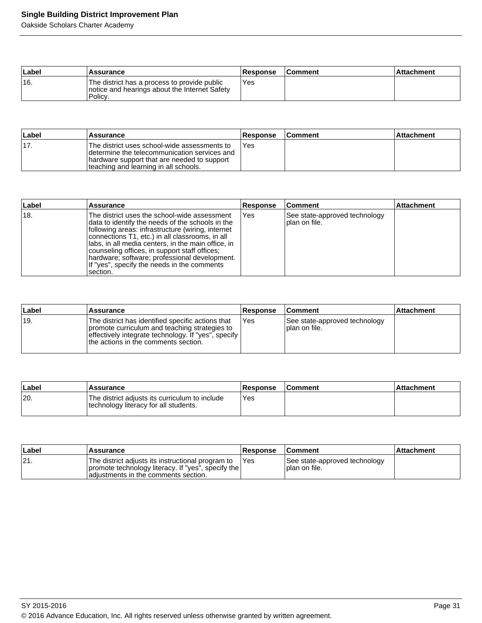Oakside Scholars Charter Academy

| Label | Assurance                                                                                                | 'Response | <b>Comment</b> | l Attachment |
|-------|----------------------------------------------------------------------------------------------------------|-----------|----------------|--------------|
| ່ 16. | The district has a process to provide public<br>notice and hearings about the Internet Safety<br>Policy. | Yes       |                |              |

| ∣Label | Assurance                                                                                                                                                                             | <b>Response</b> | <b>Comment</b> | ∣Attachment |
|--------|---------------------------------------------------------------------------------------------------------------------------------------------------------------------------------------|-----------------|----------------|-------------|
| '17.   | The district uses school-wide assessments to<br>Idetermine the telecommunication services and<br>hardware support that are needed to support<br>teaching and learning in all schools. | Yes             |                |             |

| Label | Assurance                                                                                                                                                                                                                                                                                                                                                                                                                    | <b>Response</b> | ∣Comment                                        | <b>Attachment</b> |
|-------|------------------------------------------------------------------------------------------------------------------------------------------------------------------------------------------------------------------------------------------------------------------------------------------------------------------------------------------------------------------------------------------------------------------------------|-----------------|-------------------------------------------------|-------------------|
| 18.   | The district uses the school-wide assessment<br>data to identify the needs of the schools in the<br>following areas: infrastructure (wiring, internet<br>connections T1, etc.) in all classrooms, in all<br>Ilabs, in all media centers, in the main office, in<br>counseling offices, in support staff offices;<br>hardware; software; professional development.<br>If "yes", specify the needs in the comments<br>section. | lYes            | See state-approved technology<br>Iplan on file. |                   |

| Label | <b>Assurance</b>                                                                                                                                                                                    | <b>Response</b> | <b>Comment</b>                                  | <b>Attachment</b> |
|-------|-----------------------------------------------------------------------------------------------------------------------------------------------------------------------------------------------------|-----------------|-------------------------------------------------|-------------------|
| ±19.  | The district has identified specific actions that<br>promote curriculum and teaching strategies to<br>effectively integrate technology. If "yes", specify  <br>the actions in the comments section. | Yes             | See state-approved technology<br>Iplan on file. |                   |

| ∣Label | Assurance                                                                               | Response | <b>Comment</b> | Attachment |
|--------|-----------------------------------------------------------------------------------------|----------|----------------|------------|
| 20.    | The district adjusts its curriculum to include<br>technology literacy for all students. | Yes      |                |            |

| ∣Label | 'Assurance                                                                                                                                       | <b>Response</b> | ∣Comment                                        | <b>Attachment</b> |
|--------|--------------------------------------------------------------------------------------------------------------------------------------------------|-----------------|-------------------------------------------------|-------------------|
| 21.    | The district adjusts its instructional program to<br>promote technology literacy. If "yes", specify the<br>ladiustments in the comments section. | <b>IYes</b>     | See state-approved technology<br>Iplan on file. |                   |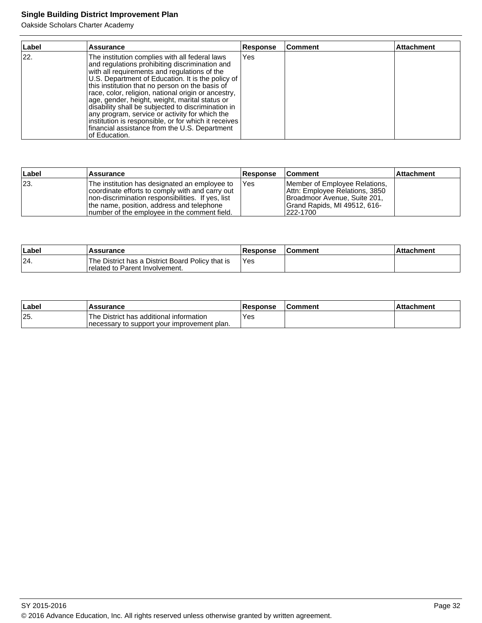Oakside Scholars Charter Academy

| Label | <b>Assurance</b>                                                                                                                                                                                                                                                                                                                                                                                                                                                                                                                                                                                     | <b>Response</b> | Comment | Attachment |
|-------|------------------------------------------------------------------------------------------------------------------------------------------------------------------------------------------------------------------------------------------------------------------------------------------------------------------------------------------------------------------------------------------------------------------------------------------------------------------------------------------------------------------------------------------------------------------------------------------------------|-----------------|---------|------------|
| 22.   | The institution complies with all federal laws<br>and regulations prohibiting discrimination and<br>with all requirements and regulations of the<br>U.S. Department of Education. It is the policy of<br>this institution that no person on the basis of<br>race, color, religion, national origin or ancestry,<br>age, gender, height, weight, marital status or<br>disability shall be subjected to discrimination in<br>any program, service or activity for which the<br>institution is responsible, or for which it receives<br>financial assistance from the U.S. Department<br>lof Education. | Yes             |         |            |

| ∣Label | <b>Assurance</b>                                                                                                                                                                                                                                     | <b>Response</b> | <b>Comment</b>                                                                                                                              | ∣Attachment |
|--------|------------------------------------------------------------------------------------------------------------------------------------------------------------------------------------------------------------------------------------------------------|-----------------|---------------------------------------------------------------------------------------------------------------------------------------------|-------------|
| 23.    | The institution has designated an employee to<br>coordinate efforts to comply with and carry out<br>Inon-discrimination responsibilities. If yes, list<br>the name, position, address and telephone<br>Inumber of the employee in the comment field. | <b>IYes</b>     | Member of Employee Relations,<br>Attn: Employee Relations, 3850<br>Broadmoor Avenue, Suite 201,<br>Grand Rapids, MI 49512, 616-<br>222-1700 |             |

| Label | <b>Assurance</b>                                                                     | <b>Response</b> | <b>Comment</b> | ⊺Attachment |
|-------|--------------------------------------------------------------------------------------|-----------------|----------------|-------------|
| 24.   | The District has a District Board Policy that is<br>I related to Parent Involvement. | 'Yes            |                |             |

| ∣Labe | <b>Assurance</b>                                                                         | <b>Response</b> | <b>Comment</b> | <b>Attachment</b> |
|-------|------------------------------------------------------------------------------------------|-----------------|----------------|-------------------|
| 25.   | 'The District has additional information<br>Inecessary to support your improvement plan. | Yes:            |                |                   |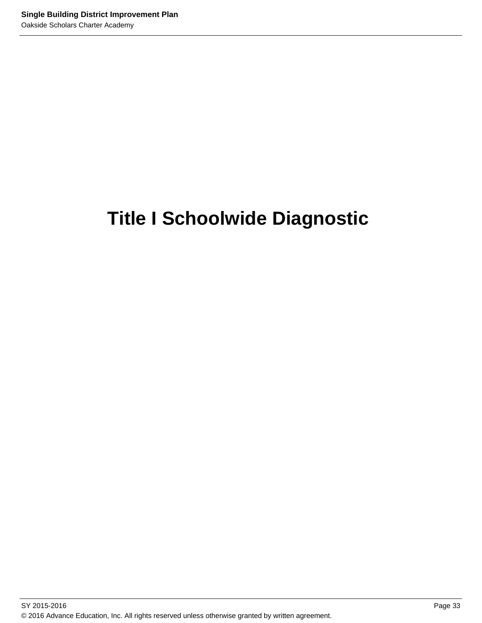# **Title I Schoolwide Diagnostic**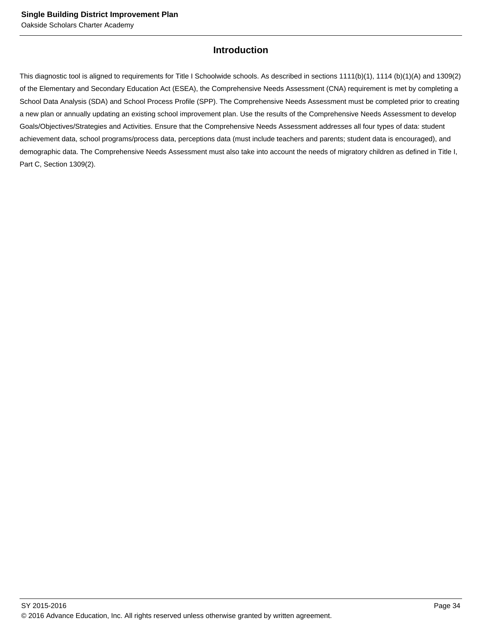### **Introduction**

This diagnostic tool is aligned to requirements for Title I Schoolwide schools. As described in sections 1111(b)(1), 1114 (b)(1)(A) and 1309(2) of the Elementary and Secondary Education Act (ESEA), the Comprehensive Needs Assessment (CNA) requirement is met by completing a School Data Analysis (SDA) and School Process Profile (SPP). The Comprehensive Needs Assessment must be completed prior to creating a new plan or annually updating an existing school improvement plan. Use the results of the Comprehensive Needs Assessment to develop Goals/Objectives/Strategies and Activities. Ensure that the Comprehensive Needs Assessment addresses all four types of data: student achievement data, school programs/process data, perceptions data (must include teachers and parents; student data is encouraged), and demographic data. The Comprehensive Needs Assessment must also take into account the needs of migratory children as defined in Title I, Part C, Section 1309(2).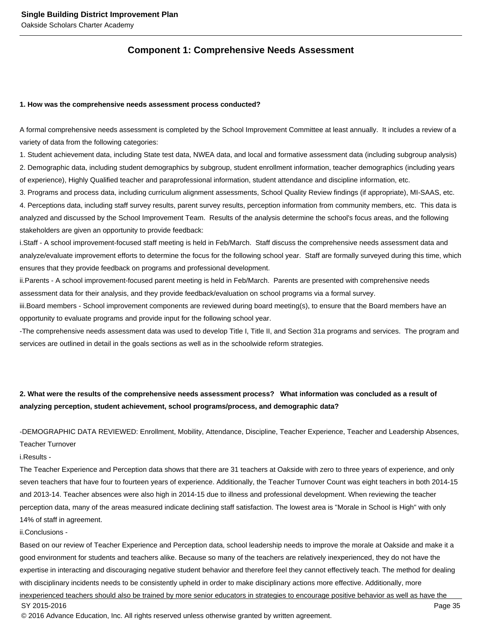### **Component 1: Comprehensive Needs Assessment**

#### **1. How was the comprehensive needs assessment process conducted?**

A formal comprehensive needs assessment is completed by the School Improvement Committee at least annually. It includes a review of a variety of data from the following categories:

1. Student achievement data, including State test data, NWEA data, and local and formative assessment data (including subgroup analysis) 2. Demographic data, including student demographics by subgroup, student enrollment information, teacher demographics (including years of experience), Highly Qualified teacher and paraprofessional information, student attendance and discipline information, etc.

3. Programs and process data, including curriculum alignment assessments, School Quality Review findings (if appropriate), MI-SAAS, etc. 4. Perceptions data, including staff survey results, parent survey results, perception information from community members, etc. This data is analyzed and discussed by the School Improvement Team. Results of the analysis determine the school's focus areas, and the following stakeholders are given an opportunity to provide feedback:

i. Staff - A school improvement-focused staff meeting is held in Feb/March. Staff discuss the comprehensive needs assessment data and analyze/evaluate improvement efforts to determine the focus for the following school year. Staff are formally surveyed during this time, which ensures that they provide feedback on programs and professional development.

ii. Parents - A school improvement-focused parent meeting is held in Feb/March. Parents are presented with comprehensive needs assessment data for their analysis, and they provide feedback/evaluation on school programs via a formal survey.

iii. Board members - School improvement components are reviewed during board meeting(s), to ensure that the Board members have an opportunity to evaluate programs and provide input for the following school year.

- The comprehensive needs assessment data was used to develop Title I, Title II, and Section 31a programs and services. The program and services are outlined in detail in the goals sections as well as in the schoolwide reform strategies.

### **2. What were the results of the comprehensive needs assessment process? What information was concluded as a result of analyzing perception, student achievement, school programs/process, and demographic data?**

- DEMOGRAPHIC DATA REVIEWED: Enrollment, Mobility, Attendance, Discipline, Teacher Experience, Teacher and Leadership Absences,

Teacher Turnover

i. Results -

The Teacher Experience and Perception data shows that there are 31 teachers at Oakside with zero to three years of experience, and only seven teachers that have four to fourteen years of experience. Additionally, the Teacher Turnover Count was eight teachers in both 2014-15 and 2013-14. Teacher absences were also high in 2014-15 due to illness and professional development. When reviewing the teacher perception data, many of the areas measured indicate declining staff satisfaction. The lowest area is "Morale in School is High" with only 14% of staff in agreement.

#### ii. Conclusions -

Based on our review of Teacher Experience and Perception data, school leadership needs to improve the morale at Oakside and make it a good environment for students and teachers alike. Because so many of the teachers are relatively inexperienced, they do not have the expertise in interacting and discouraging negative student behavior and therefore feel they cannot effectively teach. The method for dealing with disciplinary incidents needs to be consistently upheld in order to make disciplinary actions more effective. Additionally, more inexperienced teachers should also be trained by more senior educators in strategies to encourage positive behavior as well as have the SY 2015-2016 Page 35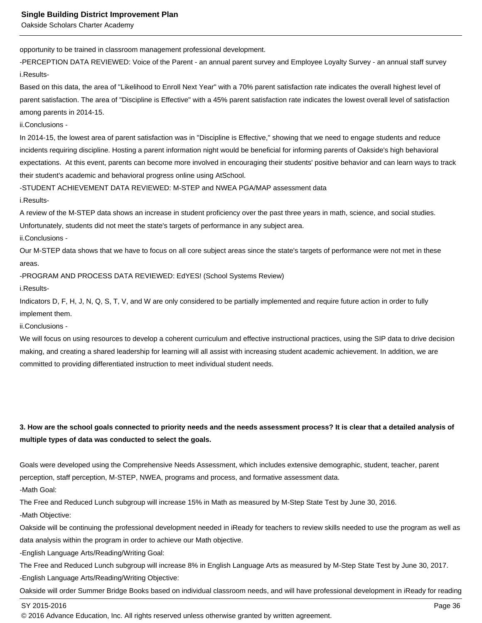opportunity to be trained in classroom management professional development.

- PERCEPTION DATA REVIEWED: Voice of the Parent - an annual parent survey and Employee Loyalty Survey - an annual staff survey i. Results-

Based on this data, the area of "Likelihood to Enroll Next Year" with a 70% parent satisfaction rate indicates the overall highest level of parent satisfaction. The area of "Discipline is Effective" with a 45% parent satisfaction rate indicates the lowest overall level of satisfaction among parents in 2014-15.

ii. Conclusions -

In 2014-15, the lowest area of parent satisfaction was in "Discipline is Effective," showing that we need to engage students and reduce incidents requiring discipline. Hosting a parent information night would be beneficial for informing parents of Oakside's high behavioral expectations. At this event, parents can become more involved in encouraging their students' positive behavior and can learn ways to track their student's academic and behavioral progress online using AtSchool.

- STUDENT ACHIEVEMENT DATA REVIEWED: M-STEP and NWEA PGA/MAP assessment data

i. Results-

A review of the M-STEP data shows an increase in student proficiency over the past three years in math, science, and social studies.

Unfortunately, students did not meet the state's targets of performance in any subject area.

ii. Conclusions -

Our M-STEP data shows that we have to focus on all core subject areas since the state's targets of performance were not met in these areas.

- PROGRAM AND PROCESS DATA REVIEWED: EdYES! (School Systems Review)

i. Results-

Indicators D, F, H, J, N, Q, S, T, V, and W are only considered to be partially implemented and require future action in order to fully implement them.

ii. Conclusions -

We will focus on using resources to develop a coherent curriculum and effective instructional practices, using the SIP data to drive decision making, and creating a shared leadership for learning will all assist with increasing student academic achievement. In addition, we are committed to providing differentiated instruction to meet individual student needs.

### **3. How are the school goals connected to priority needs and the needs assessment process? It is clear that a detailed analysis of multiple types of data was conducted to select the goals.**

Goals were developed using the Comprehensive Needs Assessment, which includes extensive demographic, student, teacher, parent perception, staff perception, M-STEP, NWEA, programs and process, and formative assessment data.

- Math Goal:

The Free and Reduced Lunch subgroup will increase 15% in Math as measured by M-Step State Test by June 30, 2016.

- Math Objective:

Oakside will be continuing the professional development needed in iReady for teachers to review skills needed to use the program as well as data analysis within the program in order to achieve our Math objective.

- English Language Arts/Reading/Writing Goal:

The Free and Reduced Lunch subgroup will increase 8% in English Language Arts as measured by M-Step State Test by June 30, 2017.

- English Language Arts/Reading/Writing Objective:

Oakside will order Summer Bridge Books based on individual classroom needs, and will have professional development in iReady for reading

SY 2015-2016 Page 36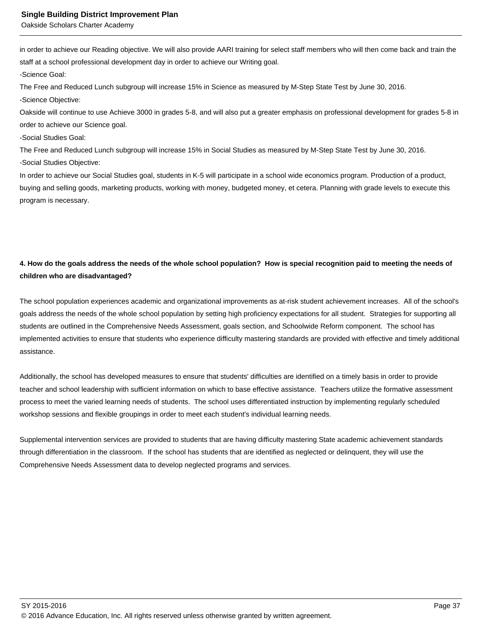in order to achieve our Reading objective. We will also provide AARI training for select staff members who will then come back and train the staff at a school professional development day in order to achieve our Writing goal.

- Science Goal:

The Free and Reduced Lunch subgroup will increase 15% in Science as measured by M-Step State Test by June 30, 2016.

- Science Objective:

Oakside will continue to use Achieve 3000 in grades 5-8, and will also put a greater emphasis on professional development for grades 5-8 in order to achieve our Science goal.

- Social Studies Goal:

The Free and Reduced Lunch subgroup will increase 15% in Social Studies as measured by M-Step State Test by June 30, 2016.

- Social Studies Objective:

In order to achieve our Social Studies goal, students in K-5 will participate in a school wide economics program. Production of a product, buying and selling goods, marketing products, working with money, budgeted money, et cetera. Planning with grade levels to execute this program is necessary.

### **4. How do the goals address the needs of the whole school population? How is special recognition paid to meeting the needs of children who are disadvantaged?**

The school population experiences academic and organizational improvements as at-risk student achievement increases. All of the school's goals address the needs of the whole school population by setting high proficiency expectations for all student. Strategies for supporting all students are outlined in the Comprehensive Needs Assessment, goals section, and Schoolwide Reform component. The school has implemented activities to ensure that students who experience difficulty mastering standards are provided with effective and timely additional assistance.

Additionally, the school has developed measures to ensure that students' difficulties are identified on a timely basis in order to provide teacher and school leadership with sufficient information on which to base effective assistance. Teachers utilize the formative assessment process to meet the varied learning needs of students. The school uses differentiated instruction by implementing regularly scheduled workshop sessions and flexible groupings in order to meet each student's individual learning needs.

Supplemental intervention services are provided to students that are having difficulty mastering State academic achievement standards through differentiation in the classroom. If the school has students that are identified as neglected or delinquent, they will use the Comprehensive Needs Assessment data to develop neglected programs and services.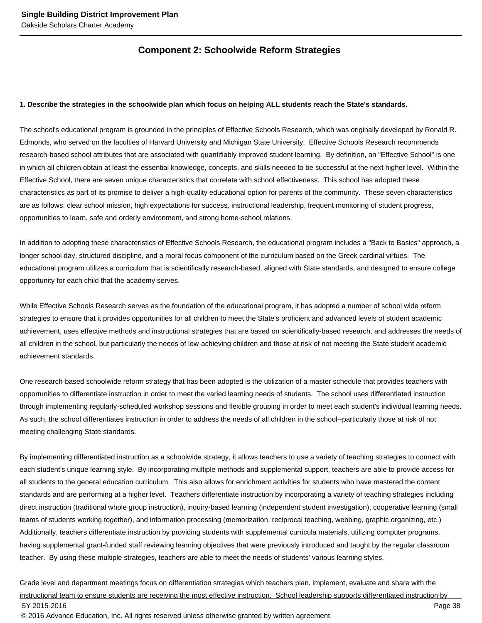### **Component 2: Schoolwide Reform Strategies**

#### **1. Describe the strategies in the schoolwide plan which focus on helping ALL students reach the State's standards.**

The school's educational program is grounded in the principles of Effective Schools Research, which was originally developed by Ronald R. Edmonds, who served on the faculties of Harvard University and Michigan State University. Effective Schools Research recommends research-based school attributes that are associated with quantifiably improved student learning. By definition, an "Effective School" is one in which all children obtain at least the essential knowledge, concepts, and skills needed to be successful at the next higher level. Within the Effective School, there are seven unique characteristics that correlate with school effectiveness. This school has adopted these characteristics as part of its promise to deliver a high-quality educational option for parents of the community. These seven characteristics are as follows: clear school mission, high expectations for success, instructional leadership, frequent monitoring of student progress, opportunities to learn, safe and orderly environment, and strong home-school relations.

In addition to adopting these characteristics of Effective Schools Research, the educational program includes a "Back to Basics" approach, a longer school day, structured discipline, and a moral focus component of the curriculum based on the Greek cardinal virtues. The educational program utilizes a curriculum that is scientifically research-based, aligned with State standards, and designed to ensure college opportunity for each child that the academy serves.

While Effective Schools Research serves as the foundation of the educational program, it has adopted a number of school wide reform strategies to ensure that it provides opportunities for all children to meet the State's proficient and advanced levels of student academic achievement, uses effective methods and instructional strategies that are based on scientifically-based research, and addresses the needs of all children in the school, but particularly the needs of low-achieving children and those at risk of not meeting the State student academic achievement standards.

One research-based schoolwide reform strategy that has been adopted is the utilization of a master schedule that provides teachers with opportunities to differentiate instruction in order to meet the varied learning needs of students. The school uses differentiated instruction through implementing regularly-scheduled workshop sessions and flexible grouping in order to meet each student's individual learning needs. As such, the school differentiates instruction in order to address the needs of all children in the school--particularly those at risk of not meeting challenging State standards.

By implementing differentiated instruction as a schoolwide strategy, it allows teachers to use a variety of teaching strategies to connect with each student's unique learning style. By incorporating multiple methods and supplemental support, teachers are able to provide access for all students to the general education curriculum. This also allows for enrichment activities for students who have mastered the content standards and are performing at a higher level. Teachers differentiate instruction by incorporating a variety of teaching strategies including direct instruction (traditional whole group instruction), inquiry-based learning (independent student investigation), cooperative learning (small teams of students working together), and information processing (memorization, reciprocal teaching, webbing, graphic organizing, etc.) Additionally, teachers differentiate instruction by providing students with supplemental curricula materials, utilizing computer programs, having supplemental grant-funded staff reviewing learning objectives that were previously introduced and taught by the regular classroom teacher. By using these multiple strategies, teachers are able to meet the needs of students' various learning styles.

Grade level and department meetings focus on differentiation strategies which teachers plan, implement, evaluate and share with the instructional team to ensure students are receiving the most effective instruction. School leadership supports differentiated instruction by SY 2015-2016 Page 38 © 2016 Advance Education, Inc. All rights reserved unless otherwise granted by written agreement.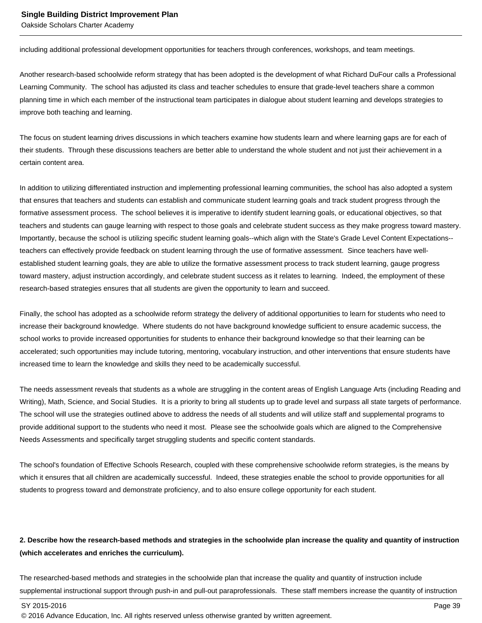including additional professional development opportunities for teachers through conferences, workshops, and team meetings.

Another research-based schoolwide reform strategy that has been adopted is the development of what Richard DuFour calls a Professional Learning Community. The school has adjusted its class and teacher schedules to ensure that grade-level teachers share a common planning time in which each member of the instructional team participates in dialogue about student learning and develops strategies to improve both teaching and learning.

The focus on student learning drives discussions in which teachers examine how students learn and where learning gaps are for each of their students. Through these discussions teachers are better able to understand the whole student and not just their achievement in a certain content area.

In addition to utilizing differentiated instruction and implementing professional learning communities, the school has also adopted a system that ensures that teachers and students can establish and communicate student learning goals and track student progress through the formative assessment process. The school believes it is imperative to identify student learning goals, or educational objectives, so that teachers and students can gauge learning with respect to those goals and celebrate student success as they make progress toward mastery. Importantly, because the school is utilizing specific student learning goals--which align with the State's Grade Level Content Expectations- teachers can effectively provide feedback on student learning through the use of formative assessment. Since teachers have wellestablished student learning goals, they are able to utilize the formative assessment process to track student learning, gauge progress toward mastery, adjust instruction accordingly, and celebrate student success as it relates to learning. Indeed, the employment of these research-based strategies ensures that all students are given the opportunity to learn and succeed.

Finally, the school has adopted as a schoolwide reform strategy the delivery of additional opportunities to learn for students who need to increase their background knowledge. Where students do not have background knowledge sufficient to ensure academic success, the school works to provide increased opportunities for students to enhance their background knowledge so that their learning can be accelerated; such opportunities may include tutoring, mentoring, vocabulary instruction, and other interventions that ensure students have increased time to learn the knowledge and skills they need to be academically successful.

The needs assessment reveals that students as a whole are struggling in the content areas of English Language Arts (including Reading and Writing), Math, Science, and Social Studies. It is a priority to bring all students up to grade level and surpass all state targets of performance. The school will use the strategies outlined above to address the needs of all students and will utilize staff and supplemental programs to provide additional support to the students who need it most. Please see the schoolwide goals which are aligned to the Comprehensive Needs Assessments and specifically target struggling students and specific content standards.

The school's foundation of Effective Schools Research, coupled with these comprehensive schoolwide reform strategies, is the means by which it ensures that all children are academically successful. Indeed, these strategies enable the school to provide opportunities for all students to progress toward and demonstrate proficiency, and to also ensure college opportunity for each student.

### **2. Describe how the research-based methods and strategies in the schoolwide plan increase the quality and quantity of instruction (which accelerates and enriches the curriculum).**

The researched-based methods and strategies in the schoolwide plan that increase the quality and quantity of instruction include supplemental instructional support through push-in and pull-out paraprofessionals. These staff members increase the quantity of instruction

<sup>© 2016</sup> Advance Education, Inc. All rights reserved unless otherwise granted by written agreement.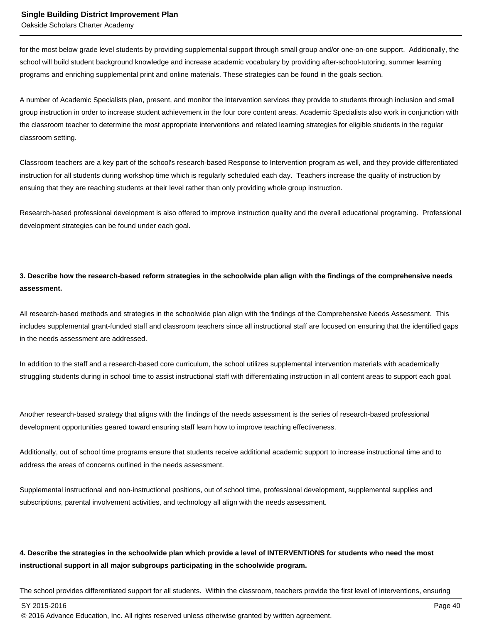for the most below grade level students by providing supplemental support through small group and/or one-on-one support. Additionally, the school will build student background knowledge and increase academic vocabulary by providing after-school-tutoring, summer learning programs and enriching supplemental print and online materials. These strategies can be found in the goals section.

A number of Academic Specialists plan, present, and monitor the intervention services they provide to students through inclusion and small group instruction in order to increase student achievement in the four core content areas. Academic Specialists also work in conjunction with the classroom teacher to determine the most appropriate interventions and related learning strategies for eligible students in the regular classroom setting.

Classroom teachers are a key part of the school's research-based Response to Intervention program as well, and they provide differentiated instruction for all students during workshop time which is regularly scheduled each day. Teachers increase the quality of instruction by ensuing that they are reaching students at their level rather than only providing whole group instruction.

Research-based professional development is also offered to improve instruction quality and the overall educational programing. Professional development strategies can be found under each goal.

### **3. Describe how the research-based reform strategies in the schoolwide plan align with the findings of the comprehensive needs assessment.**

All research-based methods and strategies in the schoolwide plan align with the findings of the Comprehensive Needs Assessment. This includes supplemental grant-funded staff and classroom teachers since all instructional staff are focused on ensuring that the identified gaps in the needs assessment are addressed.

In addition to the staff and a research-based core curriculum, the school utilizes supplemental intervention materials with academically struggling students during in school time to assist instructional staff with differentiating instruction in all content areas to support each goal.

Another research-based strategy that aligns with the findings of the needs assessment is the series of research-based professional development opportunities geared toward ensuring staff learn how to improve teaching effectiveness.

Additionally, out of school time programs ensure that students receive additional academic support to increase instructional time and to address the areas of concerns outlined in the needs assessment.

Supplemental instructional and non-instructional positions, out of school time, professional development, supplemental supplies and subscriptions, parental involvement activities, and technology all align with the needs assessment.

### **4. Describe the strategies in the schoolwide plan which provide a level of INTERVENTIONS for students who need the most instructional support in all major subgroups participating in the schoolwide program.**

The school provides differentiated support for all students. Within the classroom, teachers provide the first level of interventions, ensuring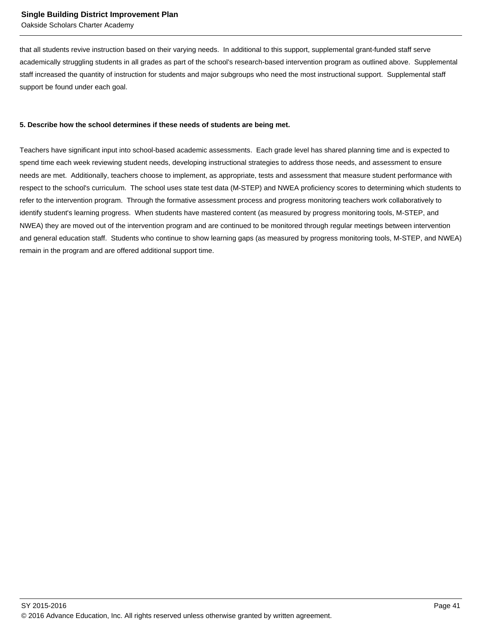that all students revive instruction based on their varying needs. In additional to this support, supplemental grant-funded staff serve academically struggling students in all grades as part of the school's research-based intervention program as outlined above. Supplemental staff increased the quantity of instruction for students and major subgroups who need the most instructional support. Supplemental staff support be found under each goal.

#### **5. Describe how the school determines if these needs of students are being met.**

Teachers have significant input into school-based academic assessments. Each grade level has shared planning time and is expected to spend time each week reviewing student needs, developing instructional strategies to address those needs, and assessment to ensure needs are met. Additionally, teachers choose to implement, as appropriate, tests and assessment that measure student performance with respect to the school's curriculum. The school uses state test data (M-STEP) and NWEA proficiency scores to determining which students to refer to the intervention program. Through the formative assessment process and progress monitoring teachers work collaboratively to identify student's learning progress. When students have mastered content (as measured by progress monitoring tools, M-STEP, and NWEA) they are moved out of the intervention program and are continued to be monitored through regular meetings between intervention and general education staff. Students who continue to show learning gaps (as measured by progress monitoring tools, M-STEP, and NWEA) remain in the program and are offered additional support time.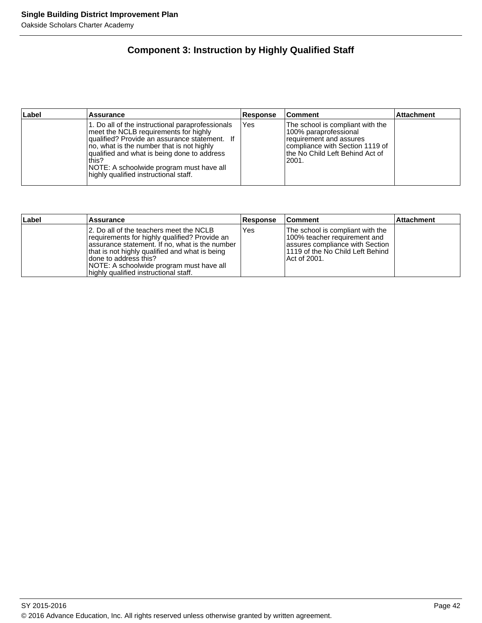### **Component 3: Instruction by Highly Qualified Staff**

| ∣Label | <b>Assurance</b>                                                                                                                                                                                                                                                                                                                     | Response | <b>Comment</b>                                                                                                                                                         | <b>Attachment</b> |
|--------|--------------------------------------------------------------------------------------------------------------------------------------------------------------------------------------------------------------------------------------------------------------------------------------------------------------------------------------|----------|------------------------------------------------------------------------------------------------------------------------------------------------------------------------|-------------------|
|        | 1. Do all of the instructional paraprofessionals<br>meet the NCLB requirements for highly<br>qualified? Provide an assurance statement. If<br>no, what is the number that is not highly<br>qualified and what is being done to address<br>this?<br>NOTE: A schoolwide program must have all<br>highly qualified instructional staff. | Yes      | The school is compliant with the<br>100% paraprofessional<br>requirement and assures<br>Icompliance with Section 1119 of<br>lthe No Child Left Behind Act of<br> 2001. |                   |

| Label | <b>Assurance</b>                                                                                                                                                                                                                                                                                            | <b>Response</b> | ∣Comment                                                                                                                                                  | <b>Attachment</b> |
|-------|-------------------------------------------------------------------------------------------------------------------------------------------------------------------------------------------------------------------------------------------------------------------------------------------------------------|-----------------|-----------------------------------------------------------------------------------------------------------------------------------------------------------|-------------------|
|       | 2. Do all of the teachers meet the NCLB<br>requirements for highly qualified? Provide an<br>assurance statement. If no, what is the number<br>that is not highly qualified and what is being<br>Idone to address this?<br>NOTE: A schoolwide program must have all<br>highly qualified instructional staff. | Yes             | The school is compliant with the<br>100% teacher requirement and<br>lassures compliance with Section<br>11119 of the No Child Left Behind<br>Act of 2001. |                   |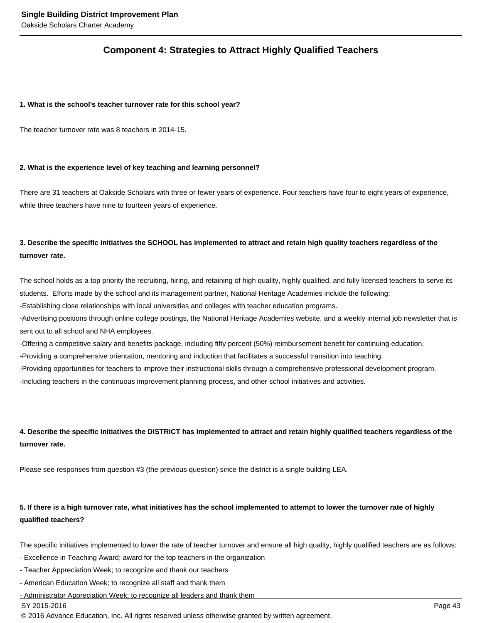### **Component 4: Strategies to Attract Highly Qualified Teachers**

#### **1. What is the school's teacher turnover rate for this school year?**

The teacher turnover rate was 8 teachers in 2014-15.

#### **2. What is the experience level of key teaching and learning personnel?**

There are 31 teachers at Oakside Scholars with three or fewer years of experience. Four teachers have four to eight years of experience, while three teachers have nine to fourteen years of experience.

### **3. Describe the specific initiatives the SCHOOL has implemented to attract and retain high quality teachers regardless of the turnover rate.**

The school holds as a top priority the recruiting, hiring, and retaining of high quality, highly qualified, and fully licensed teachers to serve its students. Efforts made by the school and its management partner, National Heritage Academies include the following:

- Establishing close relationships with local universities and colleges with teacher education programs.

- Advertising positions through online college postings, the National Heritage Academies website, and a weekly internal job newsletter that is sent out to all school and NHA employees.

- Offering a competitive salary and benefits package, including fifty percent (50%) reimbursement benefit for continuing education.

- Providing a comprehensive orientation, mentoring and induction that facilitates a successful transition into teaching.

- Providing opportunities for teachers to improve their instructional skills through a comprehensive professional development program.

- Including teachers in the continuous improvement planning process, and other school initiatives and activities.

### **4. Describe the specific initiatives the DISTRICT has implemented to attract and retain highly qualified teachers regardless of the turnover rate.**

Please see responses from question #3 (the previous question) since the district is a single building LEA.

### **5. If there is a high turnover rate, what initiatives has the school implemented to attempt to lower the turnover rate of highly qualified teachers?**

The specific initiatives implemented to lower the rate of teacher turnover and ensure all high quality, highly qualified teachers are as follows:

- Excellence in Teaching Award; award for the top teachers in the organization
- Teacher Appreciation Week; to recognize and thank our teachers
- American Education Week; to recognize all staff and thank them

- Administrator Appreciation Week; to recognize all leaders and thank them

#### SY 2015-2016 Page 43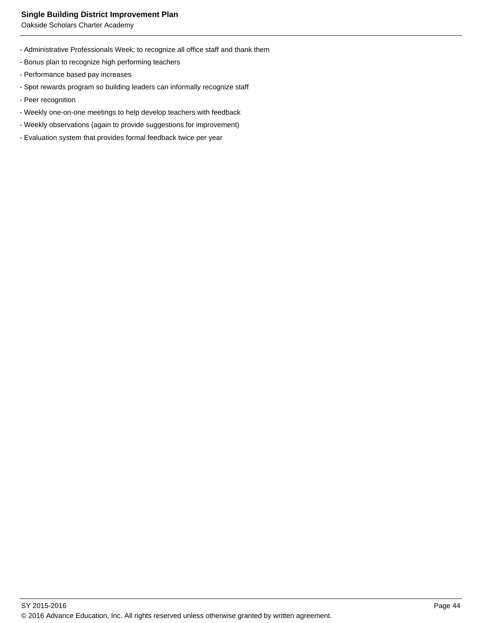Oakside Scholars Charter Academy

- Administrative Professionals Week; to recognize all office staff and thank them
- Bonus plan to recognize high performing teachers
- Performance based pay increases
- Spot rewards program so building leaders can informally recognize staff
- Peer recognition
- Weekly one-on-one meetings to help develop teachers with feedback
- Weekly observations (again to provide suggestions for improvement)
- Evaluation system that provides formal feedback twice per year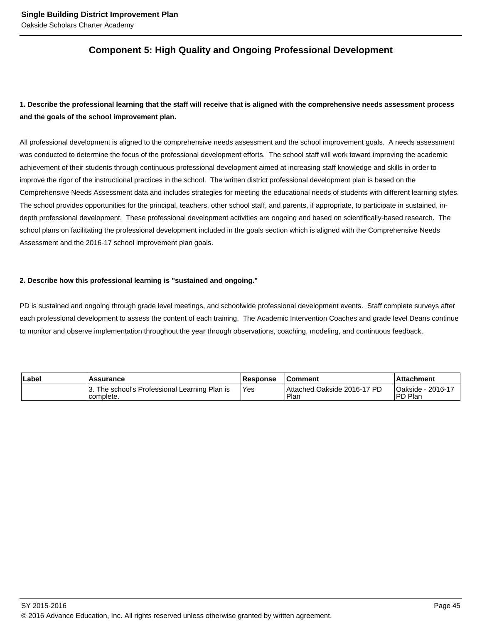### **Component 5: High Quality and Ongoing Professional Development**

### **1. Describe the professional learning that the staff will receive that is aligned with the comprehensive needs assessment process and the goals of the school improvement plan.**

All professional development is aligned to the comprehensive needs assessment and the school improvement goals. A needs assessment was conducted to determine the focus of the professional development efforts. The school staff will work toward improving the academic achievement of their students through continuous professional development aimed at increasing staff knowledge and skills in order to improve the rigor of the instructional practices in the school. The written district professional development plan is based on the Comprehensive Needs Assessment data and includes strategies for meeting the educational needs of students with different learning styles. The school provides opportunities for the principal, teachers, other school staff, and parents, if appropriate, to participate in sustained, indepth professional development. These professional development activities are ongoing and based on scientifically-based research. The school plans on facilitating the professional development included in the goals section which is aligned with the Comprehensive Needs Assessment and the 2016-17 school improvement plan goals.

#### **2. Describe how this professional learning is "sustained and ongoing."**

PD is sustained and ongoing through grade level meetings, and schoolwide professional development events. Staff complete surveys after each professional development to assess the content of each training. The Academic Intervention Coaches and grade level Deans continue to monitor and observe implementation throughout the year through observations, coaching, modeling, and continuous feedback.

| <b>Label</b> | <b>Assurance</b>                                           | <b>Response</b> | <b>Comment</b>                      | ∣Attachment                          |  |
|--------------|------------------------------------------------------------|-----------------|-------------------------------------|--------------------------------------|--|
|              | 3. The school's Professional Learning Plan is<br>complete. | 'Yes            | Attached Oakside 2016-17 PD<br>Plar | <b>Oakside - 2016-17</b><br>IPD Plan |  |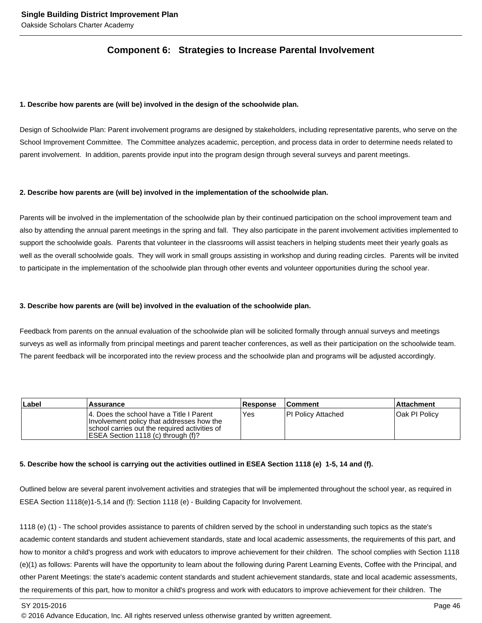### **Component 6: Strategies to Increase Parental Involvement**

#### **1. Describe how parents are (will be) involved in the design of the schoolwide plan.**

Design of Schoolwide Plan: Parent involvement programs are designed by stakeholders, including representative parents, who serve on the School Improvement Committee. The Committee analyzes academic, perception, and process data in order to determine needs related to parent involvement. In addition, parents provide input into the program design through several surveys and parent meetings.

#### **2. Describe how parents are (will be) involved in the implementation of the schoolwide plan.**

Parents will be involved in the implementation of the schoolwide plan by their continued participation on the school improvement team and also by attending the annual parent meetings in the spring and fall. They also participate in the parent involvement activities implemented to support the schoolwide goals. Parents that volunteer in the classrooms will assist teachers in helping students meet their yearly goals as well as the overall schoolwide goals. They will work in small groups assisting in workshop and during reading circles. Parents will be invited to participate in the implementation of the schoolwide plan through other events and volunteer opportunities during the school year.

#### **3. Describe how parents are (will be) involved in the evaluation of the schoolwide plan.**

Feedback from parents on the annual evaluation of the schoolwide plan will be solicited formally through annual surveys and meetings surveys as well as informally from principal meetings and parent teacher conferences, as well as their participation on the schoolwide team. The parent feedback will be incorporated into the review process and the schoolwide plan and programs will be adjusted accordingly.

| Label | Assurance                                                                                                                                                                      | <b>Response</b> | <b>Comment</b>      | <b>Attachment</b> |
|-------|--------------------------------------------------------------------------------------------------------------------------------------------------------------------------------|-----------------|---------------------|-------------------|
|       | 14. Does the school have a Title I Parent<br>Involvement policy that addresses how the<br>school carries out the required activities of<br>IESEA Section 1118 (c) through (f)? | <b>Yes</b>      | IPI Policy Attached | Oak PI Policy     |

#### **5. Describe how the school is carrying out the activities outlined in ESEA Section 1118 (e) 1-5, 14 and (f).**

Outlined below are several parent involvement activities and strategies that will be implemented throughout the school year, as required in ESEA Section 1118(e)1-5,14 and (f): Section 1118 (e) - Building Capacity for Involvement.

1118 (e) (1) - The school provides assistance to parents of children served by the school in understanding such topics as the state's academic content standards and student achievement standards, state and local academic assessments, the requirements of this part, and how to monitor a child's progress and work with educators to improve achievement for their children. The school complies with Section 1118 (e)(1) as follows: Parents will have the opportunity to learn about the following during Parent Learning Events, Coffee with the Principal, and other Parent Meetings: the state's academic content standards and student achievement standards, state and local academic assessments, the requirements of this part, how to monitor a child's progress and work with educators to improve achievement for their children. The

SY 2015-2016 Page 46

<sup>© 2016</sup> Advance Education, Inc. All rights reserved unless otherwise granted by written agreement.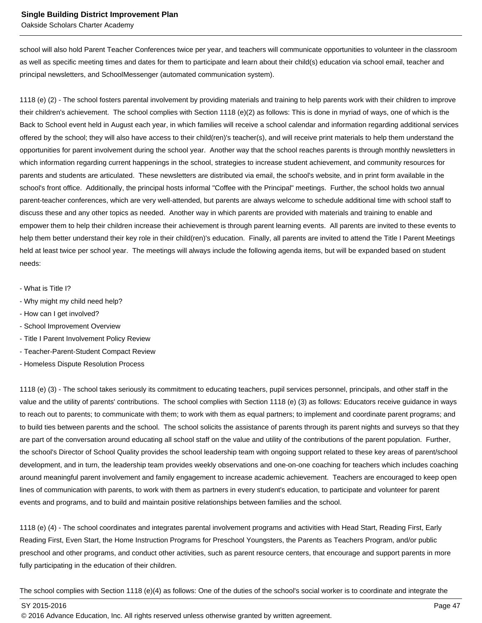Oakside Scholars Charter Academy

school will also hold Parent Teacher Conferences twice per year, and teachers will communicate opportunities to volunteer in the classroom as well as specific meeting times and dates for them to participate and learn about their child(s) education via school email, teacher and principal newsletters, and SchoolMessenger (automated communication system).

1118 (e) (2) - The school fosters parental involvement by providing materials and training to help parents work with their children to improve their children's achievement. The school complies with Section 1118 (e)(2) as follows: This is done in myriad of ways, one of which is the Back to School event held in August each year, in which families will receive a school calendar and information regarding additional services offered by the school; they will also have access to their child(ren)'s teacher(s), and will receive print materials to help them understand the opportunities for parent involvement during the school year. Another way that the school reaches parents is through monthly newsletters in which information regarding current happenings in the school, strategies to increase student achievement, and community resources for parents and students are articulated. These newsletters are distributed via email, the school's website, and in print form available in the school's front office. Additionally, the principal hosts informal "Coffee with the Principal" meetings. Further, the school holds two annual parent-teacher conferences, which are very well-attended, but parents are always welcome to schedule additional time with school staff to discuss these and any other topics as needed. Another way in which parents are provided with materials and training to enable and empower them to help their children increase their achievement is through parent learning events. All parents are invited to these events to help them better understand their key role in their child(ren)'s education. Finally, all parents are invited to attend the Title I Parent Meetings held at least twice per school year. The meetings will always include the following agenda items, but will be expanded based on student needs:

- What is Title I?
- Why might my child need help?
- How can I get involved?
- School Improvement Overview
- Title I Parent Involvement Policy Review
- Teacher-Parent-Student Compact Review
- Homeless Dispute Resolution Process

1118 (e) (3) - The school takes seriously its commitment to educating teachers, pupil services personnel, principals, and other staff in the value and the utility of parents' contributions. The school complies with Section 1118 (e) (3) as follows: Educators receive guidance in ways to reach out to parents; to communicate with them; to work with them as equal partners; to implement and coordinate parent programs; and to build ties between parents and the school. The school solicits the assistance of parents through its parent nights and surveys so that they are part of the conversation around educating all school staff on the value and utility of the contributions of the parent population. Further, the school's Director of School Quality provides the school leadership team with ongoing support related to these key areas of parent/school development, and in turn, the leadership team provides weekly observations and one-on-one coaching for teachers which includes coaching around meaningful parent involvement and family engagement to increase academic achievement. Teachers are encouraged to keep open lines of communication with parents, to work with them as partners in every student's education, to participate and volunteer for parent events and programs, and to build and maintain positive relationships between families and the school.

1118 (e) (4) - The school coordinates and integrates parental involvement programs and activities with Head Start, Reading First, Early Reading First, Even Start, the Home Instruction Programs for Preschool Youngsters, the Parents as Teachers Program, and/or public preschool and other programs, and conduct other activities, such as parent resource centers, that encourage and support parents in more fully participating in the education of their children.

The school complies with Section 1118 (e)(4) as follows: One of the duties of the school's social worker is to coordinate and integrate the

SY 2015-2016 Page 47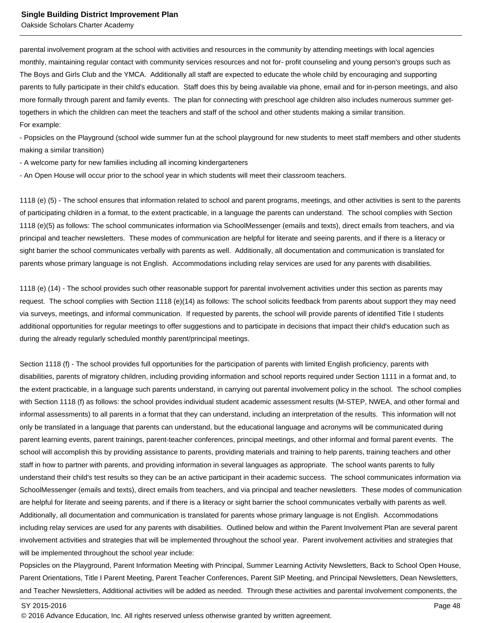parental involvement program at the school with activities and resources in the community by attending meetings with local agencies monthly, maintaining regular contact with community services resources and not for- profit counseling and young person's groups such as The Boys and Girls Club and the YMCA. Additionally all staff are expected to educate the whole child by encouraging and supporting parents to fully participate in their child's education. Staff does this by being available via phone, email and for in-person meetings, and also more formally through parent and family events. The plan for connecting with preschool age children also includes numerous summer gettogethers in which the children can meet the teachers and staff of the school and other students making a similar transition. For example:

- Popsicles on the Playground (school wide summer fun at the school playground for new students to meet staff members and other students making a similar transition)

- A welcome party for new families including all incoming kindergarteners

- An Open House will occur prior to the school year in which students will meet their classroom teachers.

1118 (e) (5) - The school ensures that information related to school and parent programs, meetings, and other activities is sent to the parents of participating children in a format, to the extent practicable, in a language the parents can understand. The school complies with Section 1118 (e)(5) as follows: The school communicates information via SchoolMessenger (emails and texts), direct emails from teachers, and via principal and teacher newsletters. These modes of communication are helpful for literate and seeing parents, and if there is a literacy or sight barrier the school communicates verbally with parents as well. Additionally, all documentation and communication is translated for parents whose primary language is not English. Accommodations including relay services are used for any parents with disabilities.

1118 (e) (14) - The school provides such other reasonable support for parental involvement activities under this section as parents may request. The school complies with Section 1118 (e)(14) as follows: The school solicits feedback from parents about support they may need via surveys, meetings, and informal communication. If requested by parents, the school will provide parents of identified Title I students additional opportunities for regular meetings to offer suggestions and to participate in decisions that impact their child's education such as during the already regularly scheduled monthly parent/principal meetings.

Section 1118 (f) - The school provides full opportunities for the participation of parents with limited English proficiency, parents with disabilities, parents of migratory children, including providing information and school reports required under Section 1111 in a format and, to the extent practicable, in a language such parents understand, in carrying out parental involvement policy in the school. The school complies with Section 1118 (f) as follows: the school provides individual student academic assessment results (M-STEP, NWEA, and other formal and informal assessments) to all parents in a format that they can understand, including an interpretation of the results. This information will not only be translated in a language that parents can understand, but the educational language and acronyms will be communicated during parent learning events, parent trainings, parent-teacher conferences, principal meetings, and other informal and formal parent events. The school will accomplish this by providing assistance to parents, providing materials and training to help parents, training teachers and other staff in how to partner with parents, and providing information in several languages as appropriate. The school wants parents to fully understand their child's test results so they can be an active participant in their academic success. The school communicates information via SchoolMessenger (emails and texts), direct emails from teachers, and via principal and teacher newsletters. These modes of communication are helpful for literate and seeing parents, and if there is a literacy or sight barrier the school communicates verbally with parents as well. Additionally, all documentation and communication is translated for parents whose primary language is not English. Accommodations including relay services are used for any parents with disabilities. Outlined below and within the Parent Involvement Plan are several parent involvement activities and strategies that will be implemented throughout the school year. Parent involvement activities and strategies that will be implemented throughout the school year include:

Popsicles on the Playground, Parent Information Meeting with Principal, Summer Learning Activity Newsletters, Back to School Open House, Parent Orientations, Title I Parent Meeting, Parent Teacher Conferences, Parent SIP Meeting, and Principal Newsletters, Dean Newsletters, and Teacher Newsletters, Additional activities will be added as needed. Through these activities and parental involvement components, the

<sup>© 2016</sup> Advance Education, Inc. All rights reserved unless otherwise granted by written agreement.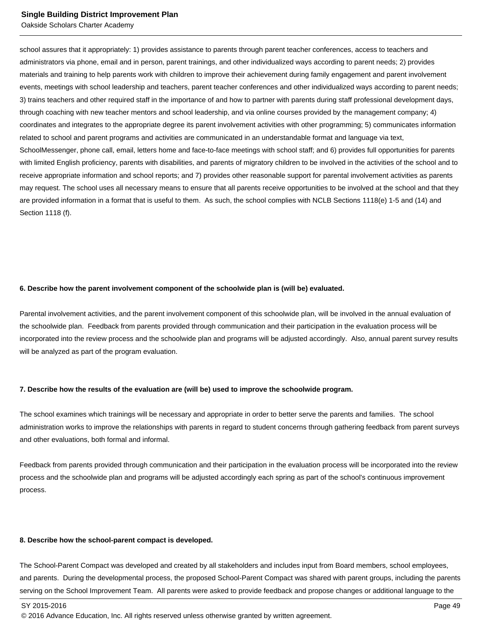Oakside Scholars Charter Academy

school assures that it appropriately: 1) provides assistance to parents through parent teacher conferences, access to teachers and administrators via phone, email and in person, parent trainings, and other individualized ways according to parent needs; 2) provides materials and training to help parents work with children to improve their achievement during family engagement and parent involvement events, meetings with school leadership and teachers, parent teacher conferences and other individualized ways according to parent needs; 3) trains teachers and other required staff in the importance of and how to partner with parents during staff professional development days, through coaching with new teacher mentors and school leadership, and via online courses provided by the management company; 4) coordinates and integrates to the appropriate degree its parent involvement activities with other programming; 5) communicates information related to school and parent programs and activities are communicated in an understandable format and language via text, SchoolMessenger, phone call, email, letters home and face-to-face meetings with school staff; and 6) provides full opportunities for parents with limited English proficiency, parents with disabilities, and parents of migratory children to be involved in the activities of the school and to receive appropriate information and school reports; and 7) provides other reasonable support for parental involvement activities as parents may request. The school uses all necessary means to ensure that all parents receive opportunities to be involved at the school and that they are provided information in a format that is useful to them. As such, the school complies with NCLB Sections 1118(e) 1-5 and (14) and Section 1118 (f).

#### **6. Describe how the parent involvement component of the schoolwide plan is (will be) evaluated.**

Parental involvement activities, and the parent involvement component of this schoolwide plan, will be involved in the annual evaluation of the schoolwide plan. Feedback from parents provided through communication and their participation in the evaluation process will be incorporated into the review process and the schoolwide plan and programs will be adjusted accordingly. Also, annual parent survey results will be analyzed as part of the program evaluation.

#### **7. Describe how the results of the evaluation are (will be) used to improve the schoolwide program.**

The school examines which trainings will be necessary and appropriate in order to better serve the parents and families. The school administration works to improve the relationships with parents in regard to student concerns through gathering feedback from parent surveys and other evaluations, both formal and informal.

Feedback from parents provided through communication and their participation in the evaluation process will be incorporated into the review process and the schoolwide plan and programs will be adjusted accordingly each spring as part of the school's continuous improvement process.

#### **8. Describe how the school-parent compact is developed.**

The School-Parent Compact was developed and created by all stakeholders and includes input from Board members, school employees, and parents. During the developmental process, the proposed School-Parent Compact was shared with parent groups, including the parents serving on the School Improvement Team. All parents were asked to provide feedback and propose changes or additional language to the

<sup>© 2016</sup> Advance Education, Inc. All rights reserved unless otherwise granted by written agreement.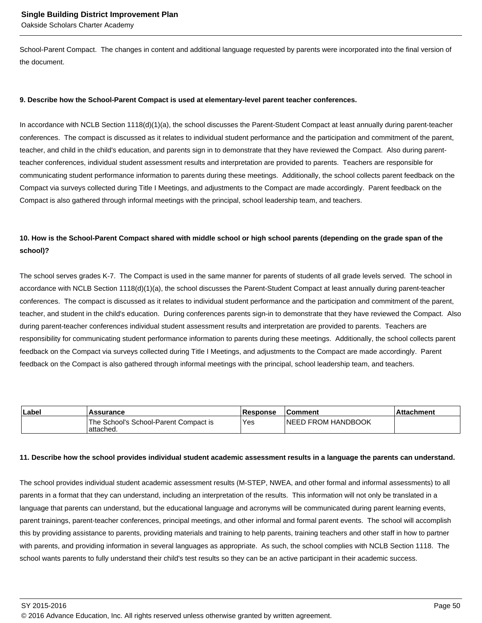School-Parent Compact. The changes in content and additional language requested by parents were incorporated into the final version of the document.

#### **9. Describe how the School-Parent Compact is used at elementary-level parent teacher conferences.**

In accordance with NCLB Section 1118(d)(1)(a), the school discusses the Parent-Student Compact at least annually during parent-teacher conferences. The compact is discussed as it relates to individual student performance and the participation and commitment of the parent, teacher, and child in the child's education, and parents sign in to demonstrate that they have reviewed the Compact. Also during parentteacher conferences, individual student assessment results and interpretation are provided to parents. Teachers are responsible for communicating student performance information to parents during these meetings. Additionally, the school collects parent feedback on the Compact via surveys collected during Title I Meetings, and adjustments to the Compact are made accordingly. Parent feedback on the Compact is also gathered through informal meetings with the principal, school leadership team, and teachers.

### **10. How is the School-Parent Compact shared with middle school or high school parents (depending on the grade span of the school)?**

The school serves grades K-7. The Compact is used in the same manner for parents of students of all grade levels served. The school in accordance with NCLB Section 1118(d)(1)(a), the school discusses the Parent-Student Compact at least annually during parent-teacher conferences. The compact is discussed as it relates to individual student performance and the participation and commitment of the parent, teacher, and student in the child's education. During conferences parents sign-in to demonstrate that they have reviewed the Compact. Also during parent-teacher conferences individual student assessment results and interpretation are provided to parents. Teachers are responsibility for communicating student performance information to parents during these meetings. Additionally, the school collects parent feedback on the Compact via surveys collected during Title I Meetings, and adjustments to the Compact are made accordingly. Parent feedback on the Compact is also gathered through informal meetings with the principal, school leadership team, and teachers.

| Label | Assurance                                           | <b>Response</b> | ∣Comment                   | .Attachment |
|-------|-----------------------------------------------------|-----------------|----------------------------|-------------|
|       | The School's School-Parent Compact is<br>'attached. | Yes             | <b>INEED FROM HANDBOOK</b> |             |

#### **11. Describe how the school provides individual student academic assessment results in a language the parents can understand.**

The school provides individual student academic assessment results (M-STEP, NWEA, and other formal and informal assessments) to all parents in a format that they can understand, including an interpretation of the results. This information will not only be translated in a language that parents can understand, but the educational language and acronyms will be communicated during parent learning events, parent trainings, parent-teacher conferences, principal meetings, and other informal and formal parent events. The school will accomplish this by providing assistance to parents, providing materials and training to help parents, training teachers and other staff in how to partner with parents, and providing information in several languages as appropriate. As such, the school complies with NCLB Section 1118. The school wants parents to fully understand their child's test results so they can be an active participant in their academic success.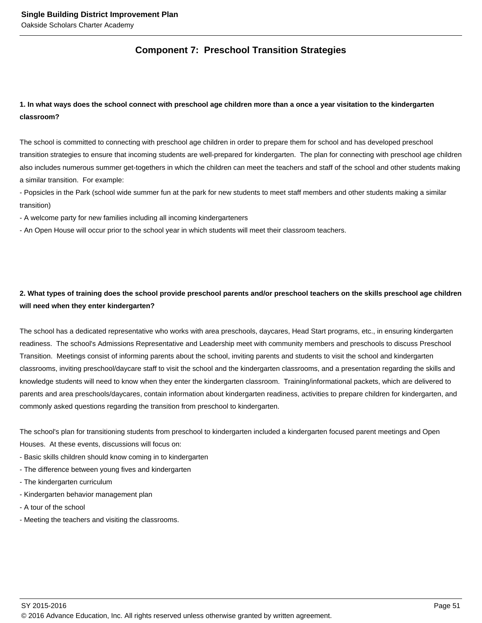### **Component 7: Preschool Transition Strategies**

### **1. In what ways does the school connect with preschool age children more than a once a year visitation to the kindergarten classroom?**

The school is committed to connecting with preschool age children in order to prepare them for school and has developed preschool transition strategies to ensure that incoming students are well-prepared for kindergarten. The plan for connecting with preschool age children also includes numerous summer get-togethers in which the children can meet the teachers and staff of the school and other students making a similar transition. For example:

- Popsicles in the Park (school wide summer fun at the park for new students to meet staff members and other students making a similar transition)

- A welcome party for new families including all incoming kindergarteners

- An Open House will occur prior to the school year in which students will meet their classroom teachers.

### **2. What types of training does the school provide preschool parents and/or preschool teachers on the skills preschool age children will need when they enter kindergarten?**

The school has a dedicated representative who works with area preschools, daycares, Head Start programs, etc., in ensuring kindergarten readiness. The school's Admissions Representative and Leadership meet with community members and preschools to discuss Preschool Transition. Meetings consist of informing parents about the school, inviting parents and students to visit the school and kindergarten classrooms, inviting preschool/daycare staff to visit the school and the kindergarten classrooms, and a presentation regarding the skills and knowledge students will need to know when they enter the kindergarten classroom. Training/informational packets, which are delivered to parents and area preschools/daycares, contain information about kindergarten readiness, activities to prepare children for kindergarten, and commonly asked questions regarding the transition from preschool to kindergarten.

The school's plan for transitioning students from preschool to kindergarten included a kindergarten focused parent meetings and Open Houses. At these events, discussions will focus on:

- Basic skills children should know coming in to kindergarten
- The difference between young fives and kindergarten
- The kindergarten curriculum
- Kindergarten behavior management plan
- A tour of the school
- Meeting the teachers and visiting the classrooms.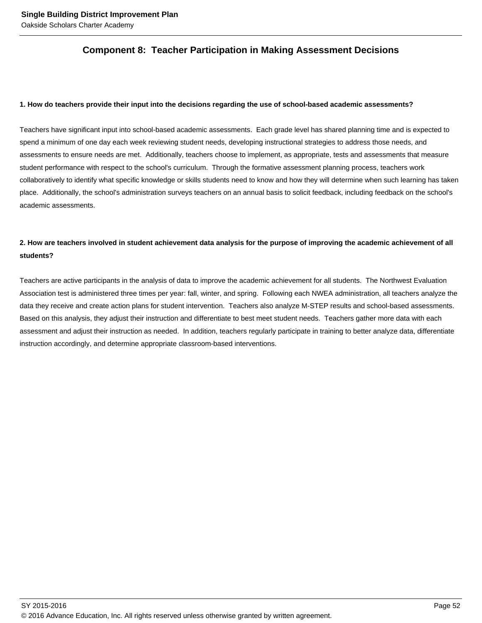### **Component 8: Teacher Participation in Making Assessment Decisions**

#### **1. How do teachers provide their input into the decisions regarding the use of school-based academic assessments?**

Teachers have significant input into school-based academic assessments. Each grade level has shared planning time and is expected to spend a minimum of one day each week reviewing student needs, developing instructional strategies to address those needs, and assessments to ensure needs are met. Additionally, teachers choose to implement, as appropriate, tests and assessments that measure student performance with respect to the school's curriculum. Through the formative assessment planning process, teachers work collaboratively to identify what specific knowledge or skills students need to know and how they will determine when such learning has taken place. Additionally, the school's administration surveys teachers on an annual basis to solicit feedback, including feedback on the school's academic assessments.

### **2. How are teachers involved in student achievement data analysis for the purpose of improving the academic achievement of all students?**

Teachers are active participants in the analysis of data to improve the academic achievement for all students. The Northwest Evaluation Association test is administered three times per year: fall, winter, and spring. Following each NWEA administration, all teachers analyze the data they receive and create action plans for student intervention. Teachers also analyze M-STEP results and school-based assessments. Based on this analysis, they adjust their instruction and differentiate to best meet student needs. Teachers gather more data with each assessment and adjust their instruction as needed. In addition, teachers regularly participate in training to better analyze data, differentiate instruction accordingly, and determine appropriate classroom-based interventions.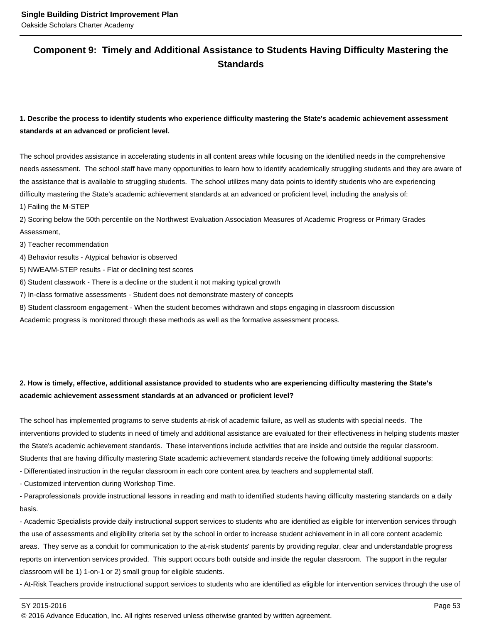### **Component 9: Timely and Additional Assistance to Students Having Difficulty Mastering the Standards**

### **1. Describe the process to identify students who experience difficulty mastering the State's academic achievement assessment standards at an advanced or proficient level.**

The school provides assistance in accelerating students in all content areas while focusing on the identified needs in the comprehensive needs assessment. The school staff have many opportunities to learn how to identify academically struggling students and they are aware of the assistance that is available to struggling students. The school utilizes many data points to identify students who are experiencing difficulty mastering the State's academic achievement standards at an advanced or proficient level, including the analysis of:

1) Failing the M-STEP

2) Scoring below the 50th percentile on the Northwest Evaluation Association Measures of Academic Progress or Primary Grades Assessment,

3) Teacher recommendation

4) Behavior results - Atypical behavior is observed

5) NWEA/M-STEP results - Flat or declining test scores

6) Student classwork - There is a decline or the student it not making typical growth

7) In-class formative assessments - Student does not demonstrate mastery of concepts

8) Student classroom engagement - When the student becomes withdrawn and stops engaging in classroom discussion

Academic progress is monitored through these methods as well as the formative assessment process.

### **2. How is timely, effective, additional assistance provided to students who are experiencing difficulty mastering the State's academic achievement assessment standards at an advanced or proficient level?**

The school has implemented programs to serve students at-risk of academic failure, as well as students with special needs. The interventions provided to students in need of timely and additional assistance are evaluated for their effectiveness in helping students master the State's academic achievement standards. These interventions include activities that are inside and outside the regular classroom. Students that are having difficulty mastering State academic achievement standards receive the following timely additional supports:

- Differentiated instruction in the regular classroom in each core content area by teachers and supplemental staff.

- Customized intervention during Workshop Time.

- Paraprofessionals provide instructional lessons in reading and math to identified students having difficulty mastering standards on a daily basis.

- Academic Specialists provide daily instructional support services to students who are identified as eligible for intervention services through the use of assessments and eligibility criteria set by the school in order to increase student achievement in in all core content academic areas. They serve as a conduit for communication to the at-risk students' parents by providing regular, clear and understandable progress reports on intervention services provided. This support occurs both outside and inside the regular classroom. The support in the regular classroom will be 1) 1-on-1 or 2) small group for eligible students.

- At-Risk Teachers provide instructional support services to students who are identified as eligible for intervention services through the use of

SY 2015-2016 Page 53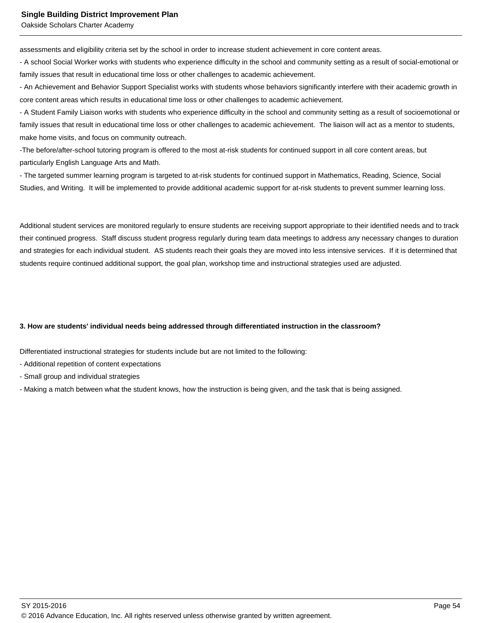assessments and eligibility criteria set by the school in order to increase student achievement in core content areas.

- A school Social Worker works with students who experience difficulty in the school and community setting as a result of social-emotional or family issues that result in educational time loss or other challenges to academic achievement.

- An Achievement and Behavior Support Specialist works with students whose behaviors significantly interfere with their academic growth in core content areas which results in educational time loss or other challenges to academic achievement.

- A Student Family Liaison works with students who experience difficulty in the school and community setting as a result of socioemotional or family issues that result in educational time loss or other challenges to academic achievement. The liaison will act as a mentor to students, make home visits, and focus on community outreach.

-The before/after-school tutoring program is offered to the most at-risk students for continued support in all core content areas, but particularly English Language Arts and Math.

- The targeted summer learning program is targeted to at-risk students for continued support in Mathematics, Reading, Science, Social Studies, and Writing. It will be implemented to provide additional academic support for at-risk students to prevent summer learning loss.

Additional student services are monitored regularly to ensure students are receiving support appropriate to their identified needs and to track their continued progress. Staff discuss student progress regularly during team data meetings to address any necessary changes to duration and strategies for each individual student. AS students reach their goals they are moved into less intensive services. If it is determined that students require continued additional support, the goal plan, workshop time and instructional strategies used are adjusted.

#### **3. How are students' individual needs being addressed through differentiated instruction in the classroom?**

Differentiated instructional strategies for students include but are not limited to the following:

- Additional repetition of content expectations
- Small group and individual strategies
- Making a match between what the student knows, how the instruction is being given, and the task that is being assigned.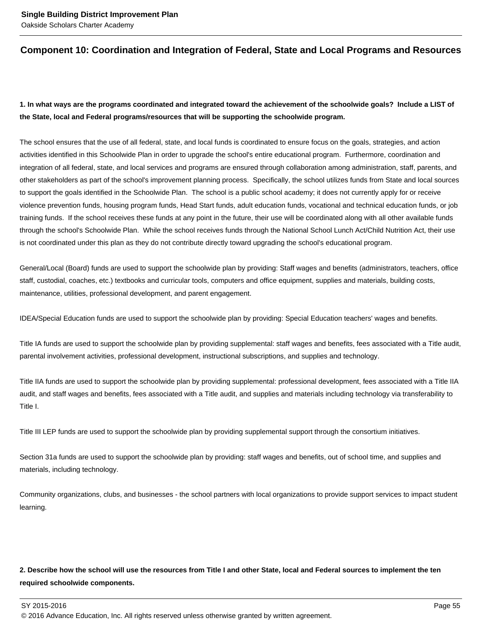### **Component 10: Coordination and Integration of Federal, State and Local Programs and Resources**

### **1. In what ways are the programs coordinated and integrated toward the achievement of the schoolwide goals? Include a LIST of the State, local and Federal programs/resources that will be supporting the schoolwide program.**

The school ensures that the use of all federal, state, and local funds is coordinated to ensure focus on the goals, strategies, and action activities identified in this Schoolwide Plan in order to upgrade the school's entire educational program. Furthermore, coordination and integration of all federal, state, and local services and programs are ensured through collaboration among administration, staff, parents, and other stakeholders as part of the school's improvement planning process. Specifically, the school utilizes funds from State and local sources to support the goals identified in the Schoolwide Plan. The school is a public school academy; it does not currently apply for or receive violence prevention funds, housing program funds, Head Start funds, adult education funds, vocational and technical education funds, or job training funds. If the school receives these funds at any point in the future, their use will be coordinated along with all other available funds through the school's Schoolwide Plan. While the school receives funds through the National School Lunch Act/Child Nutrition Act, their use is not coordinated under this plan as they do not contribute directly toward upgrading the school's educational program.

General/Local (Board) funds are used to support the schoolwide plan by providing: Staff wages and benefits (administrators, teachers, office staff, custodial, coaches, etc.) textbooks and curricular tools, computers and office equipment, supplies and materials, building costs, maintenance, utilities, professional development, and parent engagement.

IDEA/Special Education funds are used to support the schoolwide plan by providing: Special Education teachers' wages and benefits.

Title IA funds are used to support the schoolwide plan by providing supplemental: staff wages and benefits, fees associated with a Title audit, parental involvement activities, professional development, instructional subscriptions, and supplies and technology.

Title IIA funds are used to support the schoolwide plan by providing supplemental: professional development, fees associated with a Title IIA audit, and staff wages and benefits, fees associated with a Title audit, and supplies and materials including technology via transferability to Title I.

Title III LEP funds are used to support the schoolwide plan by providing supplemental support through the consortium initiatives.

Section 31a funds are used to support the schoolwide plan by providing: staff wages and benefits, out of school time, and supplies and materials, including technology.

Community organizations, clubs, and businesses - the school partners with local organizations to provide support services to impact student learning.

### **2. Describe how the school will use the resources from Title I and other State, local and Federal sources to implement the ten required schoolwide components.**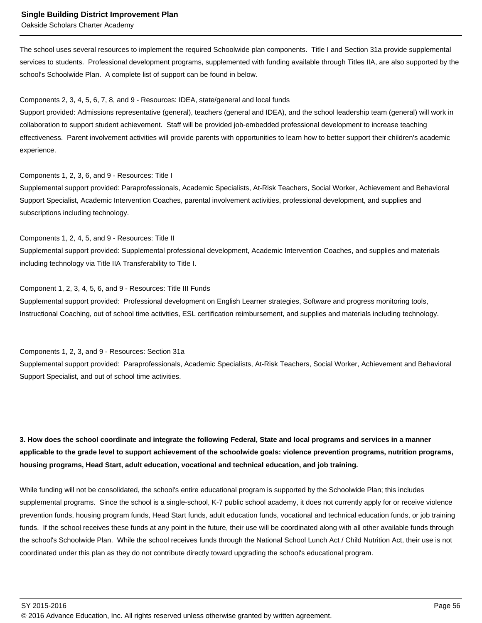The school uses several resources to implement the required Schoolwide plan components. Title I and Section 31a provide supplemental services to students. Professional development programs, supplemented with funding available through Titles IIA, are also supported by the school's Schoolwide Plan. A complete list of support can be found in below.

#### Components 2, 3, 4, 5, 6, 7, 8, and 9 - Resources: IDEA, state/general and local funds

Support provided: Admissions representative (general), teachers (general and IDEA), and the school leadership team (general) will work in collaboration to support student achievement. Staff will be provided job-embedded professional development to increase teaching effectiveness. Parent involvement activities will provide parents with opportunities to learn how to better support their children's academic experience.

#### Components 1, 2, 3, 6, and 9 - Resources: Title I

Supplemental support provided: Paraprofessionals, Academic Specialists, At-Risk Teachers, Social Worker, Achievement and Behavioral Support Specialist, Academic Intervention Coaches, parental involvement activities, professional development, and supplies and subscriptions including technology.

Components 1, 2, 4, 5, and 9 - Resources: Title II Supplemental support provided: Supplemental professional development, Academic Intervention Coaches, and supplies and materials including technology via Title IIA Transferability to Title I.

#### Component 1, 2, 3, 4, 5, 6, and 9 - Resources: Title III Funds

Supplemental support provided: Professional development on English Learner strategies, Software and progress monitoring tools, Instructional Coaching, out of school time activities, ESL certification reimbursement, and supplies and materials including technology.

Components 1, 2, 3, and 9 - Resources: Section 31a

Supplemental support provided: Paraprofessionals, Academic Specialists, At-Risk Teachers, Social Worker, Achievement and Behavioral Support Specialist, and out of school time activities.

### **3. How does the school coordinate and integrate the following Federal, State and local programs and services in a manner applicable to the grade level to support achievement of the schoolwide goals: violence prevention programs, nutrition programs, housing programs, Head Start, adult education, vocational and technical education, and job training.**

While funding will not be consolidated, the school's entire educational program is supported by the Schoolwide Plan; this includes supplemental programs. Since the school is a single-school, K-7 public school academy, it does not currently apply for or receive violence prevention funds, housing program funds, Head Start funds, adult education funds, vocational and technical education funds, or job training funds. If the school receives these funds at any point in the future, their use will be coordinated along with all other available funds through the school's Schoolwide Plan. While the school receives funds through the National School Lunch Act / Child Nutrition Act, their use is not coordinated under this plan as they do not contribute directly toward upgrading the school's educational program.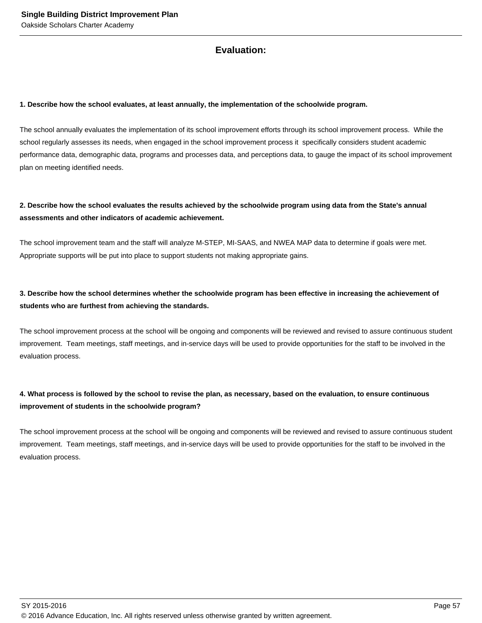### **Evaluation:**

#### **1. Describe how the school evaluates, at least annually, the implementation of the schoolwide program.**

The school annually evaluates the implementation of its school improvement efforts through its school improvement process. While the school regularly assesses its needs, when engaged in the school improvement process it specifically considers student academic performance data, demographic data, programs and processes data, and perceptions data, to gauge the impact of its school improvement plan on meeting identified needs.

### **2. Describe how the school evaluates the results achieved by the schoolwide program using data from the State's annual assessments and other indicators of academic achievement.**

The school improvement team and the staff will analyze M-STEP, MI-SAAS, and NWEA MAP data to determine if goals were met. Appropriate supports will be put into place to support students not making appropriate gains.

### **3. Describe how the school determines whether the schoolwide program has been effective in increasing the achievement of students who are furthest from achieving the standards.**

The school improvement process at the school will be ongoing and components will be reviewed and revised to assure continuous student improvement. Team meetings, staff meetings, and in-service days will be used to provide opportunities for the staff to be involved in the evaluation process.

### **4. What process is followed by the school to revise the plan, as necessary, based on the evaluation, to ensure continuous improvement of students in the schoolwide program?**

The school improvement process at the school will be ongoing and components will be reviewed and revised to assure continuous student improvement. Team meetings, staff meetings, and in-service days will be used to provide opportunities for the staff to be involved in the evaluation process.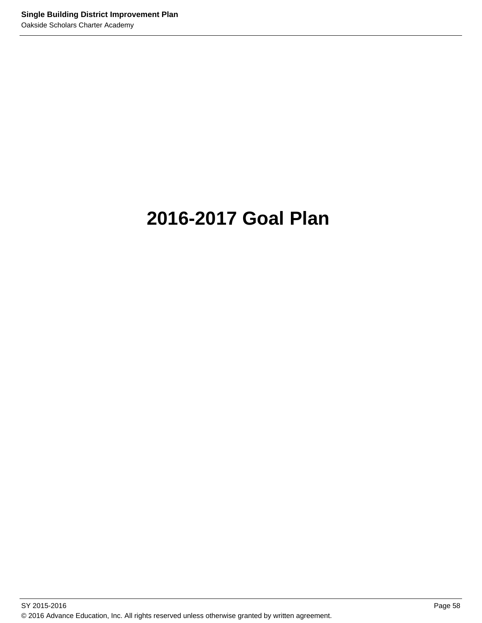# **2016-2017 Goal Plan**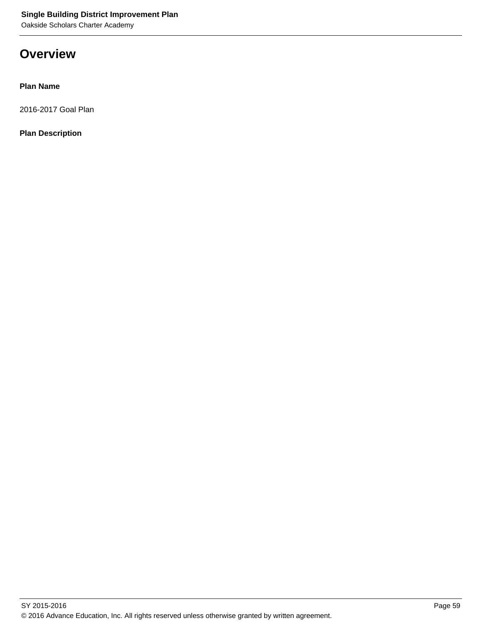## **Overview**

### **Plan Name**

2016-2017 Goal Plan

**Plan Description**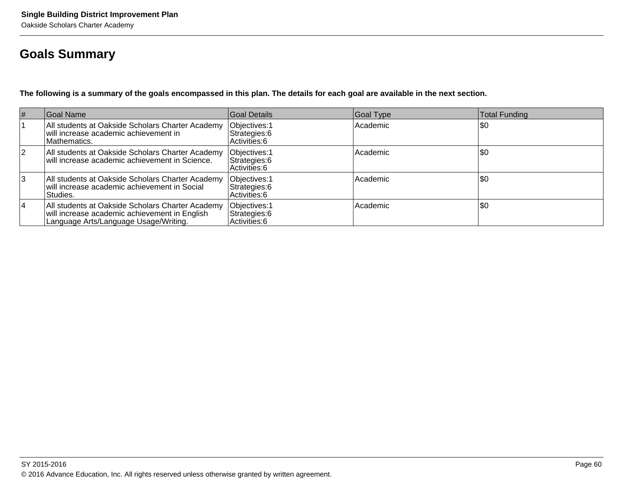## **Goals Summary**

**The following is a summary of the goals encompassed in this plan. The details for each goal are available in the next section.**

| $\vert \#$ | Goal Name                                                                                                                                  | Goal Details                                    | Goal Type | <b>Total Funding</b> |
|------------|--------------------------------------------------------------------------------------------------------------------------------------------|-------------------------------------------------|-----------|----------------------|
|            | All students at Oakside Scholars Charter Academy<br>will increase academic achievement in<br>Mathematics.                                  | Objectives: 1<br>Strategies: 6<br>Activities: 6 | Academic  | \$0                  |
| <u> 2</u>  | All students at Oakside Scholars Charter Academy<br>will increase academic achievement in Science.                                         | Objectives: 1<br>Strategies: 6<br>Activities: 6 | Academic  | \$0                  |
| Ι3         | All students at Oakside Scholars Charter Academy<br>will increase academic achievement in Social<br>Studies.                               | Objectives: 1<br>Strategies: 6<br>Activities: 6 | Academic  | \$0                  |
| 14         | All students at Oakside Scholars Charter Academy<br>will increase academic achievement in English<br>Language Arts/Language Usage/Writing. | Objectives: 1<br>Strategies: 6<br>Activities: 6 | Academic  | \$0                  |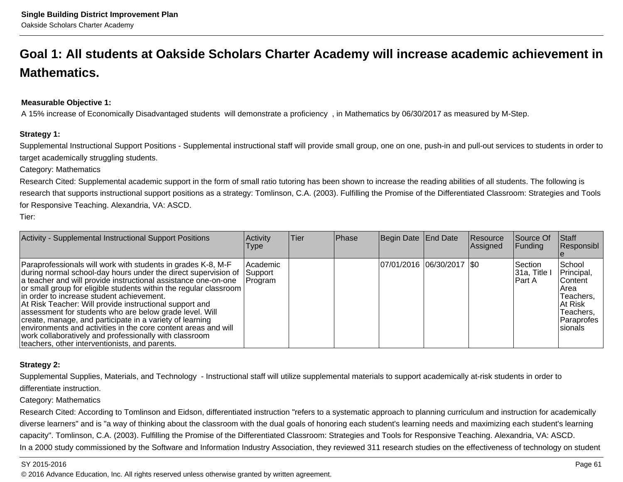# **Goal 1: All students at Oakside Scholars Charter Academy will increase academic achievement inMathematics.**

### **Measurable Objective 1:**

A 15% increase of Economically Disadvantaged students will demonstrate a proficiency , in Mathematics by 06/30/2017 as measured by M-Step.

#### **Strategy 1:**

Supplemental Instructional Support Positions - Supplemental instructional staff will provide small group, one on one, push-in and pull-out services to students in order totarget academically struggling students.

Category: Mathematics

Research Cited: Supplemental academic support in the form of small ratio tutoring has been shown to increase the reading abilities of all students. The following isresearch that supports instructional support positions as a strategy: Tomlinson, C.A. (2003). Fulfilling the Promise of the Differentiated Classroom: Strategies and Tools for Responsive Teaching. Alexandria, VA: ASCD.

Tier:

| Activity - Supplemental Instructional Support Positions                                                                                                                                                                                                                                                                                                                                                                                                                                                                                                                                                                                                                             | Activity<br>Type               | Tier | Phase | Begin Date End Date         | Resource<br>Assigned | Source Of<br> Funding               | Staff<br>Responsibl                                                                                        |
|-------------------------------------------------------------------------------------------------------------------------------------------------------------------------------------------------------------------------------------------------------------------------------------------------------------------------------------------------------------------------------------------------------------------------------------------------------------------------------------------------------------------------------------------------------------------------------------------------------------------------------------------------------------------------------------|--------------------------------|------|-------|-----------------------------|----------------------|-------------------------------------|------------------------------------------------------------------------------------------------------------|
| Paraprofessionals will work with students in grades K-8, M-F<br>during normal school-day hours under the direct supervision of<br>a teacher and will provide instructional assistance one-on-one<br>or small group for eligible students within the regular classroom<br>lin order to increase student achievement.<br>At Risk Teacher: Will provide instructional support and<br>assessment for students who are below grade level. Will<br>create, manage, and participate in a variety of learning<br>environments and activities in the core content areas and will<br>work collaboratively and professionally with classroom<br>teachers, other interventionists, and parents. | Academic<br>Support<br>Program |      |       | 07/01/2016  06/30/2017  \$0 |                      | Section<br>$ 31a,$ Title<br>IPart A | School<br>Principal,<br> Content <br>IArea<br>Teachers,<br>IAt Risk<br>Teachers,<br>Paraprofes<br>Isionals |

### **Strategy 2:**

Supplemental Supplies, Materials, and Technology - Instructional staff will utilize supplemental materials to support academically at-risk students in order todifferentiate instruction.

Category: Mathematics

Research Cited: According to Tomlinson and Eidson, differentiated instruction "refers to a systematic approach to planning curriculum and instruction for academicallydiverse learners" and is "a way of thinking about the classroom with the dual goals of honoring each student's learning needs and maximizing each student's learningcapacity". Tomlinson, C.A. (2003). Fulfilling the Promise of the Differentiated Classroom: Strategies and Tools for Responsive Teaching. Alexandria, VA: ASCD.In a 2000 study commissioned by the Software and Information Industry Association, they reviewed 311 research studies on the effectiveness of technology on student

#### SY 2015-2016

en and the state of the state of the state of the state of the state of the state of the state of the Page 61  $\,$ © 2016 Advance Education, Inc. All rights reserved unless otherwise granted by written agreement.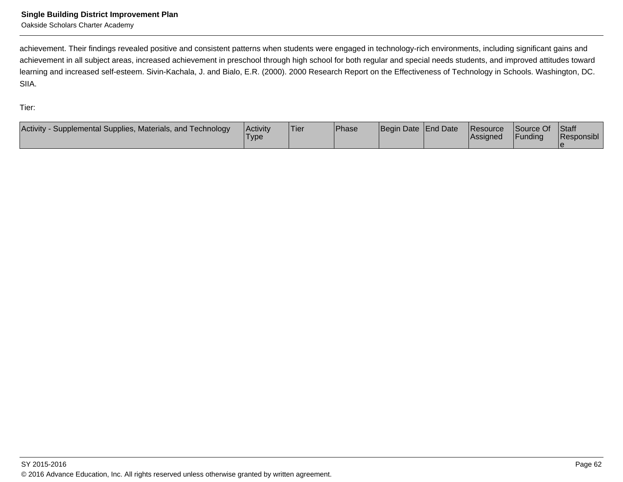Oakside Scholars Charter Academy

achievement. Their findings revealed positive and consistent patterns when students were engaged in technology-rich environments, including significant gains and achievement in all subject areas, increased achievement in preschool through high school for both regular and special needs students, and improved attitudes toward learning and increased self-esteem. Sivin-Kachala, J. and Bialo, E.R. (2000). 2000 Research Report on the Effectiveness of Technology in Schools. Washington, DC.SIIA.

Tier:

| <b>Activity</b><br>Supplemental Supplies, Materials, and Technology | <b>Activity</b><br><b>Type</b> | 'Tier | <b>Phase</b> | Begin Date End Date | <b>Resource</b><br> Assigned | Source Of<br>Funding | <b>Staff</b><br>Responsibl |
|---------------------------------------------------------------------|--------------------------------|-------|--------------|---------------------|------------------------------|----------------------|----------------------------|
|                                                                     |                                |       |              |                     |                              |                      |                            |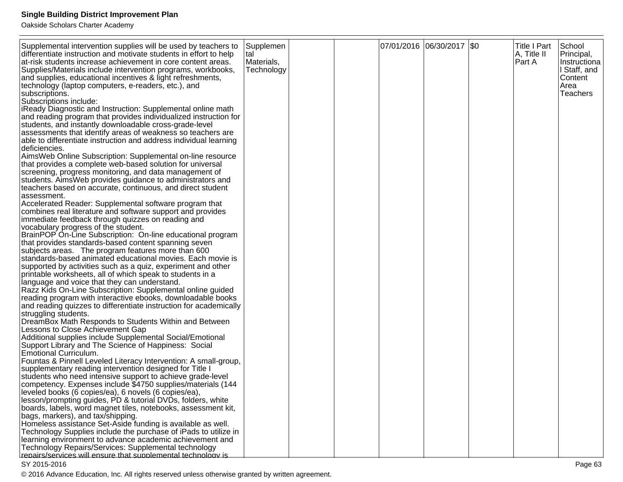Oakside Scholars Charter Academy

| Supplemental intervention supplies will be used by teachers to<br>differentiate instruction and motivate students in effort to help<br>at-risk students increase achievement in core content areas.<br>Supplies/Materials include intervention programs, workbooks,<br>and supplies, educational incentives & light refreshments,<br>technology (laptop computers, e-readers, etc.), and<br>subscriptions.<br>Subscriptions include:<br><b>iReady Diagnostic and Instruction: Supplemental online math</b><br>and reading program that provides individualized instruction for<br>students, and instantly downloadable cross-grade-level<br>assessments that identify areas of weakness so teachers are<br>able to differentiate instruction and address individual learning<br>Ideficiencies.<br>AimsWeb Online Subscription: Supplemental on-line resource<br>that provides a complete web-based solution for universal<br>screening, progress monitoring, and data management of<br>students. Aims Web provides guidance to administrators and<br>teachers based on accurate, continuous, and direct student<br>assessment.<br>Accelerated Reader: Supplemental software program that<br>combines real literature and software support and provides<br>immediate feedback through quizzes on reading and<br>vocabulary progress of the student.<br>BrainPOP On-Line Subscription: On-line educational program<br>that provides standards-based content spanning seven<br>subjects areas. The program features more than 600<br>standards-based animated educational movies. Each movie is<br>supported by activities such as a quiz, experiment and other<br>printable worksheets, all of which speak to students in a<br>language and voice that they can understand.<br>Razz Kids On-Line Subscription: Supplemental online guided<br>reading program with interactive ebooks, downloadable books<br>and reading quizzes to differentiate instruction for academically<br>struggling students.<br>DreamBox Math Responds to Students Within and Between<br>Lessons to Close Achievement Gap<br>Additional supplies include Supplemental Social/Emotional<br>Support Library and The Science of Happiness: Social<br>Emotional Curriculum.<br>Fountas & Pinnell Leveled Literacy Intervention: A small-group,<br>supplementary reading intervention designed for Title I<br>students who need intensive support to achieve grade-level | Supplemen<br>tal<br>Materials,<br>Technology |  | 07/01/2016  06/30/2017  \$0 | <b>Title I Part</b><br>A, Title II<br>Part A | School<br>Principal,<br>Instructiona<br>I Staff, and<br>Content<br>Area<br><b>Teachers</b> |
|--------------------------------------------------------------------------------------------------------------------------------------------------------------------------------------------------------------------------------------------------------------------------------------------------------------------------------------------------------------------------------------------------------------------------------------------------------------------------------------------------------------------------------------------------------------------------------------------------------------------------------------------------------------------------------------------------------------------------------------------------------------------------------------------------------------------------------------------------------------------------------------------------------------------------------------------------------------------------------------------------------------------------------------------------------------------------------------------------------------------------------------------------------------------------------------------------------------------------------------------------------------------------------------------------------------------------------------------------------------------------------------------------------------------------------------------------------------------------------------------------------------------------------------------------------------------------------------------------------------------------------------------------------------------------------------------------------------------------------------------------------------------------------------------------------------------------------------------------------------------------------------------------------------------------------------------------------------------------------------------------------------------------------------------------------------------------------------------------------------------------------------------------------------------------------------------------------------------------------------------------------------------------------------------------------------------------------------------------------------------------------------------------------------------------------------------|----------------------------------------------|--|-----------------------------|----------------------------------------------|--------------------------------------------------------------------------------------------|
|                                                                                                                                                                                                                                                                                                                                                                                                                                                                                                                                                                                                                                                                                                                                                                                                                                                                                                                                                                                                                                                                                                                                                                                                                                                                                                                                                                                                                                                                                                                                                                                                                                                                                                                                                                                                                                                                                                                                                                                                                                                                                                                                                                                                                                                                                                                                                                                                                                            |                                              |  |                             |                                              |                                                                                            |
| competency. Expenses include \$4750 supplies/materials (144                                                                                                                                                                                                                                                                                                                                                                                                                                                                                                                                                                                                                                                                                                                                                                                                                                                                                                                                                                                                                                                                                                                                                                                                                                                                                                                                                                                                                                                                                                                                                                                                                                                                                                                                                                                                                                                                                                                                                                                                                                                                                                                                                                                                                                                                                                                                                                                |                                              |  |                             |                                              |                                                                                            |
| leveled books (6 copies/ea), 6 novels (6 copies/ea),<br>lesson/prompting guides, PD & tutorial DVDs, folders, white<br>boards, labels, word magnet tiles, notebooks, assessment kit,<br>bags, markers), and tax/shipping.                                                                                                                                                                                                                                                                                                                                                                                                                                                                                                                                                                                                                                                                                                                                                                                                                                                                                                                                                                                                                                                                                                                                                                                                                                                                                                                                                                                                                                                                                                                                                                                                                                                                                                                                                                                                                                                                                                                                                                                                                                                                                                                                                                                                                  |                                              |  |                             |                                              |                                                                                            |
| Homeless assistance Set-Aside funding is available as well.<br>Technology Supplies include the purchase of iPads to utilize in<br>learning environment to advance academic achievement and                                                                                                                                                                                                                                                                                                                                                                                                                                                                                                                                                                                                                                                                                                                                                                                                                                                                                                                                                                                                                                                                                                                                                                                                                                                                                                                                                                                                                                                                                                                                                                                                                                                                                                                                                                                                                                                                                                                                                                                                                                                                                                                                                                                                                                                 |                                              |  |                             |                                              |                                                                                            |
| Technology Repairs/Services: Supplemental technology<br>repairs/services will ensure that supplemental technology is                                                                                                                                                                                                                                                                                                                                                                                                                                                                                                                                                                                                                                                                                                                                                                                                                                                                                                                                                                                                                                                                                                                                                                                                                                                                                                                                                                                                                                                                                                                                                                                                                                                                                                                                                                                                                                                                                                                                                                                                                                                                                                                                                                                                                                                                                                                       |                                              |  |                             |                                              |                                                                                            |

#### SY 2015-2016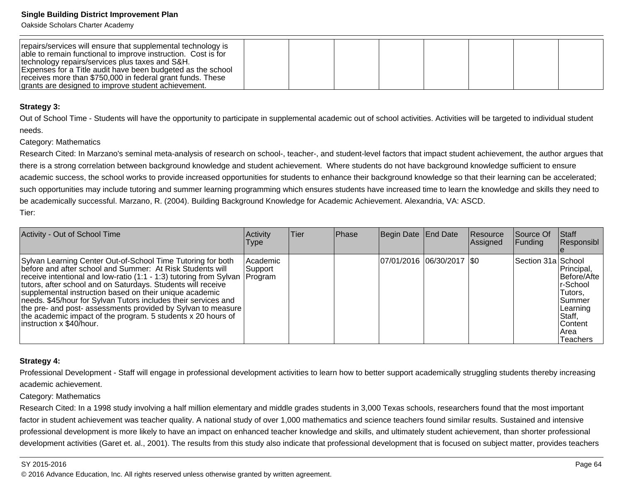Oakside Scholars Charter Academy

| repairs/services will ensure that supplemental technology is<br>able to remain functional to improve instruction. Cost is for |  |  |  |  |
|-------------------------------------------------------------------------------------------------------------------------------|--|--|--|--|
| technology repairs/services plus taxes and S&H.<br>Expenses for a Title audit have been budgeted as the school                |  |  |  |  |
| receives more than \$750,000 in federal grant funds. These                                                                    |  |  |  |  |
| grants are designed to improve student achievement.                                                                           |  |  |  |  |

#### **Strategy 3:**

Out of School Time - Students will have the opportunity to participate in supplemental academic out of school activities. Activities will be targeted to individual studentneeds.

#### Category: Mathematics

Research Cited: In Marzano's seminal meta-analysis of research on school-, teacher-, and student-level factors that impact student achievement, the author argues that there is a strong correlation between background knowledge and student achievement. Where students do not have background knowledge sufficient to ensureacademic success, the school works to provide increased opportunities for students to enhance their background knowledge so that their learning can be accelerated;such opportunities may include tutoring and summer learning programming which ensures students have increased time to learn the knowledge and skills they need to be academically successful. Marzano, R. (2004). Building Background Knowledge for Academic Achievement. Alexandria, VA: ASCD. Tier:

| Activity - Out of School Time                                                                                                                                                                                                                                                                                                                                                                                                                                                                                                                                        | Activity<br><b>Type</b> | lTier | <b>Phase</b> | Begin Date End Date         | Resource<br><b>Assigned</b> | Source Of<br><b>Funding</b> | Staff<br>Responsibl                                                                                                                    |
|----------------------------------------------------------------------------------------------------------------------------------------------------------------------------------------------------------------------------------------------------------------------------------------------------------------------------------------------------------------------------------------------------------------------------------------------------------------------------------------------------------------------------------------------------------------------|-------------------------|-------|--------------|-----------------------------|-----------------------------|-----------------------------|----------------------------------------------------------------------------------------------------------------------------------------|
| Sylvan Learning Center Out-of-School Time Tutoring for both<br>before and after school and Summer: At Risk Students will<br>receive intentional and low-ratio (1:1 - 1:3) tutoring from Sylvan   Program<br>tutors, after school and on Saturdays. Students will receive<br>supplemental instruction based on their unique academic<br>needs. \$45/hour for Sylvan Tutors includes their services and<br>  the pre- and post- assessments provided by Sylvan to measure<br>the academic impact of the program. 5 students x 20 hours of<br>linstruction x \$40/hour. | Academic<br>Support     |       |              | 07/01/2016 06/30/2017   \$0 |                             | Section 31a School          | Principal,<br>Before/Afte<br>r-School<br>Tutors,<br><b>Summer</b><br> Learning<br>Staff,<br><b>Content</b><br>IArea<br><b>Teachers</b> |

#### **Strategy 4:**

Professional Development - Staff will engage in professional development activities to learn how to better support academically struggling students thereby increasingacademic achievement.

#### Category: Mathematics

Research Cited: In a 1998 study involving a half million elementary and middle grades students in 3,000 Texas schools, researchers found that the most importantfactor in student achievement was teacher quality. A national study of over 1,000 mathematics and science teachers found similar results. Sustained and intensiveprofessional development is more likely to have an impact on enhanced teacher knowledge and skills, and ultimately student achievement, than shorter professionaldevelopment activities (Garet et. al., 2001). The results from this study also indicate that professional development that is focused on subject matter, provides teachers

#### SY 2015-2016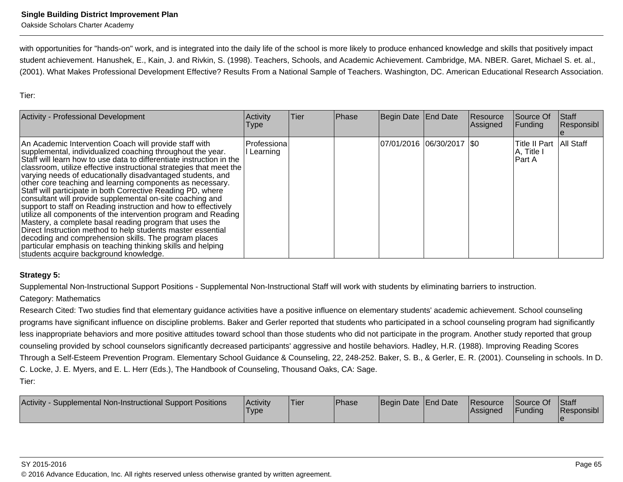with opportunities for "hands-on" work, and is integrated into the daily life of the school is more likely to produce enhanced knowledge and skills that positively impact student achievement. Hanushek, E., Kain, J. and Rivkin, S. (1998). Teachers, Schools, and Academic Achievement. Cambridge, MA. NBER. Garet, Michael S. et. al.,(2001). What Makes Professional Development Effective? Results From a National Sample of Teachers. Washington, DC. American Educational Research Association.

Tier:

| Activity - Professional Development                                                                                                                                                                                                                                                                                                                                                                                                                                                                                                                                                                                                                                                                                                                                                                                                                                                                                                                          | Activity<br>Type           | Tier | Phase | Begin Date End Date        | Resource<br>Assigned | Source Of<br> Funding                  | <b>Staff</b><br>Responsibl |
|--------------------------------------------------------------------------------------------------------------------------------------------------------------------------------------------------------------------------------------------------------------------------------------------------------------------------------------------------------------------------------------------------------------------------------------------------------------------------------------------------------------------------------------------------------------------------------------------------------------------------------------------------------------------------------------------------------------------------------------------------------------------------------------------------------------------------------------------------------------------------------------------------------------------------------------------------------------|----------------------------|------|-------|----------------------------|----------------------|----------------------------------------|----------------------------|
| An Academic Intervention Coach will provide staff with<br>supplemental, individualized coaching throughout the year.<br>Staff will learn how to use data to differentiate instruction in the<br>  classroom, utilize effective instructional strategies that meet the<br>varying needs of educationally disadvantaged students, and<br>other core teaching and learning components as necessary.<br>Staff will participate in both Corrective Reading PD, where<br>consultant will provide supplemental on-site coaching and<br>support to staff on Reading instruction and how to effectively<br>utilize all components of the intervention program and Reading<br>Mastery, a complete basal reading program that uses the<br>Direct Instruction method to help students master essential<br>decoding and comprehension skills. The program places<br>particular emphasis on teaching thinking skills and helping<br>students acquire background knowledge. | lProfessiona<br>l Learning |      |       | 07/01/2016 06/30/2017 \\$0 |                      | Title II Part<br>A, Title I<br>lPart A | All Staff                  |

### **Strategy 5:**

Supplemental Non-Instructional Support Positions - Supplemental Non-Instructional Staff will work with students by eliminating barriers to instruction.

#### Category: Mathematics

Research Cited: Two studies find that elementary guidance activities have a positive influence on elementary students' academic achievement. School counseling programs have significant influence on discipline problems. Baker and Gerler reported that students who participated in a school counseling program had significantlyless inappropriate behaviors and more positive attitudes toward school than those students who did not participate in the program. Another study reported that groupcounseling provided by school counselors significantly decreased participants' aggressive and hostile behaviors. Hadley, H.R. (1988). Improving Reading Scores Through a Self-Esteem Prevention Program. Elementary School Guidance & Counseling, 22, 248-252. Baker, S. B., & Gerler, E. R. (2001). Counseling in schools. In D.C. Locke, J. E. Myers, and E. L. Herr (Eds.), The Handbook of Counseling, Thousand Oaks, CA: Sage.Tier:

| Activity<br>Supplemental Non-Instructional Support Positions | Activity<br>'Type | <sup>1</sup> Tier | <b>Phase</b> | Begin Date End Date |  | <b>Resource</b><br><b>IAssigned</b> | Source Of<br><b>IFunding</b> | <b>Staff</b><br><b>Responsibl</b> |
|--------------------------------------------------------------|-------------------|-------------------|--------------|---------------------|--|-------------------------------------|------------------------------|-----------------------------------|
|--------------------------------------------------------------|-------------------|-------------------|--------------|---------------------|--|-------------------------------------|------------------------------|-----------------------------------|

#### SY 2015-2016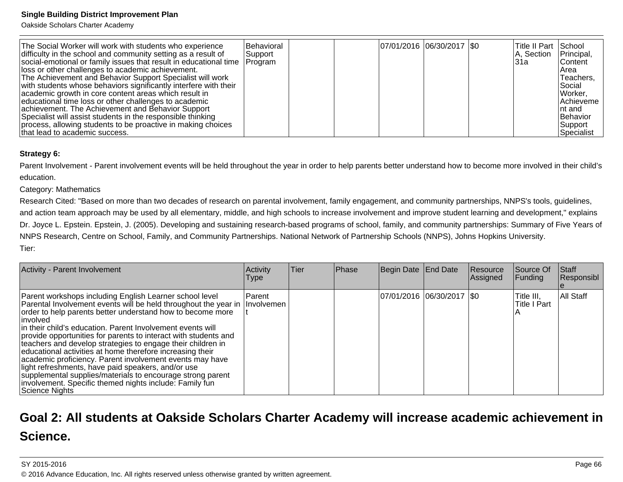Oakside Scholars Charter Academy

| The Social Worker will work with students who experience<br>difficulty in the school and community setting as a result of<br>social-emotional or family issues that result in educational time   Program<br>lloss or other challenges to academic achievement.<br>The Achievement and Behavior Support Specialist will work<br>with students whose behaviors significantly interfere with their<br>academic growth in core content areas which result in<br>educational time loss or other challenges to academic<br>achievement. The Achievement and Behavior Support<br>Specialist will assist students in the responsible thinking<br>process, allowing students to be proactive in making choices | Behavioral<br>Support |  | 07/01/2016 06/30/2017 \\$0 | lTitle II Part<br>A, Section<br>l31a | School<br>Principal,<br>lContent<br>l Area<br>Teachers,<br>l Social<br>Worker,<br><b>Achieveme</b><br>Int and<br>Behavior<br> Support |
|-------------------------------------------------------------------------------------------------------------------------------------------------------------------------------------------------------------------------------------------------------------------------------------------------------------------------------------------------------------------------------------------------------------------------------------------------------------------------------------------------------------------------------------------------------------------------------------------------------------------------------------------------------------------------------------------------------|-----------------------|--|----------------------------|--------------------------------------|---------------------------------------------------------------------------------------------------------------------------------------|
| that lead to academic success.                                                                                                                                                                                                                                                                                                                                                                                                                                                                                                                                                                                                                                                                        |                       |  |                            |                                      | Specialist                                                                                                                            |

### **Strategy 6:**

Parent Involvement - Parent involvement events will be held throughout the year in order to help parents better understand how to become more involved in their child'seducation.

#### Category: Mathematics

 Research Cited: "Based on more than two decades of research on parental involvement, family engagement, and community partnerships, NNPS's tools, guidelines,and action team approach may be used by all elementary, middle, and high schools to increase involvement and improve student learning and development," explainsDr. Joyce L. Epstein. Epstein, J. (2005). Developing and sustaining research-based programs of school, family, and community partnerships: Summary of Five Years of NNPS Research, Centre on School, Family, and Community Partnerships. National Network of Partnership Schools (NNPS), Johns Hopkins University.Tier:

| Activity - Parent Involvement                                                                                                                                                                                                                                                                                                                                                                                                                                                                                                                                                                                                                                                                                                   | Activity<br>Type            | <b>Tier</b> | Phase | Begin Date End Date         | Resource<br>Assigned | Source Of<br>Funding              | Staff<br>Responsibl |
|---------------------------------------------------------------------------------------------------------------------------------------------------------------------------------------------------------------------------------------------------------------------------------------------------------------------------------------------------------------------------------------------------------------------------------------------------------------------------------------------------------------------------------------------------------------------------------------------------------------------------------------------------------------------------------------------------------------------------------|-----------------------------|-------------|-------|-----------------------------|----------------------|-----------------------------------|---------------------|
| Parent workshops including English Learner school level<br>Parental Involvement events will be held throughout the year in<br>order to help parents better understand how to become more<br>linvolved<br>in their child's education. Parent Involvement events will<br>provide opportunities for parents to interact with students and<br>teachers and develop strategies to engage their children in<br>educational activities at home therefore increasing their<br>academic proficiency. Parent involvement events may have<br>light refreshments, have paid speakers, and/or use<br>supplemental supplies/materials to encourage strong parent<br>involvement. Specific themed nights include: Family fun<br>Science Nights | Parent<br><b>Involvemen</b> |             |       | 07/01/2016  06/30/2017  \$0 |                      | Title III,<br><b>Title I Part</b> | All Staff           |

# **Goal 2: All students at Oakside Scholars Charter Academy will increase academic achievement inScience.**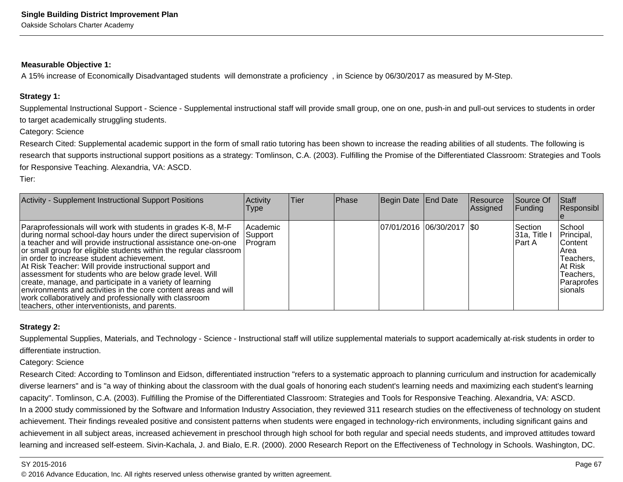#### **Measurable Objective 1:**

A 15% increase of Economically Disadvantaged students will demonstrate a proficiency , in Science by 06/30/2017 as measured by M-Step.

#### **Strategy 1:**

Supplemental Instructional Support - Science - Supplemental instructional staff will provide small group, one on one, push-in and pull-out services to students in orderto target academically struggling students.

Category: Science

Research Cited: Supplemental academic support in the form of small ratio tutoring has been shown to increase the reading abilities of all students. The following is research that supports instructional support positions as a strategy: Tomlinson, C.A. (2003). Fulfilling the Promise of the Differentiated Classroom: Strategies and Toolsfor Responsive Teaching. Alexandria, VA: ASCD.

Tier:

| <b>Activity - Supplement Instructional Support Positions</b>                                                                                                                                                                                                                                                                                                                                                                                                                                                                                                                                                                                                                       | Activity<br><b>Type</b>           | <b>Tier</b> | Phase | Begin Date End Date         | Resource<br>Assigned | Source Of<br><b>Funding</b>          | Staff<br>Responsibl                                                                                              |
|------------------------------------------------------------------------------------------------------------------------------------------------------------------------------------------------------------------------------------------------------------------------------------------------------------------------------------------------------------------------------------------------------------------------------------------------------------------------------------------------------------------------------------------------------------------------------------------------------------------------------------------------------------------------------------|-----------------------------------|-------------|-------|-----------------------------|----------------------|--------------------------------------|------------------------------------------------------------------------------------------------------------------|
| Paraprofessionals will work with students in grades K-8, M-F<br>during normal school-day hours under the direct supervision of<br>a teacher and will provide instructional assistance one-on-one<br>or small group for eligible students within the regular classroom<br>in order to increase student achievement.<br>At Risk Teacher: Will provide instructional support and<br>assessment for students who are below grade level. Will<br>create, manage, and participate in a variety of learning<br>environments and activities in the core content areas and will<br>work collaboratively and professionally with classroom<br>teachers, other interventionists, and parents. | l Academic<br>Support<br> Program |             |       | 07/01/2016  06/30/2017  \$0 |                      | lSection.<br>31a, Title I<br>IPart A | School<br>Principal,<br><b>Content</b><br>IArea<br>Teachers,<br>IAt Risk<br>Teachers,<br>lParaprofes<br>Isionals |

### **Strategy 2:**

Supplemental Supplies, Materials, and Technology - Science - Instructional staff will utilize supplemental materials to support academically at-risk students in order todifferentiate instruction.

Category: Science

Research Cited: According to Tomlinson and Eidson, differentiated instruction "refers to a systematic approach to planning curriculum and instruction for academically diverse learners" and is "a way of thinking about the classroom with the dual goals of honoring each student's learning needs and maximizing each student's learningcapacity". Tomlinson, C.A. (2003). Fulfilling the Promise of the Differentiated Classroom: Strategies and Tools for Responsive Teaching. Alexandria, VA: ASCD.In a 2000 study commissioned by the Software and Information Industry Association, they reviewed 311 research studies on the effectiveness of technology on studentachievement. Their findings revealed positive and consistent patterns when students were engaged in technology-rich environments, including significant gains and achievement in all subject areas, increased achievement in preschool through high school for both regular and special needs students, and improved attitudes towardlearning and increased self-esteem. Sivin-Kachala, J. and Bialo, E.R. (2000). 2000 Research Report on the Effectiveness of Technology in Schools. Washington, DC.

#### SY 2015-2016

en and the state of the state of the state of the state of the state of the state of the state of the Page 67  $\,$ © 2016 Advance Education, Inc. All rights reserved unless otherwise granted by written agreement.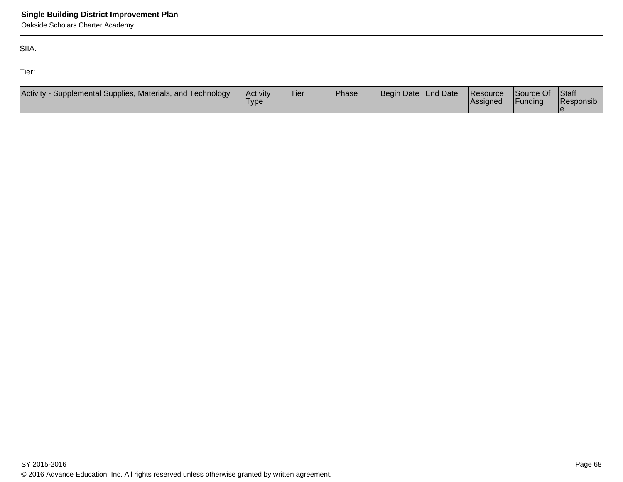SIIA.

Tier:

| Activity -<br>- Supplemental Supplies, Materials, and Technology | Activity<br>'Type | 'Tier | <b>Phase</b> | Begin Date End Date | Resource<br><b>Assigned</b> | Source Of<br>Funding | <b>Staff</b><br>Responsibl |
|------------------------------------------------------------------|-------------------|-------|--------------|---------------------|-----------------------------|----------------------|----------------------------|
|                                                                  |                   |       |              |                     |                             |                      |                            |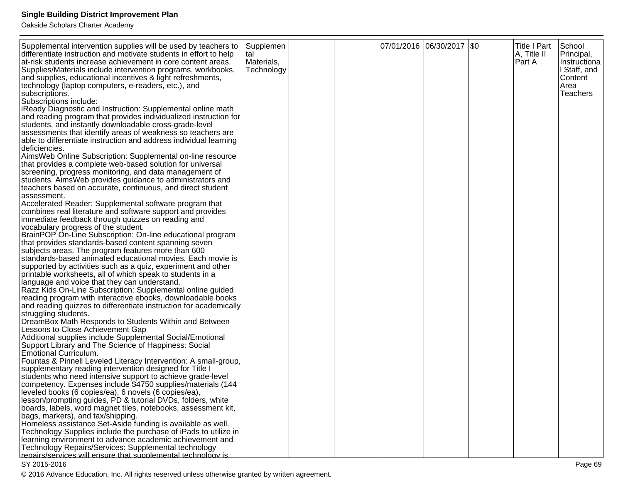Oakside Scholars Charter Academy

| Supplemental intervention supplies will be used by teachers to<br>differentiate instruction and motivate students in effort to help<br>at-risk students increase achievement in core content areas.<br>Supplies/Materials include intervention programs, workbooks,<br>and supplies, educational incentives & light refreshments,<br>technology (laptop computers, e-readers, etc.), and<br>subscriptions.<br>Subscriptions include:<br><b>iReady Diagnostic and Instruction: Supplemental online math</b><br>and reading program that provides individualized instruction for<br>students, and instantly downloadable cross-grade-level<br>assessments that identify areas of weakness so teachers are<br>able to differentiate instruction and address individual learning<br>Ideficiencies.<br>AimsWeb Online Subscription: Supplemental on-line resource<br>that provides a complete web-based solution for universal<br>screening, progress monitoring, and data management of<br>students. Aims Web provides guidance to administrators and<br>teachers based on accurate, continuous, and direct student<br>assessment.<br>Accelerated Reader: Supplemental software program that<br>combines real literature and software support and provides<br>immediate feedback through quizzes on reading and<br>vocabulary progress of the student.<br>BrainPOP On-Line Subscription: On-line educational program<br>that provides standards-based content spanning seven<br>subjects areas. The program features more than 600<br>standards-based animated educational movies. Each movie is<br>supported by activities such as a quiz, experiment and other<br>printable worksheets, all of which speak to students in a<br>language and voice that they can understand.<br>Razz Kids On-Line Subscription: Supplemental online guided<br>reading program with interactive ebooks, downloadable books<br>and reading quizzes to differentiate instruction for academically<br>struggling students.<br>DreamBox Math Responds to Students Within and Between<br>Lessons to Close Achievement Gap<br>Additional supplies include Supplemental Social/Emotional<br>Support Library and The Science of Happiness: Social<br>Emotional Curriculum.<br>Fountas & Pinnell Leveled Literacy Intervention: A small-group,<br>supplementary reading intervention designed for Title I<br>students who need intensive support to achieve grade-level | Supplemen<br>tal<br>Materials,<br>Technology |  | 07/01/2016  06/30/2017  \$0 | <b>Title I Part</b><br>A, Title II<br>Part A | School<br>Principal,<br>Instructiona<br>I Staff, and<br>Content<br>Area<br><b>Teachers</b> |
|--------------------------------------------------------------------------------------------------------------------------------------------------------------------------------------------------------------------------------------------------------------------------------------------------------------------------------------------------------------------------------------------------------------------------------------------------------------------------------------------------------------------------------------------------------------------------------------------------------------------------------------------------------------------------------------------------------------------------------------------------------------------------------------------------------------------------------------------------------------------------------------------------------------------------------------------------------------------------------------------------------------------------------------------------------------------------------------------------------------------------------------------------------------------------------------------------------------------------------------------------------------------------------------------------------------------------------------------------------------------------------------------------------------------------------------------------------------------------------------------------------------------------------------------------------------------------------------------------------------------------------------------------------------------------------------------------------------------------------------------------------------------------------------------------------------------------------------------------------------------------------------------------------------------------------------------------------------------------------------------------------------------------------------------------------------------------------------------------------------------------------------------------------------------------------------------------------------------------------------------------------------------------------------------------------------------------------------------------------------------------------------------------------------------------------------------|----------------------------------------------|--|-----------------------------|----------------------------------------------|--------------------------------------------------------------------------------------------|
|                                                                                                                                                                                                                                                                                                                                                                                                                                                                                                                                                                                                                                                                                                                                                                                                                                                                                                                                                                                                                                                                                                                                                                                                                                                                                                                                                                                                                                                                                                                                                                                                                                                                                                                                                                                                                                                                                                                                                                                                                                                                                                                                                                                                                                                                                                                                                                                                                                            |                                              |  |                             |                                              |                                                                                            |
| competency. Expenses include \$4750 supplies/materials (144<br>leveled books (6 copies/ea), 6 novels (6 copies/ea),                                                                                                                                                                                                                                                                                                                                                                                                                                                                                                                                                                                                                                                                                                                                                                                                                                                                                                                                                                                                                                                                                                                                                                                                                                                                                                                                                                                                                                                                                                                                                                                                                                                                                                                                                                                                                                                                                                                                                                                                                                                                                                                                                                                                                                                                                                                        |                                              |  |                             |                                              |                                                                                            |
| lesson/prompting guides, PD & tutorial DVDs, folders, white<br>boards, labels, word magnet tiles, notebooks, assessment kit,<br>bags, markers), and tax/shipping.<br>Homeless assistance Set-Aside funding is available as well.                                                                                                                                                                                                                                                                                                                                                                                                                                                                                                                                                                                                                                                                                                                                                                                                                                                                                                                                                                                                                                                                                                                                                                                                                                                                                                                                                                                                                                                                                                                                                                                                                                                                                                                                                                                                                                                                                                                                                                                                                                                                                                                                                                                                           |                                              |  |                             |                                              |                                                                                            |
| Technology Supplies include the purchase of iPads to utilize in<br>learning environment to advance academic achievement and<br>Technology Repairs/Services: Supplemental technology<br>repairs/services will ensure that supplemental technology is                                                                                                                                                                                                                                                                                                                                                                                                                                                                                                                                                                                                                                                                                                                                                                                                                                                                                                                                                                                                                                                                                                                                                                                                                                                                                                                                                                                                                                                                                                                                                                                                                                                                                                                                                                                                                                                                                                                                                                                                                                                                                                                                                                                        |                                              |  |                             |                                              |                                                                                            |
|                                                                                                                                                                                                                                                                                                                                                                                                                                                                                                                                                                                                                                                                                                                                                                                                                                                                                                                                                                                                                                                                                                                                                                                                                                                                                                                                                                                                                                                                                                                                                                                                                                                                                                                                                                                                                                                                                                                                                                                                                                                                                                                                                                                                                                                                                                                                                                                                                                            |                                              |  |                             |                                              |                                                                                            |

### SY 2015-2016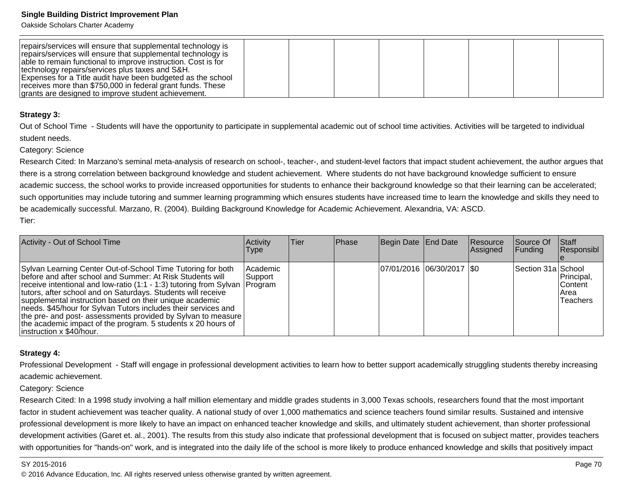Oakside Scholars Charter Academy

| repairs/services will ensure that supplemental technology is<br>repairs/services will ensure that supplemental technology is<br>able to remain functional to improve instruction. Cost is for<br>technology repairs/services plus taxes and S&H. |  |  |  |  |
|--------------------------------------------------------------------------------------------------------------------------------------------------------------------------------------------------------------------------------------------------|--|--|--|--|
| Expenses for a Title audit have been budgeted as the school                                                                                                                                                                                      |  |  |  |  |
| receives more than \$750,000 in federal grant funds. These<br>grants are designed to improve student achievement.                                                                                                                                |  |  |  |  |

#### **Strategy 3:**

Out of School Time - Students will have the opportunity to participate in supplemental academic out of school time activities. Activities will be targeted to individualstudent needs.

Category: Science

Research Cited: In Marzano's seminal meta-analysis of research on school-, teacher-, and student-level factors that impact student achievement, the author argues thatthere is a strong correlation between background knowledge and student achievement. Where students do not have background knowledge sufficient to ensure academic success, the school works to provide increased opportunities for students to enhance their background knowledge so that their learning can be accelerated;such opportunities may include tutoring and summer learning programming which ensures students have increased time to learn the knowledge and skills they need tobe academically successful. Marzano, R. (2004). Building Background Knowledge for Academic Achievement. Alexandria, VA: ASCD. Tier:

| Activity - Out of School Time                                                                                                                                                                                                                                                                                                                                                                                                                                                                                                                                     | Activity<br><b>Type</b> | lTier | <b>Phase</b> | Begin Date End Date |                             | Resource<br>Assigned | lSource Of<br><b>Funding</b> | Staff<br>Responsibl                                       |
|-------------------------------------------------------------------------------------------------------------------------------------------------------------------------------------------------------------------------------------------------------------------------------------------------------------------------------------------------------------------------------------------------------------------------------------------------------------------------------------------------------------------------------------------------------------------|-------------------------|-------|--------------|---------------------|-----------------------------|----------------------|------------------------------|-----------------------------------------------------------|
| Sylvan Learning Center Out-of-School Time Tutoring for both<br>before and after school and Summer: At Risk Students will<br>receive intentional and low-ratio (1:1 - 1:3) tutoring from Sylvan   Program<br>tutors, after school and on Saturdays. Students will receive<br>supplemental instruction based on their unique academic<br>needs. \$45/hour for Sylvan Tutors includes their services and<br>the pre- and post- assessments provided by Sylvan to measure<br>the academic impact of the program. 5 students x 20 hours of<br>instruction x \$40/hour. | Academic<br> Support    |       |              |                     | 07/01/2016 06/30/2017   \$0 |                      | Section 31a School           | Principal,<br><b>Content</b><br>l Area<br><b>Teachers</b> |

## **Strategy 4:**

Professional Development - Staff will engage in professional development activities to learn how to better support academically struggling students thereby increasingacademic achievement.

#### Category: Science

Research Cited: In a 1998 study involving a half million elementary and middle grades students in 3,000 Texas schools, researchers found that the most importantfactor in student achievement was teacher quality. A national study of over 1,000 mathematics and science teachers found similar results. Sustained and intensiveprofessional development is more likely to have an impact on enhanced teacher knowledge and skills, and ultimately student achievement, than shorter professionaldevelopment activities (Garet et. al., 2001). The results from this study also indicate that professional development that is focused on subject matter, provides teacherswith opportunities for "hands-on" work, and is integrated into the daily life of the school is more likely to produce enhanced knowledge and skills that positively impact

#### SY 2015-2016

estimate the contract of the contract of the contract of the contract of the contract of the contract of the contract of the contract of the contract of the contract of the contract of the contract of the contract of the c © 2016 Advance Education, Inc. All rights reserved unless otherwise granted by written agreement.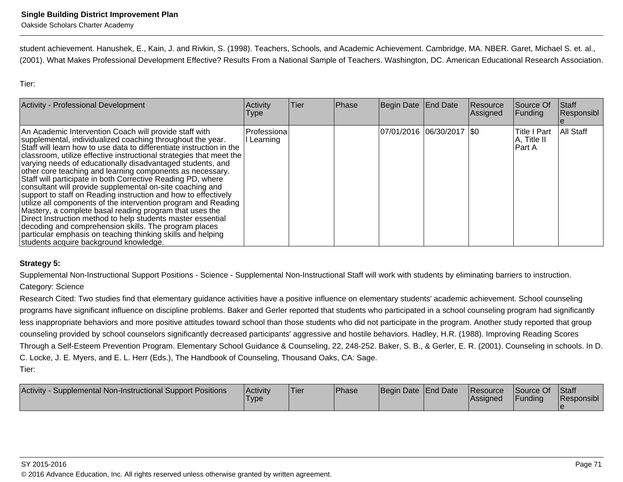student achievement. Hanushek, E., Kain, J. and Rivkin, S. (1998). Teachers, Schools, and Academic Achievement. Cambridge, MA. NBER. Garet, Michael S. et. al.,(2001). What Makes Professional Development Effective? Results From a National Sample of Teachers. Washington, DC. American Educational Research Association.

Tier:

| <b>Activity - Professional Development</b>                                                                                                                                                                                                                                                                                                                                                                                                                                                                                                                                                                                                                                                                                                                                                                                                                                                                                                                 | Activity<br><b>Type</b> | Tier | Phase | Begin Date End Date         | Resource<br>Assigned | Source Of<br>Funding                          | Staff<br>Responsibl |
|------------------------------------------------------------------------------------------------------------------------------------------------------------------------------------------------------------------------------------------------------------------------------------------------------------------------------------------------------------------------------------------------------------------------------------------------------------------------------------------------------------------------------------------------------------------------------------------------------------------------------------------------------------------------------------------------------------------------------------------------------------------------------------------------------------------------------------------------------------------------------------------------------------------------------------------------------------|-------------------------|------|-------|-----------------------------|----------------------|-----------------------------------------------|---------------------|
| An Academic Intervention Coach will provide staff with<br>supplemental, individualized coaching throughout the year.<br>Staff will learn how to use data to differentiate instruction in the<br>classroom, utilize effective instructional strategies that meet the<br>varying needs of educationally disadvantaged students, and<br>other core teaching and learning components as necessary.<br>Staff will participate in both Corrective Reading PD, where<br>consultant will provide supplemental on-site coaching and<br>support to staff on Reading instruction and how to effectively<br>utilize all components of the intervention program and Reading<br>Mastery, a complete basal reading program that uses the<br>Direct Instruction method to help students master essential<br>decoding and comprehension skills. The program places<br>particular emphasis on teaching thinking skills and helping<br>students acquire background knowledge. | Professiona<br>Learning |      |       | 07/01/2016 06/30/2017   \$0 |                      | <b>Title I Part</b><br>A, Title II<br>IPart A | All Staff           |

## **Strategy 5:**

Supplemental Non-Instructional Support Positions - Science - Supplemental Non-Instructional Staff will work with students by eliminating barriers to instruction. Category: Science

Research Cited: Two studies find that elementary guidance activities have a positive influence on elementary students' academic achievement. School counseling programs have significant influence on discipline problems. Baker and Gerler reported that students who participated in a school counseling program had significantlyless inappropriate behaviors and more positive attitudes toward school than those students who did not participate in the program. Another study reported that group counseling provided by school counselors significantly decreased participants' aggressive and hostile behaviors. Hadley, H.R. (1988). Improving Reading ScoresThrough a Self-Esteem Prevention Program. Elementary School Guidance & Counseling, 22, 248-252. Baker, S. B., & Gerler, E. R. (2001). Counseling in schools. In D.C. Locke, J. E. Myers, and E. L. Herr (Eds.), The Handbook of Counseling, Thousand Oaks, CA: Sage.Tier:

| Activity<br>Supplemental Non-Instructional Support Positions | Activitv<br><b>Type</b> | <sup>1</sup> Tier | <b>Phase</b> | Begin Date End Date | <b>Resource</b><br>lAssianed | Source Of<br>Funding | Staff<br>Responsibl |
|--------------------------------------------------------------|-------------------------|-------------------|--------------|---------------------|------------------------------|----------------------|---------------------|
|                                                              |                         |                   |              |                     |                              |                      |                     |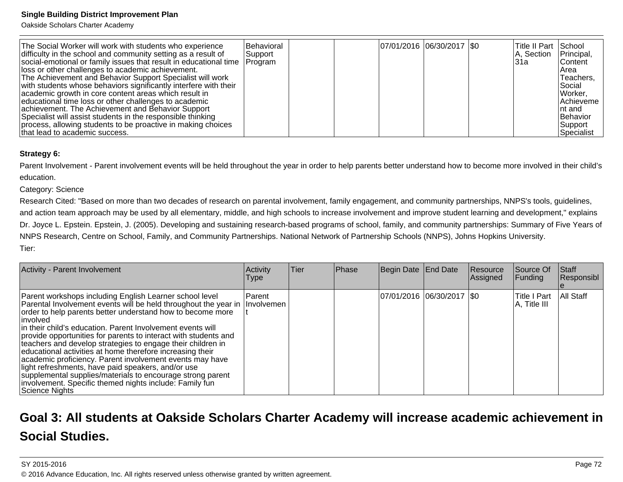Oakside Scholars Charter Academy

| The Social Worker will work with students who experience<br>difficulty in the school and community setting as a result of<br>social-emotional or family issues that result in educational time   Program<br>lloss or other challenges to academic achievement.<br>The Achievement and Behavior Support Specialist will work<br>with students whose behaviors significantly interfere with their<br>academic growth in core content areas which result in<br>educational time loss or other challenges to academic<br>achievement. The Achievement and Behavior Support<br>Specialist will assist students in the responsible thinking<br>process, allowing students to be proactive in making choices | Behavioral<br>Support |  | 07/01/2016 06/30/2017 \\$0 | lTitle II Part<br>A, Section<br>l31a | School<br>Principal,<br>lContent<br>l Area<br>Teachers,<br>l Social<br>Worker,<br><b>Achieveme</b><br>Int and<br>Behavior<br> Support |
|-------------------------------------------------------------------------------------------------------------------------------------------------------------------------------------------------------------------------------------------------------------------------------------------------------------------------------------------------------------------------------------------------------------------------------------------------------------------------------------------------------------------------------------------------------------------------------------------------------------------------------------------------------------------------------------------------------|-----------------------|--|----------------------------|--------------------------------------|---------------------------------------------------------------------------------------------------------------------------------------|
| that lead to academic success.                                                                                                                                                                                                                                                                                                                                                                                                                                                                                                                                                                                                                                                                        |                       |  |                            |                                      | Specialist                                                                                                                            |

### **Strategy 6:**

Parent Involvement - Parent involvement events will be held throughout the year in order to help parents better understand how to become more involved in their child'seducation.

#### Category: Science

 Research Cited: "Based on more than two decades of research on parental involvement, family engagement, and community partnerships, NNPS's tools, guidelines,and action team approach may be used by all elementary, middle, and high schools to increase involvement and improve student learning and development," explainsDr. Joyce L. Epstein. Epstein, J. (2005). Developing and sustaining research-based programs of school, family, and community partnerships: Summary of Five Years of NNPS Research, Centre on School, Family, and Community Partnerships. National Network of Partnership Schools (NNPS), Johns Hopkins University.Tier:

| Activity - Parent Involvement                                                                                                                                                                                                                                                                                                                                                                                                                                                                                                                                                                                                                                                                                                   | Activity<br><b>Type</b>     | <b>Tier</b> | Phase | Begin Date End Date         | Resource<br>Assigned | Source Of<br>Funding          | <b>Staff</b><br>Responsibl |
|---------------------------------------------------------------------------------------------------------------------------------------------------------------------------------------------------------------------------------------------------------------------------------------------------------------------------------------------------------------------------------------------------------------------------------------------------------------------------------------------------------------------------------------------------------------------------------------------------------------------------------------------------------------------------------------------------------------------------------|-----------------------------|-------------|-------|-----------------------------|----------------------|-------------------------------|----------------------------|
| Parent workshops including English Learner school level<br>Parental Involvement events will be held throughout the year in<br>order to help parents better understand how to become more<br>linvolved<br>in their child's education. Parent Involvement events will<br>provide opportunities for parents to interact with students and<br>teachers and develop strategies to engage their children in<br>educational activities at home therefore increasing their<br>academic proficiency. Parent involvement events may have<br>light refreshments, have paid speakers, and/or use<br>supplemental supplies/materials to encourage strong parent<br>involvement. Specific themed nights include: Family fun<br>Science Nights | Parent<br><b>Involvemen</b> |             |       | 07/01/2016  06/30/2017  \$0 |                      | lTitle I Part<br>A, Title III | <b>All Staff</b>           |

# **Goal 3: All students at Oakside Scholars Charter Academy will increase academic achievement inSocial Studies.**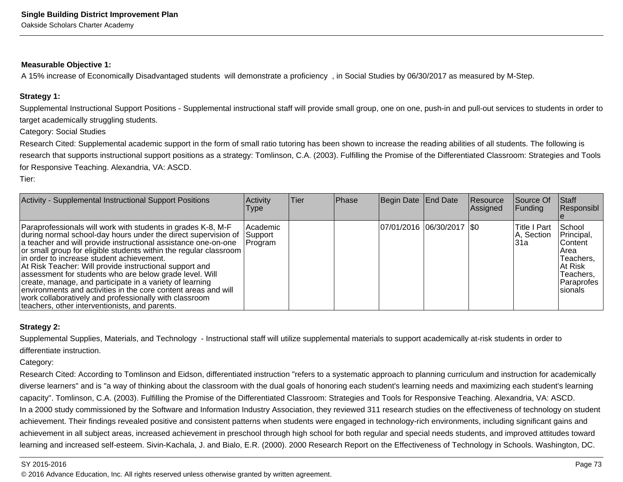#### **Measurable Objective 1:**

A 15% increase of Economically Disadvantaged students will demonstrate a proficiency , in Social Studies by 06/30/2017 as measured by M-Step.

#### **Strategy 1:**

Supplemental Instructional Support Positions - Supplemental instructional staff will provide small group, one on one, push-in and pull-out services to students in order totarget academically struggling students.

Category: Social Studies

Research Cited: Supplemental academic support in the form of small ratio tutoring has been shown to increase the reading abilities of all students. The following isresearch that supports instructional support positions as a strategy: Tomlinson, C.A. (2003). Fulfilling the Promise of the Differentiated Classroom: Strategies and Toolsfor Responsive Teaching. Alexandria, VA: ASCD.

Tier:

| Activity - Supplemental Instructional Support Positions                                                                                                                                                                                                                                                                                                                                                                                                                                                                                                                                                                                                                             | Activity<br>Type                  | <b>Tier</b> | Phase | Begin Date End Date         | Resource<br> Assigned | Source Of<br><b>Funding</b>         | <b>Staff</b><br>Responsibl                                                                                         |
|-------------------------------------------------------------------------------------------------------------------------------------------------------------------------------------------------------------------------------------------------------------------------------------------------------------------------------------------------------------------------------------------------------------------------------------------------------------------------------------------------------------------------------------------------------------------------------------------------------------------------------------------------------------------------------------|-----------------------------------|-------------|-------|-----------------------------|-----------------------|-------------------------------------|--------------------------------------------------------------------------------------------------------------------|
| Paraprofessionals will work with students in grades K-8, M-F<br>during normal school-day hours under the direct supervision of<br>a teacher and will provide instructional assistance one-on-one<br>or small group for eligible students within the regular classroom<br>lin order to increase student achievement.<br>At Risk Teacher: Will provide instructional support and<br>assessment for students who are below grade level. Will<br>create, manage, and participate in a variety of learning<br>environments and activities in the core content areas and will<br>work collaboratively and professionally with classroom<br>teachers, other interventionists, and parents. | l Academic<br>Support<br> Program |             |       | 07/01/2016  06/30/2017  \$0 |                       | lTitle I Part<br>A, Section<br>l31a | School<br>Principal,<br><b>IContent</b><br>IArea<br>Teachers,<br>IAt Risk<br>Teachers,<br> Paraprofes <br>Isionals |

#### **Strategy 2:**

Supplemental Supplies, Materials, and Technology - Instructional staff will utilize supplemental materials to support academically at-risk students in order todifferentiate instruction.

Category:

Research Cited: According to Tomlinson and Eidson, differentiated instruction "refers to a systematic approach to planning curriculum and instruction for academicallydiverse learners" and is "a way of thinking about the classroom with the dual goals of honoring each student's learning needs and maximizing each student's learningcapacity". Tomlinson, C.A. (2003). Fulfilling the Promise of the Differentiated Classroom: Strategies and Tools for Responsive Teaching. Alexandria, VA: ASCD.In a 2000 study commissioned by the Software and Information Industry Association, they reviewed 311 research studies on the effectiveness of technology on studentachievement. Their findings revealed positive and consistent patterns when students were engaged in technology-rich environments, including significant gains and achievement in all subject areas, increased achievement in preschool through high school for both regular and special needs students, and improved attitudes towardlearning and increased self-esteem. Sivin-Kachala, J. and Bialo, E.R. (2000). 2000 Research Report on the Effectiveness of Technology in Schools. Washington, DC.

#### SY 2015-2016

© 2016 Advance Education, Inc. All rights reserved unless otherwise granted by written agreement.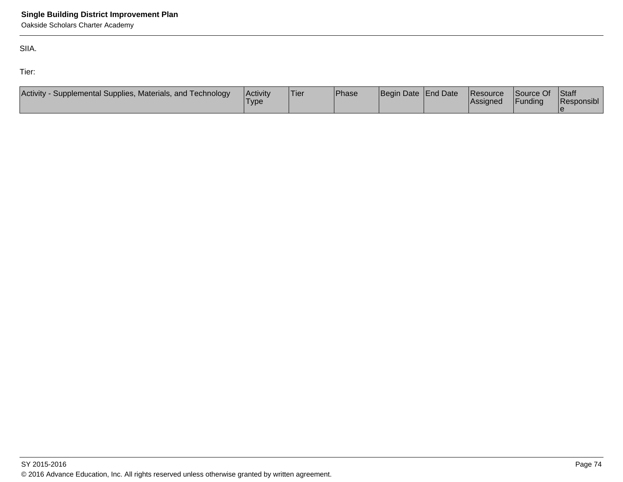Oakside Scholars Charter Academy

SIIA.

Tier:

| Activity -<br>- Supplemental Supplies, Materials, and Technology | Activity<br>'Type | 'Tier | <b>Phase</b> | Begin Date End Date | Resource<br><b>Assigned</b> | Source Of<br>Funding | <b>Staff</b><br>Responsibl |
|------------------------------------------------------------------|-------------------|-------|--------------|---------------------|-----------------------------|----------------------|----------------------------|
|                                                                  |                   |       |              |                     |                             |                      |                            |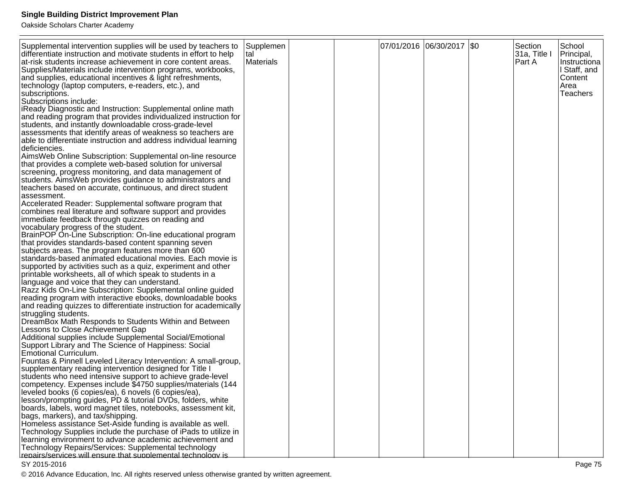Oakside Scholars Charter Academy

| Supplemental intervention supplies will be used by teachers to<br>differentiate instruction and motivate students in effort to help<br>at-risk students increase achievement in core content areas.<br>Supplies/Materials include intervention programs, workbooks,<br>and supplies, educational incentives & light refreshments,<br>technology (laptop computers, e-readers, etc.), and<br>subscriptions.<br>Subscriptions include:<br>iReady Diagnostic and Instruction: Supplemental online math<br>and reading program that provides individualized instruction for<br>students, and instantly downloadable cross-grade-level<br>assessments that identify areas of weakness so teachers are<br>able to differentiate instruction and address individual learning<br>deficiencies.<br>AimsWeb Online Subscription: Supplemental on-line resource<br>that provides a complete web-based solution for universal<br>screening, progress monitoring, and data management of<br>students. Aims Web provides guidance to administrators and<br>teachers based on accurate, continuous, and direct student<br>assessment.<br>Accelerated Reader: Supplemental software program that<br>combines real literature and software support and provides<br>immediate feedback through quizzes on reading and | Supplemen<br><b>Ital</b><br>Materials |  | 07/01/2016  06/30/2017  \$0 | Section<br>31a, Title I<br>Part A | School<br>Principal,<br>Instructiona<br>I Staff, and<br>Content<br>Area<br><b>Teachers</b> |
|-----------------------------------------------------------------------------------------------------------------------------------------------------------------------------------------------------------------------------------------------------------------------------------------------------------------------------------------------------------------------------------------------------------------------------------------------------------------------------------------------------------------------------------------------------------------------------------------------------------------------------------------------------------------------------------------------------------------------------------------------------------------------------------------------------------------------------------------------------------------------------------------------------------------------------------------------------------------------------------------------------------------------------------------------------------------------------------------------------------------------------------------------------------------------------------------------------------------------------------------------------------------------------------------------------|---------------------------------------|--|-----------------------------|-----------------------------------|--------------------------------------------------------------------------------------------|
| vocabulary progress of the student.<br>BrainPOP On-Line Subscription: On-line educational program                                                                                                                                                                                                                                                                                                                                                                                                                                                                                                                                                                                                                                                                                                                                                                                                                                                                                                                                                                                                                                                                                                                                                                                                   |                                       |  |                             |                                   |                                                                                            |
| that provides standards-based content spanning seven<br>subjects areas. The program features more than 600<br>standards-based animated educational movies. Each movie is                                                                                                                                                                                                                                                                                                                                                                                                                                                                                                                                                                                                                                                                                                                                                                                                                                                                                                                                                                                                                                                                                                                            |                                       |  |                             |                                   |                                                                                            |
| supported by activities such as a quiz, experiment and other<br>printable worksheets, all of which speak to students in a<br>language and voice that they can understand.                                                                                                                                                                                                                                                                                                                                                                                                                                                                                                                                                                                                                                                                                                                                                                                                                                                                                                                                                                                                                                                                                                                           |                                       |  |                             |                                   |                                                                                            |
| Razz Kids On-Line Subscription: Supplemental online guided<br>reading program with interactive ebooks, downloadable books                                                                                                                                                                                                                                                                                                                                                                                                                                                                                                                                                                                                                                                                                                                                                                                                                                                                                                                                                                                                                                                                                                                                                                           |                                       |  |                             |                                   |                                                                                            |
| and reading quizzes to differentiate instruction for academically<br>struggling students.                                                                                                                                                                                                                                                                                                                                                                                                                                                                                                                                                                                                                                                                                                                                                                                                                                                                                                                                                                                                                                                                                                                                                                                                           |                                       |  |                             |                                   |                                                                                            |
| DreamBox Math Responds to Students Within and Between<br>Lessons to Close Achievement Gap                                                                                                                                                                                                                                                                                                                                                                                                                                                                                                                                                                                                                                                                                                                                                                                                                                                                                                                                                                                                                                                                                                                                                                                                           |                                       |  |                             |                                   |                                                                                            |
| Additional supplies include Supplemental Social/Emotional<br>Support Library and The Science of Happiness: Social<br>Emotional Curriculum.                                                                                                                                                                                                                                                                                                                                                                                                                                                                                                                                                                                                                                                                                                                                                                                                                                                                                                                                                                                                                                                                                                                                                          |                                       |  |                             |                                   |                                                                                            |
| Fountas & Pinnell Leveled Literacy Intervention: A small-group,<br>supplementary reading intervention designed for Title I                                                                                                                                                                                                                                                                                                                                                                                                                                                                                                                                                                                                                                                                                                                                                                                                                                                                                                                                                                                                                                                                                                                                                                          |                                       |  |                             |                                   |                                                                                            |
| students who need intensive support to achieve grade-level<br>competency. Expenses include \$4750 supplies/materials (144                                                                                                                                                                                                                                                                                                                                                                                                                                                                                                                                                                                                                                                                                                                                                                                                                                                                                                                                                                                                                                                                                                                                                                           |                                       |  |                             |                                   |                                                                                            |
| leveled books (6 copies/ea), 6 novels (6 copies/ea),                                                                                                                                                                                                                                                                                                                                                                                                                                                                                                                                                                                                                                                                                                                                                                                                                                                                                                                                                                                                                                                                                                                                                                                                                                                |                                       |  |                             |                                   |                                                                                            |
| lesson/prompting guides, PD & tutorial DVDs, folders, white<br>boards, labels, word magnet tiles, notebooks, assessment kit,                                                                                                                                                                                                                                                                                                                                                                                                                                                                                                                                                                                                                                                                                                                                                                                                                                                                                                                                                                                                                                                                                                                                                                        |                                       |  |                             |                                   |                                                                                            |
| bags, markers), and tax/shipping.<br>Homeless assistance Set-Aside funding is available as well.                                                                                                                                                                                                                                                                                                                                                                                                                                                                                                                                                                                                                                                                                                                                                                                                                                                                                                                                                                                                                                                                                                                                                                                                    |                                       |  |                             |                                   |                                                                                            |
| Technology Supplies include the purchase of iPads to utilize in<br>learning environment to advance academic achievement and                                                                                                                                                                                                                                                                                                                                                                                                                                                                                                                                                                                                                                                                                                                                                                                                                                                                                                                                                                                                                                                                                                                                                                         |                                       |  |                             |                                   |                                                                                            |
| Technology Repairs/Services: Supplemental technology<br>repairs/services will ensure that supplemental technology is                                                                                                                                                                                                                                                                                                                                                                                                                                                                                                                                                                                                                                                                                                                                                                                                                                                                                                                                                                                                                                                                                                                                                                                |                                       |  |                             |                                   |                                                                                            |

### SY 2015-2016

© 2016 Advance Education, Inc. All rights reserved unless otherwise granted by written agreement.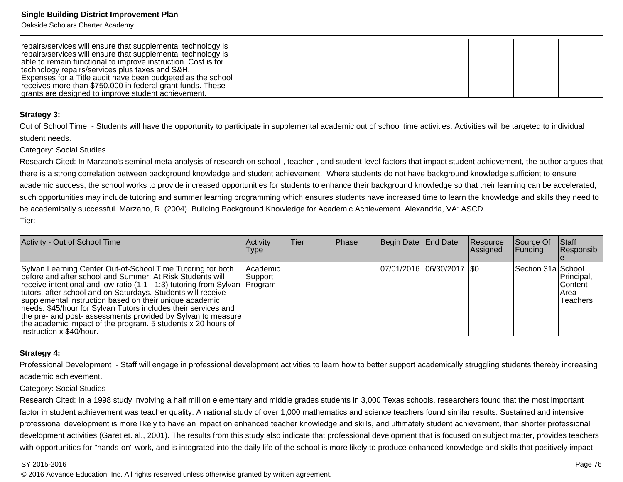Oakside Scholars Charter Academy

| repairs/services will ensure that supplemental technology is<br>repairs/services will ensure that supplemental technology is<br>able to remain functional to improve instruction. Cost is for<br>technology repairs/services plus taxes and S&H. |  |  |  |  |
|--------------------------------------------------------------------------------------------------------------------------------------------------------------------------------------------------------------------------------------------------|--|--|--|--|
| Expenses for a Title audit have been budgeted as the school                                                                                                                                                                                      |  |  |  |  |
| receives more than \$750,000 in federal grant funds. These<br>grants are designed to improve student achievement.                                                                                                                                |  |  |  |  |

#### **Strategy 3:**

Out of School Time - Students will have the opportunity to participate in supplemental academic out of school time activities. Activities will be targeted to individualstudent needs.

#### Category: Social Studies

Research Cited: In Marzano's seminal meta-analysis of research on school-, teacher-, and student-level factors that impact student achievement, the author argues thatthere is a strong correlation between background knowledge and student achievement. Where students do not have background knowledge sufficient to ensure academic success, the school works to provide increased opportunities for students to enhance their background knowledge so that their learning can be accelerated;such opportunities may include tutoring and summer learning programming which ensures students have increased time to learn the knowledge and skills they need tobe academically successful. Marzano, R. (2004). Building Background Knowledge for Academic Achievement. Alexandria, VA: ASCD. Tier:

| Activity - Out of School Time                                                                                                                                                                                                                                                                                                                                                                                                                                                                                                                                         | Activity<br>Type    | lTier. | <b>Phase</b> | Begin Date End Date        | Resource<br>Assigned | <b>Source Of</b><br><b>Funding</b> | <b>Staff</b><br>Responsibl                        |
|-----------------------------------------------------------------------------------------------------------------------------------------------------------------------------------------------------------------------------------------------------------------------------------------------------------------------------------------------------------------------------------------------------------------------------------------------------------------------------------------------------------------------------------------------------------------------|---------------------|--------|--------------|----------------------------|----------------------|------------------------------------|---------------------------------------------------|
| Sylvan Learning Center Out-of-School Time Tutoring for both<br>before and after school and Summer: At Risk Students will<br>receive intentional and low-ratio (1:1 - 1:3) tutoring from Sylvan   Program<br>tutors, after school and on Saturdays. Students will receive<br>supplemental instruction based on their unique academic<br>needs. \$45/hour for Sylvan Tutors includes their services and<br>the pre- and post- assessments provided by Sylvan to measure<br>the academic impact of the program. 5 students x 20 hours of<br>$ $ instruction x \$40/hour. | Academic<br>Support |        |              | 07/01/2016 06/30/2017 \\$0 |                      | Section 31a School                 | Principal,<br><b>Content</b><br>IArea<br>Teachers |

#### **Strategy 4:**

Professional Development - Staff will engage in professional development activities to learn how to better support academically struggling students thereby increasingacademic achievement.

#### Category: Social Studies

Research Cited: In a 1998 study involving a half million elementary and middle grades students in 3,000 Texas schools, researchers found that the most importantfactor in student achievement was teacher quality. A national study of over 1,000 mathematics and science teachers found similar results. Sustained and intensiveprofessional development is more likely to have an impact on enhanced teacher knowledge and skills, and ultimately student achievement, than shorter professionaldevelopment activities (Garet et. al., 2001). The results from this study also indicate that professional development that is focused on subject matter, provides teacherswith opportunities for "hands-on" work, and is integrated into the daily life of the school is more likely to produce enhanced knowledge and skills that positively impact

#### SY 2015-2016

en alternative to the contract of the contract of the contract of the contract of the contract of the contract of the contract of the contract of the contract of the contract of the contract of the contract of the contract © 2016 Advance Education, Inc. All rights reserved unless otherwise granted by written agreement.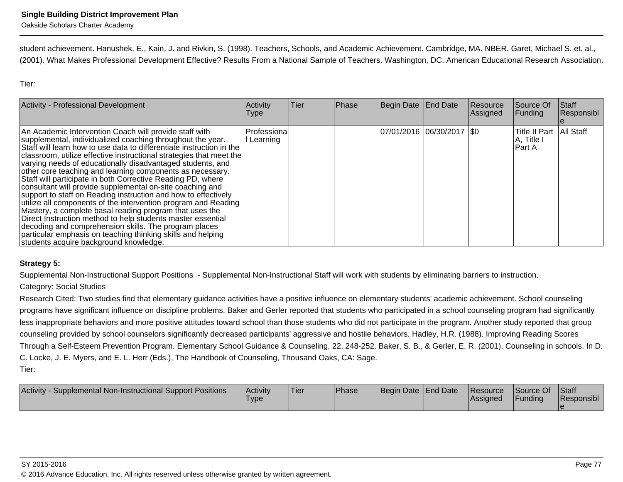student achievement. Hanushek, E., Kain, J. and Rivkin, S. (1998). Teachers, Schools, and Academic Achievement. Cambridge, MA. NBER. Garet, Michael S. et. al.,(2001). What Makes Professional Development Effective? Results From a National Sample of Teachers. Washington, DC. American Educational Research Association.

Tier:

| <b>Activity - Professional Development</b>                                                                                                                                                                                                                                                                                                                                                                                                                                                                                                                                                                                                                                                                                                                                                                                                                                                                                                                 | Activity<br><b>Type</b>   | Tier | Phase | Begin Date End Date         | Resource<br>Assigned | Source Of<br><b>Funding</b>                        | <b>Staff</b><br>Responsibl |
|------------------------------------------------------------------------------------------------------------------------------------------------------------------------------------------------------------------------------------------------------------------------------------------------------------------------------------------------------------------------------------------------------------------------------------------------------------------------------------------------------------------------------------------------------------------------------------------------------------------------------------------------------------------------------------------------------------------------------------------------------------------------------------------------------------------------------------------------------------------------------------------------------------------------------------------------------------|---------------------------|------|-------|-----------------------------|----------------------|----------------------------------------------------|----------------------------|
| An Academic Intervention Coach will provide staff with<br>supplemental, individualized coaching throughout the year.<br>Staff will learn how to use data to differentiate instruction in the<br>classroom, utilize effective instructional strategies that meet the<br>varying needs of educationally disadvantaged students, and<br>other core teaching and learning components as necessary.<br>Staff will participate in both Corrective Reading PD, where<br>consultant will provide supplemental on-site coaching and<br>support to staff on Reading instruction and how to effectively<br>utilize all components of the intervention program and Reading<br>Mastery, a complete basal reading program that uses the<br>Direct Instruction method to help students master essential<br>decoding and comprehension skills. The program places<br>particular emphasis on teaching thinking skills and helping<br>students acquire background knowledge. | l Professiona<br>Learning |      |       | 07/01/2016 06/30/2017   \$0 |                      | Title II Part   All Staff<br>A, Title I<br>lPart A |                            |

## **Strategy 5:**

Supplemental Non-Instructional Support Positions - Supplemental Non-Instructional Staff will work with students by eliminating barriers to instruction.

Category: Social Studies

Research Cited: Two studies find that elementary guidance activities have a positive influence on elementary students' academic achievement. School counseling programs have significant influence on discipline problems. Baker and Gerler reported that students who participated in a school counseling program had significantlyless inappropriate behaviors and more positive attitudes toward school than those students who did not participate in the program. Another study reported that group counseling provided by school counselors significantly decreased participants' aggressive and hostile behaviors. Hadley, H.R. (1988). Improving Reading ScoresThrough a Self-Esteem Prevention Program. Elementary School Guidance & Counseling, 22, 248-252. Baker, S. B., & Gerler, E. R. (2001). Counseling in schools. In D.C. Locke, J. E. Myers, and E. L. Herr (Eds.), The Handbook of Counseling, Thousand Oaks, CA: Sage.Tier:

| <b>Activity</b><br>Supplemental Non-Instructional Support Positions | ∣Activit∨<br><b>Type</b> | <sup>1</sup> Tier | <b>Phase</b> | Begin Date End Date |  | <b>Resource</b><br><b>Assigned</b> | Source Of<br><b>Funding</b> | Staff<br><b>Responsibl</b> |
|---------------------------------------------------------------------|--------------------------|-------------------|--------------|---------------------|--|------------------------------------|-----------------------------|----------------------------|
|---------------------------------------------------------------------|--------------------------|-------------------|--------------|---------------------|--|------------------------------------|-----------------------------|----------------------------|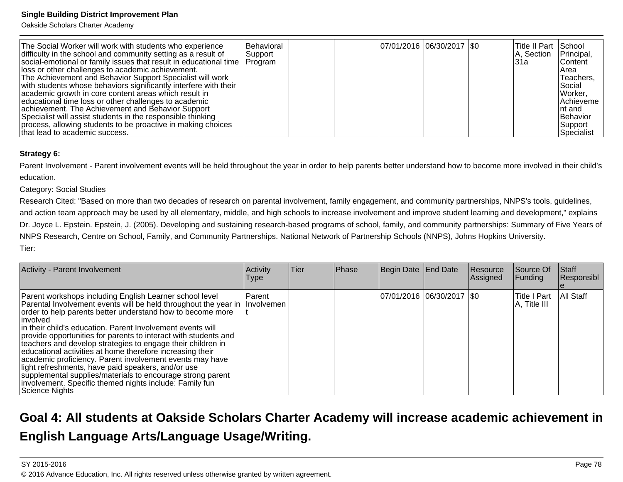Oakside Scholars Charter Academy

### **Strategy 6:**

Parent Involvement - Parent involvement events will be held throughout the year in order to help parents better understand how to become more involved in their child'seducation.

#### Category: Social Studies

 Research Cited: "Based on more than two decades of research on parental involvement, family engagement, and community partnerships, NNPS's tools, guidelines,and action team approach may be used by all elementary, middle, and high schools to increase involvement and improve student learning and development," explainsDr. Joyce L. Epstein. Epstein, J. (2005). Developing and sustaining research-based programs of school, family, and community partnerships: Summary of Five Years of NNPS Research, Centre on School, Family, and Community Partnerships. National Network of Partnership Schools (NNPS), Johns Hopkins University.Tier:

| Activity - Parent Involvement                                                                                                                                                                                                                                                                                                                                                                                                                                                                                                                                                                                                                                                                                                   | Activity<br><b>Type</b>     | <b>Tier</b> | Phase | Begin Date End Date         | Resource<br>Assigned | Source Of<br>Funding          | <b>Staff</b><br>Responsibl |
|---------------------------------------------------------------------------------------------------------------------------------------------------------------------------------------------------------------------------------------------------------------------------------------------------------------------------------------------------------------------------------------------------------------------------------------------------------------------------------------------------------------------------------------------------------------------------------------------------------------------------------------------------------------------------------------------------------------------------------|-----------------------------|-------------|-------|-----------------------------|----------------------|-------------------------------|----------------------------|
| Parent workshops including English Learner school level<br>Parental Involvement events will be held throughout the year in<br>order to help parents better understand how to become more<br>linvolved<br>in their child's education. Parent Involvement events will<br>provide opportunities for parents to interact with students and<br>teachers and develop strategies to engage their children in<br>educational activities at home therefore increasing their<br>academic proficiency. Parent involvement events may have<br>light refreshments, have paid speakers, and/or use<br>supplemental supplies/materials to encourage strong parent<br>involvement. Specific themed nights include: Family fun<br>Science Nights | Parent<br><b>Involvemen</b> |             |       | 07/01/2016  06/30/2017  \$0 |                      | lTitle I Part<br>A, Title III | <b>All Staff</b>           |

# **Goal 4: All students at Oakside Scholars Charter Academy will increase academic achievement inEnglish Language Arts/Language Usage/Writing.**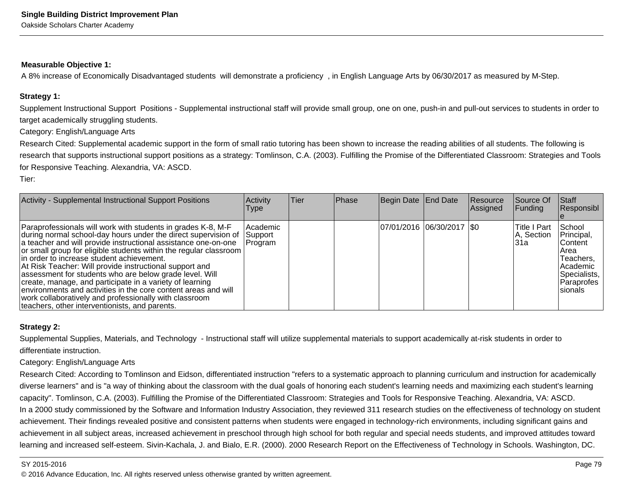#### **Measurable Objective 1:**

A 8% increase of Economically Disadvantaged students will demonstrate a proficiency , in English Language Arts by 06/30/2017 as measured by M-Step.

#### **Strategy 1:**

Supplement Instructional Support Positions - Supplemental instructional staff will provide small group, one on one, push-in and pull-out services to students in order totarget academically struggling students.

Category: English/Language Arts

Research Cited: Supplemental academic support in the form of small ratio tutoring has been shown to increase the reading abilities of all students. The following isresearch that supports instructional support positions as a strategy: Tomlinson, C.A. (2003). Fulfilling the Promise of the Differentiated Classroom: Strategies and Toolsfor Responsive Teaching. Alexandria, VA: ASCD.

Tier:

| Activity - Supplemental Instructional Support Positions                                                                                                                                                                                                                                                                                                                                                                                                                                                                                                                                                                                                                              | Activity<br>Type                | <b>Tier</b> | Phase | Begin Date End Date         | Resource<br>Assigned | Source Of<br>Funding                | <b>Staff</b><br>Responsibl                                                                                      |
|--------------------------------------------------------------------------------------------------------------------------------------------------------------------------------------------------------------------------------------------------------------------------------------------------------------------------------------------------------------------------------------------------------------------------------------------------------------------------------------------------------------------------------------------------------------------------------------------------------------------------------------------------------------------------------------|---------------------------------|-------------|-------|-----------------------------|----------------------|-------------------------------------|-----------------------------------------------------------------------------------------------------------------|
| Paraprofessionals will work with students in grades K-8, M-F<br>during normal school-day hours under the direct supervision of<br>a teacher and will provide instructional assistance one-on-one<br>or small group for eligible students within the regular classroom  <br>in order to increase student achievement.<br>At Risk Teacher: Will provide instructional support and<br>assessment for students who are below grade level. Will<br>create, manage, and participate in a variety of learning<br>environments and activities in the core content areas and will<br>work collaboratively and professionally with classroom<br>teachers, other interventionists, and parents. | Academic<br>Support<br> Program |             |       | 07/01/2016  06/30/2017  \$0 |                      | lTitle I Part<br>A, Section<br>l31a | School<br>Principal,<br>lContent l<br> Area<br>Teachers,<br>lAcademic<br>Specialists,<br>Paraprofes<br>Isionals |

#### **Strategy 2:**

Supplemental Supplies, Materials, and Technology - Instructional staff will utilize supplemental materials to support academically at-risk students in order todifferentiate instruction.

Category: English/Language Arts

Research Cited: According to Tomlinson and Eidson, differentiated instruction "refers to a systematic approach to planning curriculum and instruction for academicallydiverse learners" and is "a way of thinking about the classroom with the dual goals of honoring each student's learning needs and maximizing each student's learningcapacity". Tomlinson, C.A. (2003). Fulfilling the Promise of the Differentiated Classroom: Strategies and Tools for Responsive Teaching. Alexandria, VA: ASCD.In a 2000 study commissioned by the Software and Information Industry Association, they reviewed 311 research studies on the effectiveness of technology on studentachievement. Their findings revealed positive and consistent patterns when students were engaged in technology-rich environments, including significant gains and achievement in all subject areas, increased achievement in preschool through high school for both regular and special needs students, and improved attitudes towardlearning and increased self-esteem. Sivin-Kachala, J. and Bialo, E.R. (2000). 2000 Research Report on the Effectiveness of Technology in Schools. Washington, DC.

#### SY 2015-2016

en and the set of the set of the set of the set of the set of the set of the set of the set of the set of the  $P$ age  $79$ © 2016 Advance Education, Inc. All rights reserved unless otherwise granted by written agreement.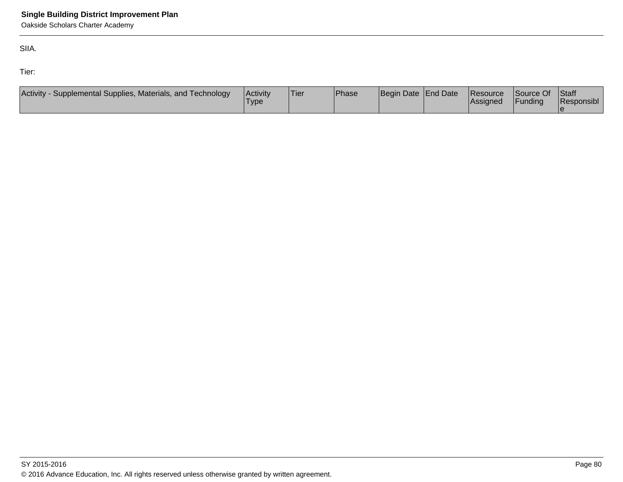Oakside Scholars Charter Academy

SIIA.

Tier:

| Activity -<br>- Supplemental Supplies, Materials, and Technology | Activity<br>'Type | 'Tier | <b>Phase</b> | Begin Date End Date | Resource<br><b>Assigned</b> | Source Of<br>Funding | <b>Staff</b><br>Responsibl |
|------------------------------------------------------------------|-------------------|-------|--------------|---------------------|-----------------------------|----------------------|----------------------------|
|                                                                  |                   |       |              |                     |                             |                      |                            |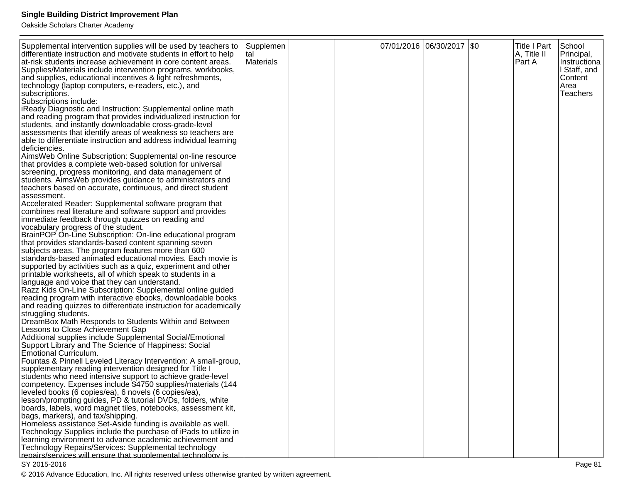Oakside Scholars Charter Academy

| Supplemental intervention supplies will be used by teachers to<br>differentiate instruction and motivate students in effort to help<br>at-risk students increase achievement in core content areas.<br>Supplies/Materials include intervention programs, workbooks,<br>and supplies, educational incentives & light refreshments,<br>technology (laptop computers, e-readers, etc.), and<br>subscriptions.<br>Subscriptions include:<br>iReady Diagnostic and Instruction: Supplemental online math | Supplemen<br> tal<br>Materials |  | 07/01/2016  06/30/2017  \$0 | <b>Title I Part</b><br>A, Title II<br>Part A | School<br>Principal,<br>Instructiona<br>I Staff, and<br>Content<br>Area<br><b>Teachers</b> |
|-----------------------------------------------------------------------------------------------------------------------------------------------------------------------------------------------------------------------------------------------------------------------------------------------------------------------------------------------------------------------------------------------------------------------------------------------------------------------------------------------------|--------------------------------|--|-----------------------------|----------------------------------------------|--------------------------------------------------------------------------------------------|
| and reading program that provides individualized instruction for<br>students, and instantly downloadable cross-grade-level<br>assessments that identify areas of weakness so teachers are<br>able to differentiate instruction and address individual learning<br>deficiencies.                                                                                                                                                                                                                     |                                |  |                             |                                              |                                                                                            |
| AimsWeb Online Subscription: Supplemental on-line resource<br>that provides a complete web-based solution for universal<br>screening, progress monitoring, and data management of<br>students. AimsWeb provides guidance to administrators and<br>teachers based on accurate, continuous, and direct student<br>assessment.                                                                                                                                                                         |                                |  |                             |                                              |                                                                                            |
| Accelerated Reader: Supplemental software program that<br>combines real literature and software support and provides<br>immediate feedback through quizzes on reading and<br>vocabulary progress of the student.<br>BrainPOP On-Line Subscription: On-line educational program<br>that provides standards-based content spanning seven                                                                                                                                                              |                                |  |                             |                                              |                                                                                            |
| subjects areas. The program features more than 600<br>standards-based animated educational movies. Each movie is<br>supported by activities such as a quiz, experiment and other<br>printable worksheets, all of which speak to students in a<br>language and voice that they can understand.                                                                                                                                                                                                       |                                |  |                             |                                              |                                                                                            |
| Razz Kids On-Line Subscription: Supplemental online guided<br>reading program with interactive ebooks, downloadable books<br>and reading quizzes to differentiate instruction for academically<br>struggling students.<br>DreamBox Math Responds to Students Within and Between<br>Lessons to Close Achievement Gap                                                                                                                                                                                 |                                |  |                             |                                              |                                                                                            |
| Additional supplies include Supplemental Social/Emotional<br>Support Library and The Science of Happiness: Social<br>Emotional Curriculum.<br>Fountas & Pinnell Leveled Literacy Intervention: A small-group,<br>supplementary reading intervention designed for Title I                                                                                                                                                                                                                            |                                |  |                             |                                              |                                                                                            |
| students who need intensive support to achieve grade-level<br>competency. Expenses include \$4750 supplies/materials (144<br>leveled books (6 copies/ea), 6 novels (6 copies/ea),<br>lesson/prompting guides, PD & tutorial DVDs, folders, white<br>boards, labels, word magnet tiles, notebooks, assessment kit,<br>bags, markers), and tax/shipping.                                                                                                                                              |                                |  |                             |                                              |                                                                                            |
| Homeless assistance Set-Aside funding is available as well.<br>Technology Supplies include the purchase of iPads to utilize in<br>learning environment to advance academic achievement and<br>Technology Repairs/Services: Supplemental technology<br>repairs/services will ensure that supplemental technology is                                                                                                                                                                                  |                                |  |                             |                                              |                                                                                            |

### SY 2015-2016

© 2016 Advance Education, Inc. All rights reserved unless otherwise granted by written agreement.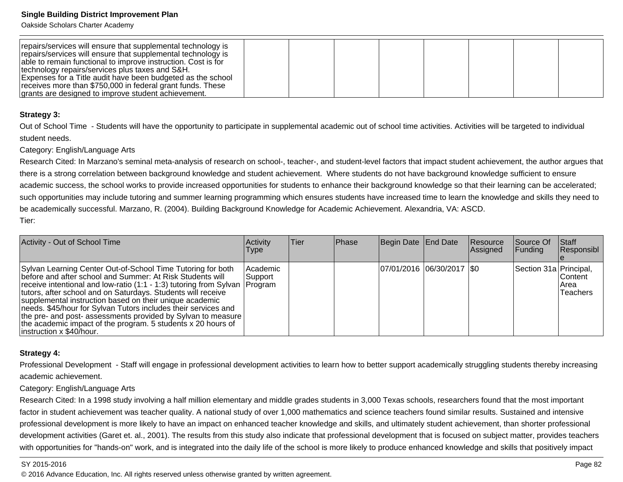Oakside Scholars Charter Academy

| repairs/services will ensure that supplemental technology is<br>repairs/services will ensure that supplemental technology is<br>able to remain functional to improve instruction. Cost is for<br>technology repairs/services plus taxes and S&H. |  |  |  |  |
|--------------------------------------------------------------------------------------------------------------------------------------------------------------------------------------------------------------------------------------------------|--|--|--|--|
| Expenses for a Title audit have been budgeted as the school                                                                                                                                                                                      |  |  |  |  |
| receives more than \$750,000 in federal grant funds. These<br>grants are designed to improve student achievement.                                                                                                                                |  |  |  |  |

#### **Strategy 3:**

Out of School Time - Students will have the opportunity to participate in supplemental academic out of school time activities. Activities will be targeted to individualstudent needs.

#### Category: English/Language Arts

Research Cited: In Marzano's seminal meta-analysis of research on school-, teacher-, and student-level factors that impact student achievement, the author argues thatthere is a strong correlation between background knowledge and student achievement. Where students do not have background knowledge sufficient to ensure academic success, the school works to provide increased opportunities for students to enhance their background knowledge so that their learning can be accelerated;such opportunities may include tutoring and summer learning programming which ensures students have increased time to learn the knowledge and skills they need tobe academically successful. Marzano, R. (2004). Building Background Knowledge for Academic Achievement. Alexandria, VA: ASCD. Tier:

| Activity - Out of School Time                                                                                                                                                                                                                                                                                                                                                                                                                                                                                                                                         | Activity<br><b>Type</b> | ∣Tier | Phase | Begin Date End Date        | Resource<br><b>Assigned</b> | Source Of<br><b>Funding</b> | Staff<br>Responsibl                                |
|-----------------------------------------------------------------------------------------------------------------------------------------------------------------------------------------------------------------------------------------------------------------------------------------------------------------------------------------------------------------------------------------------------------------------------------------------------------------------------------------------------------------------------------------------------------------------|-------------------------|-------|-------|----------------------------|-----------------------------|-----------------------------|----------------------------------------------------|
| Sylvan Learning Center Out-of-School Time Tutoring for both<br>before and after school and Summer: At Risk Students will<br> receive intentional and low-ratio (1:1 - 1:3) tutoring from Sylvan  Program<br>tutors, after school and on Saturdays. Students will receive<br>supplemental instruction based on their unique academic<br>needs. \$45/hour for Sylvan Tutors includes their services and<br>  the pre- and post- assessments provided by Sylvan to measure  <br>the academic impact of the program. 5 students x 20 hours of<br>instruction x \$40/hour. | Academic<br> Support    |       |       | 07/01/2016 06/30/2017 \\$0 |                             | Section 31a Principal,      | <b>IContent</b><br><b>IArea</b><br><b>Teachers</b> |

## **Strategy 4:**

Professional Development - Staff will engage in professional development activities to learn how to better support academically struggling students thereby increasingacademic achievement.

#### Category: English/Language Arts

Research Cited: In a 1998 study involving a half million elementary and middle grades students in 3,000 Texas schools, researchers found that the most importantfactor in student achievement was teacher quality. A national study of over 1,000 mathematics and science teachers found similar results. Sustained and intensiveprofessional development is more likely to have an impact on enhanced teacher knowledge and skills, and ultimately student achievement, than shorter professionaldevelopment activities (Garet et. al., 2001). The results from this study also indicate that professional development that is focused on subject matter, provides teacherswith opportunities for "hands-on" work, and is integrated into the daily life of the school is more likely to produce enhanced knowledge and skills that positively impact

#### SY 2015-2016

en and the set of the set of the set of the set of the set of the set of the set of the set of the set of the set of the set of the set of the set of the set of the set of the set of the set of the set of the set of the se © 2016 Advance Education, Inc. All rights reserved unless otherwise granted by written agreement.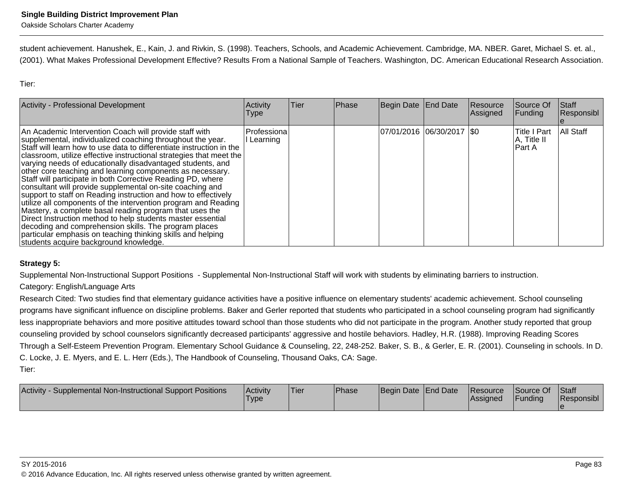student achievement. Hanushek, E., Kain, J. and Rivkin, S. (1998). Teachers, Schools, and Academic Achievement. Cambridge, MA. NBER. Garet, Michael S. et. al.,(2001). What Makes Professional Development Effective? Results From a National Sample of Teachers. Washington, DC. American Educational Research Association.

Tier:

| <b>Activity - Professional Development</b>                                                                                                                                                                                                                                                                                                                                                                                                                                                                                                                                                                                                                                                                                                                                                                                                                                                                                                                 | Activity<br><b>Type</b> | Tier | Phase | Begin Date End Date         | Resource<br>Assigned | Source Of<br>Funding                          | Staff<br>Responsibl |
|------------------------------------------------------------------------------------------------------------------------------------------------------------------------------------------------------------------------------------------------------------------------------------------------------------------------------------------------------------------------------------------------------------------------------------------------------------------------------------------------------------------------------------------------------------------------------------------------------------------------------------------------------------------------------------------------------------------------------------------------------------------------------------------------------------------------------------------------------------------------------------------------------------------------------------------------------------|-------------------------|------|-------|-----------------------------|----------------------|-----------------------------------------------|---------------------|
| An Academic Intervention Coach will provide staff with<br>supplemental, individualized coaching throughout the year.<br>Staff will learn how to use data to differentiate instruction in the<br>classroom, utilize effective instructional strategies that meet the<br>varying needs of educationally disadvantaged students, and<br>other core teaching and learning components as necessary.<br>Staff will participate in both Corrective Reading PD, where<br>consultant will provide supplemental on-site coaching and<br>support to staff on Reading instruction and how to effectively<br>utilize all components of the intervention program and Reading<br>Mastery, a complete basal reading program that uses the<br>Direct Instruction method to help students master essential<br>decoding and comprehension skills. The program places<br>particular emphasis on teaching thinking skills and helping<br>students acquire background knowledge. | Professiona<br>Learning |      |       | 07/01/2016 06/30/2017   \$0 |                      | <b>Title I Part</b><br>A, Title II<br>IPart A | All Staff           |

## **Strategy 5:**

Supplemental Non-Instructional Support Positions - Supplemental Non-Instructional Staff will work with students by eliminating barriers to instruction.

## Category: English/Language Arts

Research Cited: Two studies find that elementary guidance activities have a positive influence on elementary students' academic achievement. School counseling programs have significant influence on discipline problems. Baker and Gerler reported that students who participated in a school counseling program had significantlyless inappropriate behaviors and more positive attitudes toward school than those students who did not participate in the program. Another study reported that group counseling provided by school counselors significantly decreased participants' aggressive and hostile behaviors. Hadley, H.R. (1988). Improving Reading ScoresThrough a Self-Esteem Prevention Program. Elementary School Guidance & Counseling, 22, 248-252. Baker, S. B., & Gerler, E. R. (2001). Counseling in schools. In D.C. Locke, J. E. Myers, and E. L. Herr (Eds.), The Handbook of Counseling, Thousand Oaks, CA: Sage.Tier:

| Activity<br>Supplemental Non-Instructional Support Positions | Activitv<br><b>Type</b> | <sup>1</sup> Tier | <b>Phase</b> | Begin Date End Date | <b>Resource</b><br>lAssianed | Source Of<br>Funding | Staff<br>Responsibl |
|--------------------------------------------------------------|-------------------------|-------------------|--------------|---------------------|------------------------------|----------------------|---------------------|
|                                                              |                         |                   |              |                     |                              |                      |                     |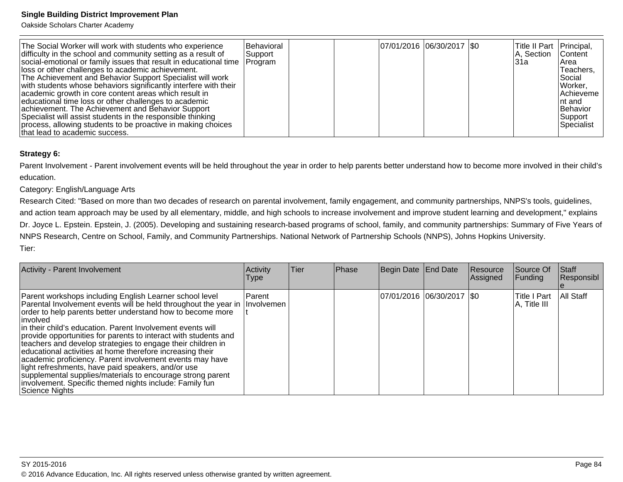Oakside Scholars Charter Academy

| The Social Worker will work with students who experience<br>difficulty in the school and community setting as a result of<br>social-emotional or family issues that result in educational time<br>lloss or other challenges to academic achievement.<br>The Achievement and Behavior Support Specialist will work<br>with students whose behaviors significantly interfere with their<br>academic growth in core content areas which result in<br>educational time loss or other challenges to academic<br>achievement. The Achievement and Behavior Support<br>Specialist will assist students in the responsible thinking<br>process, allowing students to be proactive in making choices<br>that lead to academic success. | Behavioral<br> Support<br> Program |  |  | 07/01/2016 06/30/2017 \\$0 |  | Title II Part Principal,<br>IA. Section<br>l31a | <b>Content</b><br>IArea<br>Teachers,<br><i><b>Social</b></i><br>Worker,<br>Achieveme<br>Int and<br>Behavior<br>Support<br>Specialist |
|-------------------------------------------------------------------------------------------------------------------------------------------------------------------------------------------------------------------------------------------------------------------------------------------------------------------------------------------------------------------------------------------------------------------------------------------------------------------------------------------------------------------------------------------------------------------------------------------------------------------------------------------------------------------------------------------------------------------------------|------------------------------------|--|--|----------------------------|--|-------------------------------------------------|--------------------------------------------------------------------------------------------------------------------------------------|
|-------------------------------------------------------------------------------------------------------------------------------------------------------------------------------------------------------------------------------------------------------------------------------------------------------------------------------------------------------------------------------------------------------------------------------------------------------------------------------------------------------------------------------------------------------------------------------------------------------------------------------------------------------------------------------------------------------------------------------|------------------------------------|--|--|----------------------------|--|-------------------------------------------------|--------------------------------------------------------------------------------------------------------------------------------------|

### **Strategy 6:**

Parent Involvement - Parent involvement events will be held throughout the year in order to help parents better understand how to become more involved in their child'seducation.

## Category: English/Language Arts

 Research Cited: "Based on more than two decades of research on parental involvement, family engagement, and community partnerships, NNPS's tools, guidelines,and action team approach may be used by all elementary, middle, and high schools to increase involvement and improve student learning and development," explainsDr. Joyce L. Epstein. Epstein, J. (2005). Developing and sustaining research-based programs of school, family, and community partnerships: Summary of Five Years of NNPS Research, Centre on School, Family, and Community Partnerships. National Network of Partnership Schools (NNPS), Johns Hopkins University.Tier:

| Activity - Parent Involvement                                                                                                                                                                                                                                                                                                                                                                                                                                                                                                                                                                                                                                                                                                               | <b>Activity</b><br><b>Type</b> | Tier | Phase | Begin Date End Date         | Resource<br>Assigned | Source Of<br>Funding          | Staff<br>Responsibl |
|---------------------------------------------------------------------------------------------------------------------------------------------------------------------------------------------------------------------------------------------------------------------------------------------------------------------------------------------------------------------------------------------------------------------------------------------------------------------------------------------------------------------------------------------------------------------------------------------------------------------------------------------------------------------------------------------------------------------------------------------|--------------------------------|------|-------|-----------------------------|----------------------|-------------------------------|---------------------|
| Parent workshops including English Learner school level<br>Parental Involvement events will be held throughout the year in Involvemen<br>order to help parents better understand how to become more<br>∣involved∶<br>in their child's education. Parent Involvement events will<br>provide opportunities for parents to interact with students and<br>teachers and develop strategies to engage their children in<br>educational activities at home therefore increasing their<br>academic proficiency. Parent involvement events may have<br>light refreshments, have paid speakers, and/or use<br>supplemental supplies/materials to encourage strong parent<br>involvement. Specific themed nights include: Family fun<br>Science Nights | <b>IParent</b>                 |      |       | 07/01/2016  06/30/2017  \$0 |                      | lTitle I Part<br>A, Title III | <b>All Staff</b>    |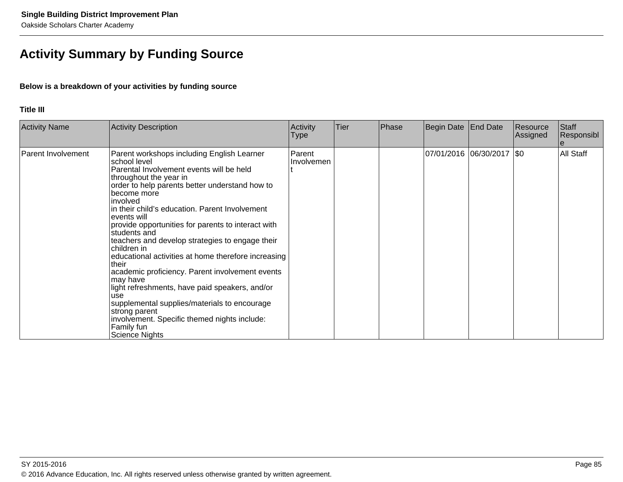# **Activity Summary by Funding Source**

## **Below is a breakdown of your activities by funding source**

#### **Title III**

| <b>Activity Name</b> | <b>Activity Description</b>                                                                                                                                                                                                                                                                                                                                                                                                                                                                                                                                                                                                                                                                                                                                            | Activity<br>Type            | Tier | Phase | Begin Date | End Date                    | Resource<br>Assigned | Staff<br>Responsibl |
|----------------------|------------------------------------------------------------------------------------------------------------------------------------------------------------------------------------------------------------------------------------------------------------------------------------------------------------------------------------------------------------------------------------------------------------------------------------------------------------------------------------------------------------------------------------------------------------------------------------------------------------------------------------------------------------------------------------------------------------------------------------------------------------------------|-----------------------------|------|-------|------------|-----------------------------|----------------------|---------------------|
| Parent Involvement   | Parent workshops including English Learner<br>school level<br>Parental Involvement events will be held<br>throughout the year in<br>order to help parents better understand how to<br>become more<br>involved<br>in their child's education. Parent Involvement<br>events will<br>provide opportunities for parents to interact with<br>students and<br>teachers and develop strategies to engage their<br>children in<br>educational activities at home therefore increasing<br>their<br>academic proficiency. Parent involvement events<br>may have<br>light refreshments, have paid speakers, and/or<br>use<br>supplemental supplies/materials to encourage<br>strong parent<br>involvement. Specific themed nights include:<br>Family fun<br><b>Science Nights</b> | Parent<br><b>Involvemen</b> |      |       |            | 07/01/2016  06/30/2017  \$0 |                      | All Staff           |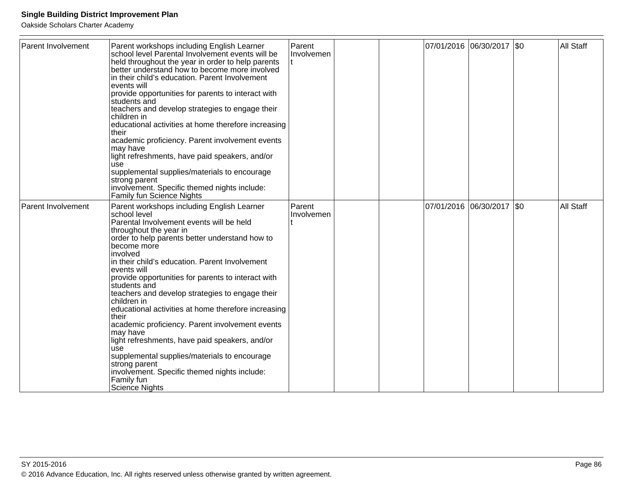| Parent Involvement        | Parent workshops including English Learner<br>school level Parental Involvement events will be<br>held throughout the year in order to help parents<br>better understand how to become more involved<br>in their child's education. Parent Involvement<br>events will<br>provide opportunities for parents to interact with<br>students and<br>teachers and develop strategies to engage their<br>children in<br>educational activities at home therefore increasing<br>Itheir<br>academic proficiency. Parent involvement events<br>lmav have<br>light refreshments, have paid speakers, and/or<br>use<br>supplemental supplies/materials to encourage<br>strong parent<br>involvement. Specific themed nights include:<br>Family fun Science Nights                  | Parent<br>Involvemen |  |                       | 07/01/2016 06/30/2017 \$0 |             | All Staff |
|---------------------------|------------------------------------------------------------------------------------------------------------------------------------------------------------------------------------------------------------------------------------------------------------------------------------------------------------------------------------------------------------------------------------------------------------------------------------------------------------------------------------------------------------------------------------------------------------------------------------------------------------------------------------------------------------------------------------------------------------------------------------------------------------------------|----------------------|--|-----------------------|---------------------------|-------------|-----------|
| <b>Parent Involvement</b> | Parent workshops including English Learner<br>school level<br>Parental Involvement events will be held<br>throughout the year in<br>order to help parents better understand how to<br>become more<br>involved<br>in their child's education. Parent Involvement<br>events will<br>provide opportunities for parents to interact with<br>students and<br>teachers and develop strategies to engage their<br>children in<br>educational activities at home therefore increasing<br>their<br>academic proficiency. Parent involvement events<br>may have<br>light refreshments, have paid speakers, and/or<br>use<br>supplemental supplies/materials to encourage<br>strong parent<br>involvement. Specific themed nights include:<br>Family fun<br><b>Science Nights</b> | Parent<br>Involvemen |  | 07/01/2016 06/30/2017 |                           | $\sqrt{50}$ | All Staff |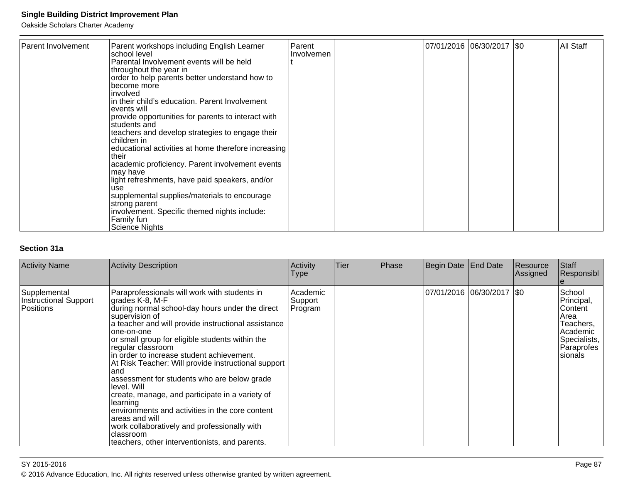Oakside Scholars Charter Academy

| Parent Involvement | Parent workshops including English Learner<br>school level<br>Parental Involvement events will be held<br>throughout the year in<br>order to help parents better understand how to<br>become more<br>linvolved<br>lin their child's education. Parent Involvement<br>levents will<br>provide opportunities for parents to interact with<br>Istudents and<br>teachers and develop strategies to engage their<br>children in<br>educational activities at home therefore increasing<br>Itheir<br>academic proficiency. Parent involvement events<br>may have<br>light refreshments, have paid speakers, and/or<br>use<br>supplemental supplies/materials to encourage<br>strong parent<br>involvement. Specific themed nights include:<br>Family fun<br>Science Nights | Parent<br>Involvemen |  | 07/01/2016 06/30/2017   \$0 | <b>All Staff</b> |
|--------------------|----------------------------------------------------------------------------------------------------------------------------------------------------------------------------------------------------------------------------------------------------------------------------------------------------------------------------------------------------------------------------------------------------------------------------------------------------------------------------------------------------------------------------------------------------------------------------------------------------------------------------------------------------------------------------------------------------------------------------------------------------------------------|----------------------|--|-----------------------------|------------------|

## **Section 31a**

| <b>Activity Name</b>                               | Activity Description                                                                                                                                                                                                                                                                                                                                                                                                                                                                                                                                                                                                                                                                                              | Activity<br>Type               | Tier | Phase | Begin Date | End Date                    | Resource<br> Assigned | Staff<br>Responsibl                                                                                       |
|----------------------------------------------------|-------------------------------------------------------------------------------------------------------------------------------------------------------------------------------------------------------------------------------------------------------------------------------------------------------------------------------------------------------------------------------------------------------------------------------------------------------------------------------------------------------------------------------------------------------------------------------------------------------------------------------------------------------------------------------------------------------------------|--------------------------------|------|-------|------------|-----------------------------|-----------------------|-----------------------------------------------------------------------------------------------------------|
| Supplemental<br>Instructional Support<br>Positions | Paraprofessionals will work with students in<br>grades K-8, M-F<br>during normal school-day hours under the direct<br>supervision of<br>a teacher and will provide instructional assistance<br>lone-on-one<br>or small group for eligible students within the<br>regular classroom<br>in order to increase student achievement.<br>At Risk Teacher: Will provide instructional support<br>land<br>assessment for students who are below grade<br>llevel. Will<br>create, manage, and participate in a variety of<br>llearning<br>environments and activities in the core content<br>areas and will<br>work collaboratively and professionally with<br>classroom<br>teachers, other interventionists, and parents. | Academic<br>Support<br>Program |      |       |            | 07/01/2016  06/30/2017  \$0 |                       | School<br>Principal,<br>Content<br>Area<br>Teachers,<br>Academic<br>Specialists,<br>Paraprofes<br>sionals |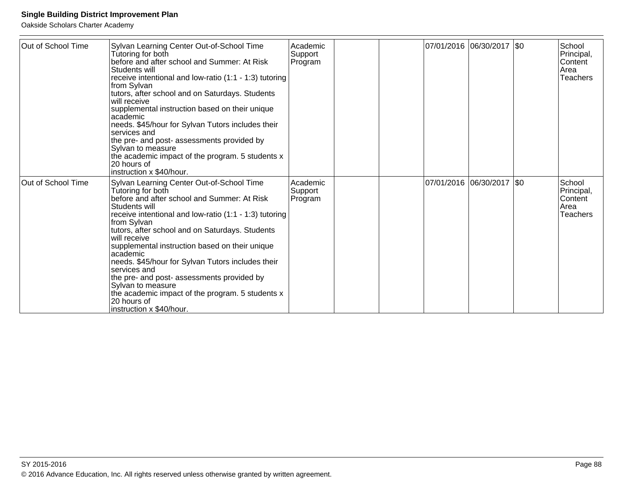| Out of School Time | Sylvan Learning Center Out-of-School Time<br>Tutoring for both<br>before and after school and Summer: At Risk<br>Students will<br>receive intentional and low-ratio (1:1 - 1:3) tutoring<br>from Sylvan<br>tutors, after school and on Saturdays. Students<br>will receive<br>supplemental instruction based on their unique<br>lacademic<br>needs. \$45/hour for Sylvan Tutors includes their<br>lservices and<br>the pre- and post- assessments provided by<br>Sylvan to measure<br>the academic impact of the program. 5 students x<br>120 hours of<br>instruction x \$40/hour.   | Academic<br>Support<br>Program |  | 07/01/2016 06/30/2017 \$0   |  | <b>School</b><br>Principal,<br><b>Content</b><br><b>Area</b><br><b>Teachers</b> |
|--------------------|--------------------------------------------------------------------------------------------------------------------------------------------------------------------------------------------------------------------------------------------------------------------------------------------------------------------------------------------------------------------------------------------------------------------------------------------------------------------------------------------------------------------------------------------------------------------------------------|--------------------------------|--|-----------------------------|--|---------------------------------------------------------------------------------|
| Out of School Time | Sylvan Learning Center Out-of-School Time<br>Tutoring for both<br>before and after school and Summer: At Risk<br>Students will<br>receive intentional and low-ratio (1:1 - 1:3) tutoring<br>∣from Sylvan<br>tutors, after school and on Saturdays. Students<br>lwill receive<br>supplemental instruction based on their unique<br>lacademic<br>needs. \$45/hour for Sylvan Tutors includes their<br>lservices and<br>the pre- and post- assessments provided by<br> Sylvan to measure<br>the academic impact of the program. 5 students x<br>20 hours of<br>instruction x \$40/hour. | Academic<br>Support<br>Program |  | 07/01/2016  06/30/2017  \$0 |  | School<br>Principal,<br><b>Content</b><br>Area<br><b>Teachers</b>               |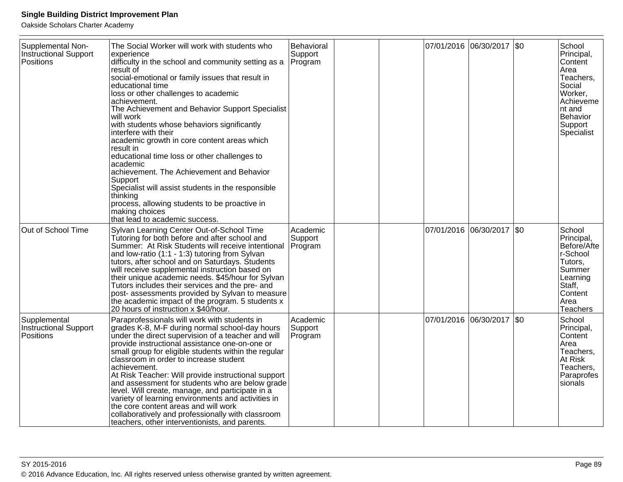| Supplemental Non-<br><b>Instructional Support</b><br>Positions | The Social Worker will work with students who<br>experience<br>difficulty in the school and community setting as a<br>result of<br>social-emotional or family issues that result in<br>educational time<br>loss or other challenges to academic<br>achievement.<br>The Achievement and Behavior Support Specialist<br>will work<br>with students whose behaviors significantly<br>interfere with their<br>academic growth in core content areas which<br>result in<br>educational time loss or other challenges to<br>academic<br>achievement. The Achievement and Behavior<br>Support<br>Specialist will assist students in the responsible<br>thinking<br>process, allowing students to be proactive in<br>making choices<br>that lead to academic success. | Behavioral<br>Support<br>Program |  | 07/01/2016 06/30/2017     | SO      | School<br>Principal,<br>Content<br>Area<br>Teachers,<br>Social<br>Worker,<br>Achieveme<br>nt and<br>Behavior<br>Support<br>Specialist |
|----------------------------------------------------------------|---------------------------------------------------------------------------------------------------------------------------------------------------------------------------------------------------------------------------------------------------------------------------------------------------------------------------------------------------------------------------------------------------------------------------------------------------------------------------------------------------------------------------------------------------------------------------------------------------------------------------------------------------------------------------------------------------------------------------------------------------------------|----------------------------------|--|---------------------------|---------|---------------------------------------------------------------------------------------------------------------------------------------|
| Out of School Time                                             | Sylvan Learning Center Out-of-School Time<br>Tutoring for both before and after school and<br>Summer: At Risk Students will receive intentional<br>and low-ratio (1:1 - 1:3) tutoring from Sylvan<br>tutors, after school and on Saturdays. Students<br>will receive supplemental instruction based on<br>their unique academic needs. \$45/hour for Sylvan<br>Tutors includes their services and the pre- and<br>post- assessments provided by Sylvan to measure<br>the academic impact of the program. 5 students x<br>20 hours of instruction x \$40/hour.                                                                                                                                                                                                 | Academic<br>Support<br>Program   |  | 07/01/2016 06/30/2017 \$0 |         | School<br>Principal,<br>Before/Afte<br>r-School<br>Tutors,<br>Summer<br>Learning<br>Staff,<br>Content<br>Area<br><b>Teachers</b>      |
| Supplemental<br><b>Instructional Support</b><br>Positions      | Paraprofessionals will work with students in<br>grades K-8, M-F during normal school-day hours<br>under the direct supervision of a teacher and will<br>provide instructional assistance one-on-one or<br>small group for eligible students within the regular<br>classroom in order to increase student<br>achievement.<br>At Risk Teacher: Will provide instructional support<br>and assessment for students who are below grade<br>level. Will create, manage, and participate in a<br>variety of learning environments and activities in<br>the core content areas and will work<br>collaboratively and professionally with classroom<br>teachers, other interventionists, and parents.                                                                   | Academic<br>Support<br>Program   |  | 07/01/2016 06/30/2017     | $ $ \$0 | School<br>Principal,<br>Content<br>Area<br>Teachers,<br>At Risk<br>Teachers,<br>Paraprofes<br>sionals                                 |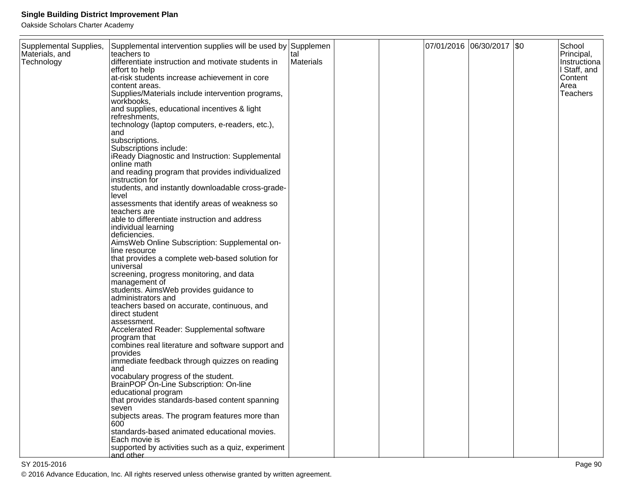Oakside Scholars Charter Academy

| Supplemental Supplies, | Supplemental intervention supplies will be used by Supplemen |           |  | 07/01/2016 06/30/2017 \$0 | School       |
|------------------------|--------------------------------------------------------------|-----------|--|---------------------------|--------------|
| Materials, and         | teachers to                                                  | tal       |  |                           | Principal,   |
| Technology             | differentiate instruction and motivate students in           | Materials |  |                           | Instructiona |
|                        | effort to help                                               |           |  |                           | I Staff, and |
|                        | at-risk students increase achievement in core                |           |  |                           | Content      |
|                        | content areas.                                               |           |  |                           | Area         |
|                        | Supplies/Materials include intervention programs,            |           |  |                           | Teachers     |
|                        | workbooks,                                                   |           |  |                           |              |
|                        | and supplies, educational incentives & light                 |           |  |                           |              |
|                        | refreshments,                                                |           |  |                           |              |
|                        | technology (laptop computers, e-readers, etc.),              |           |  |                           |              |
|                        | and                                                          |           |  |                           |              |
|                        | subscriptions.                                               |           |  |                           |              |
|                        | Subscriptions include:                                       |           |  |                           |              |
|                        | iReady Diagnostic and Instruction: Supplemental              |           |  |                           |              |
|                        | online math                                                  |           |  |                           |              |
|                        | and reading program that provides individualized             |           |  |                           |              |
|                        | instruction for                                              |           |  |                           |              |
|                        | students, and instantly downloadable cross-grade-            |           |  |                           |              |
|                        | level                                                        |           |  |                           |              |
|                        | assessments that identify areas of weakness so               |           |  |                           |              |
|                        | teachers are                                                 |           |  |                           |              |
|                        | able to differentiate instruction and address                |           |  |                           |              |
|                        | individual learning                                          |           |  |                           |              |
|                        | deficiencies.                                                |           |  |                           |              |
|                        | AimsWeb Online Subscription: Supplemental on-                |           |  |                           |              |
|                        | line resource                                                |           |  |                           |              |
|                        | that provides a complete web-based solution for              |           |  |                           |              |
|                        | universal                                                    |           |  |                           |              |
|                        | screening, progress monitoring, and data                     |           |  |                           |              |
|                        | management of                                                |           |  |                           |              |
|                        | students. AimsWeb provides guidance to                       |           |  |                           |              |
|                        | administrators and                                           |           |  |                           |              |
|                        | teachers based on accurate, continuous, and                  |           |  |                           |              |
|                        | direct student                                               |           |  |                           |              |
|                        | assessment.                                                  |           |  |                           |              |
|                        | Accelerated Reader: Supplemental software                    |           |  |                           |              |
|                        | program that                                                 |           |  |                           |              |
|                        | combines real literature and software support and            |           |  |                           |              |
|                        | provides                                                     |           |  |                           |              |
|                        | immediate feedback through quizzes on reading                |           |  |                           |              |
|                        | and                                                          |           |  |                           |              |
|                        | vocabulary progress of the student.                          |           |  |                           |              |
|                        | BrainPOP On-Line Subscription: On-line                       |           |  |                           |              |
|                        | educational program                                          |           |  |                           |              |
|                        | that provides standards-based content spanning               |           |  |                           |              |
|                        | seven                                                        |           |  |                           |              |
|                        | subjects areas. The program features more than               |           |  |                           |              |
|                        | 600                                                          |           |  |                           |              |
|                        | standards-based animated educational movies.                 |           |  |                           |              |
|                        | Each movie is                                                |           |  |                           |              |
|                        | supported by activities such as a quiz, experiment           |           |  |                           |              |
|                        | and other                                                    |           |  |                           |              |

en and the set of the set of the set of the set of the set of the set of the set of the set of the set of the set of the set of the set of the set of the set of the set of the set of the set of the set of the set of the se © 2016 Advance Education, Inc. All rights reserved unless otherwise granted by written agreement.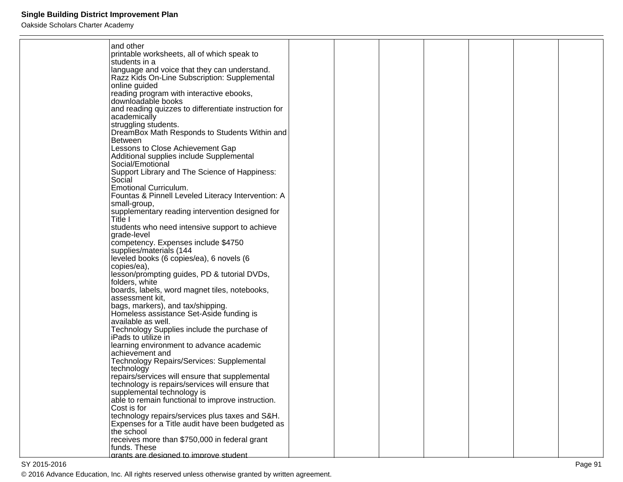| and other                                                           |  |  |  |  |
|---------------------------------------------------------------------|--|--|--|--|
| printable worksheets, all of which speak to                         |  |  |  |  |
| students in a                                                       |  |  |  |  |
| language and voice that they can understand.                        |  |  |  |  |
| Razz Kids On-Line Subscription: Supplemental                        |  |  |  |  |
| online guided                                                       |  |  |  |  |
| reading program with interactive ebooks,                            |  |  |  |  |
| downloadable books                                                  |  |  |  |  |
| and reading quizzes to differentiate instruction for                |  |  |  |  |
| academically                                                        |  |  |  |  |
| struggling students.                                                |  |  |  |  |
| DreamBox Math Responds to Students Within and<br><b>Between</b>     |  |  |  |  |
| Lessons to Close Achievement Gap                                    |  |  |  |  |
| Additional supplies include Supplemental                            |  |  |  |  |
| Social/Emotional                                                    |  |  |  |  |
| Support Library and The Science of Happiness:                       |  |  |  |  |
| Social                                                              |  |  |  |  |
| <b>Emotional Curriculum.</b>                                        |  |  |  |  |
| Fountas & Pinnell Leveled Literacy Intervention: A                  |  |  |  |  |
| small-group,                                                        |  |  |  |  |
| supplementary reading intervention designed for                     |  |  |  |  |
| Title I                                                             |  |  |  |  |
| students who need intensive support to achieve                      |  |  |  |  |
| grade-level                                                         |  |  |  |  |
| competency. Expenses include \$4750                                 |  |  |  |  |
| supplies/materials (144<br>leveled books (6 copies/ea), 6 novels (6 |  |  |  |  |
| copies/ea),                                                         |  |  |  |  |
| lesson/prompting guides, PD & tutorial DVDs,                        |  |  |  |  |
| folders, white                                                      |  |  |  |  |
| boards, labels, word magnet tiles, notebooks,                       |  |  |  |  |
| assessment kit,                                                     |  |  |  |  |
| bags, markers), and tax/shipping.                                   |  |  |  |  |
| Homeless assistance Set-Aside funding is                            |  |  |  |  |
| available as well.                                                  |  |  |  |  |
| Technology Supplies include the purchase of                         |  |  |  |  |
| iPads to utilize in                                                 |  |  |  |  |
| learning environment to advance academic                            |  |  |  |  |
| achievement and                                                     |  |  |  |  |
| Technology Repairs/Services: Supplemental<br>technology             |  |  |  |  |
| repairs/services will ensure that supplemental                      |  |  |  |  |
| technology is repairs/services will ensure that                     |  |  |  |  |
| supplemental technology is                                          |  |  |  |  |
| able to remain functional to improve instruction.                   |  |  |  |  |
| Cost is for                                                         |  |  |  |  |
| technology repairs/services plus taxes and S&H.                     |  |  |  |  |
| Expenses for a Title audit have been budgeted as                    |  |  |  |  |
| the school                                                          |  |  |  |  |
| receives more than \$750,000 in federal grant                       |  |  |  |  |
| funds. These                                                        |  |  |  |  |
| arants are designed to improve student                              |  |  |  |  |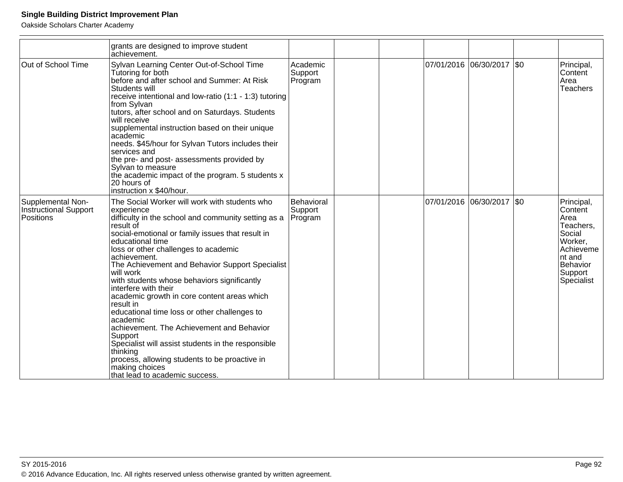|                                                                | grants are designed to improve student<br>achievement.                                                                                                                                                                                                                                                                                                                                                                                                                                                                                                                                                                                                                                                                                                          |                                  |  |                           |                                                                                                                             |
|----------------------------------------------------------------|-----------------------------------------------------------------------------------------------------------------------------------------------------------------------------------------------------------------------------------------------------------------------------------------------------------------------------------------------------------------------------------------------------------------------------------------------------------------------------------------------------------------------------------------------------------------------------------------------------------------------------------------------------------------------------------------------------------------------------------------------------------------|----------------------------------|--|---------------------------|-----------------------------------------------------------------------------------------------------------------------------|
| Out of School Time                                             | Sylvan Learning Center Out-of-School Time<br>Tutoring for both<br>before and after school and Summer: At Risk<br>Students will<br>receive intentional and low-ratio (1:1 - 1:3) tutoring<br>from Sylvan<br>tutors, after school and on Saturdays. Students<br>will receive<br>supplemental instruction based on their unique<br>academic<br>needs. \$45/hour for Sylvan Tutors includes their<br>services and<br>the pre- and post- assessments provided by<br>Sylvan to measure<br>the academic impact of the program. 5 students x<br>20 hours of<br>instruction x \$40/hour.                                                                                                                                                                                 | Academic<br>Support<br>Program   |  | 07/01/2016 06/30/2017 \$0 | Principal,<br>Content<br>Area<br>Teachers                                                                                   |
| Supplemental Non-<br><b>Instructional Support</b><br>Positions | The Social Worker will work with students who<br>experience<br>difficulty in the school and community setting as a<br>result of<br>social-emotional or family issues that result in<br>educational time<br>loss or other challenges to academic<br>achievement.<br>The Achievement and Behavior Support Specialist<br>lwill work<br>with students whose behaviors significantly<br>interfere with their<br>academic growth in core content areas which<br>result in<br>educational time loss or other challenges to<br>lacademic<br>achievement. The Achievement and Behavior<br>Support<br>Specialist will assist students in the responsible<br>thinking<br>process, allowing students to be proactive in<br>making choices<br>that lead to academic success. | Behavioral<br>Support<br>Program |  | 07/01/2016 06/30/2017 \$0 | Principal,<br>Content<br>Area<br>Teachers,<br>Social<br>Worker,<br>Achieveme<br>nt and<br>Behavior<br>Support<br>Specialist |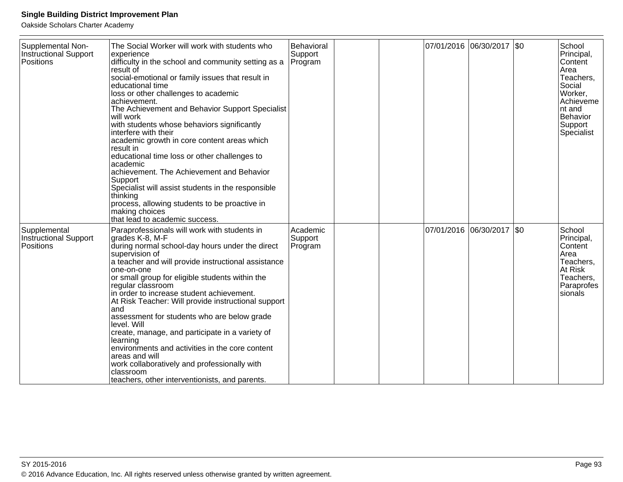| Supplemental Non-<br><b>Instructional Support</b><br>Positions | The Social Worker will work with students who<br>experience<br>difficulty in the school and community setting as a<br>result of<br>social-emotional or family issues that result in<br>educational time<br>loss or other challenges to academic<br>achievement.<br>The Achievement and Behavior Support Specialist<br>will work<br>with students whose behaviors significantly<br>interfere with their<br>academic growth in core content areas which<br>result in<br>educational time loss or other challenges to<br>academic<br>achievement. The Achievement and Behavior<br>Support<br>Specialist will assist students in the responsible<br>thinking<br>process, allowing students to be proactive in<br>making choices<br>that lead to academic success. | Behavioral<br>Support<br>Program |  | 07/01/2016 06/30/2017 \$0 |      | School<br>Principal,<br>Content<br>Area<br>Teachers,<br>Social<br>Worker,<br>Achieveme<br>nt and<br>Behavior<br>Support<br>Specialist |
|----------------------------------------------------------------|---------------------------------------------------------------------------------------------------------------------------------------------------------------------------------------------------------------------------------------------------------------------------------------------------------------------------------------------------------------------------------------------------------------------------------------------------------------------------------------------------------------------------------------------------------------------------------------------------------------------------------------------------------------------------------------------------------------------------------------------------------------|----------------------------------|--|---------------------------|------|---------------------------------------------------------------------------------------------------------------------------------------|
| Supplemental<br><b>Instructional Support</b><br>Positions      | Paraprofessionals will work with students in<br>grades K-8, M-F<br>during normal school-day hours under the direct<br>supervision of<br>a teacher and will provide instructional assistance<br>one-on-one<br>or small group for eligible students within the<br>regular classroom<br>in order to increase student achievement.<br>At Risk Teacher: Will provide instructional support<br>and<br>assessment for students who are below grade<br>level. Will<br>create, manage, and participate in a variety of<br>learning<br>environments and activities in the core content<br>areas and will<br>work collaboratively and professionally with<br>classroom<br>teachers, other interventionists, and parents.                                                 | Academic<br>Support<br>Program   |  | 07/01/2016 06/30/2017     | I\$0 | School<br>Principal,<br>Content<br>Area<br>Teachers,<br>At Risk<br>Teachers,<br>Paraprofes<br>sionals                                 |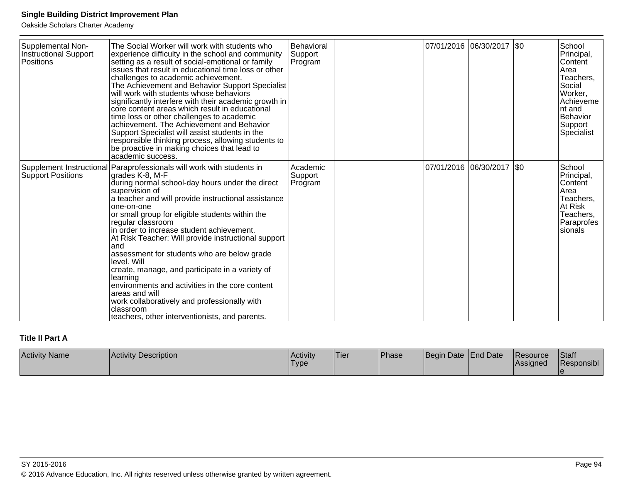Oakside Scholars Charter Academy

| Supplemental Non-<br><b>Instructional Support</b><br>Positions | The Social Worker will work with students who<br>experience difficulty in the school and community<br>setting as a result of social-emotional or family<br>issues that result in educational time loss or other<br>challenges to academic achievement.<br>The Achievement and Behavior Support Specialist<br>will work with students whose behaviors<br>significantly interfere with their academic growth in<br>core content areas which result in educational<br>time loss or other challenges to academic<br>achievement. The Achievement and Behavior<br>Support Specialist will assist students in the<br>responsible thinking process, allowing students to<br>be proactive in making choices that lead to<br>academic success.  | Behavioral<br>Support<br>Program |  | 07/01/2016  06/30/2017  \$0 |  | School<br>Principal,<br>Content<br>Area<br>Teachers,<br>Social<br>Worker,<br>Achieveme<br>Int and<br>Behavior<br>Support<br>Specialist |
|----------------------------------------------------------------|----------------------------------------------------------------------------------------------------------------------------------------------------------------------------------------------------------------------------------------------------------------------------------------------------------------------------------------------------------------------------------------------------------------------------------------------------------------------------------------------------------------------------------------------------------------------------------------------------------------------------------------------------------------------------------------------------------------------------------------|----------------------------------|--|-----------------------------|--|----------------------------------------------------------------------------------------------------------------------------------------|
| <b>Support Positions</b>                                       | Supplement Instructional Paraprofessionals will work with students in<br>grades K-8, M-F<br>during normal school-day hours under the direct<br>supervision of<br>a teacher and will provide instructional assistance<br>one-on-one<br>or small group for eligible students within the<br>regular classroom<br>in order to increase student achievement.<br>At Risk Teacher: Will provide instructional support<br>and<br>assessment for students who are below grade<br>level. Will<br>create, manage, and participate in a variety of<br>learning<br>environments and activities in the core content<br>areas and will<br>work collaboratively and professionally with<br>classroom<br>teachers, other interventionists, and parents. | Academic<br>Support<br>Program   |  | 07/01/2016 06/30/2017 \$0   |  | School<br>Principal,<br>Content<br>Area<br>Teachers,<br>At Risk<br>Teachers,<br>Paraprofes<br>sionals                                  |

## **Title II Part A**

| <b>Activity Name</b> | <b>Activity Description</b> | <b>Activity</b><br><b>Type</b> | 'Tier | <b>Phase</b> | Begin Date   End Date |  | <b>IResource</b><br><b>Assigned</b> | <b>Staff</b><br>Responsibl |
|----------------------|-----------------------------|--------------------------------|-------|--------------|-----------------------|--|-------------------------------------|----------------------------|
|----------------------|-----------------------------|--------------------------------|-------|--------------|-----------------------|--|-------------------------------------|----------------------------|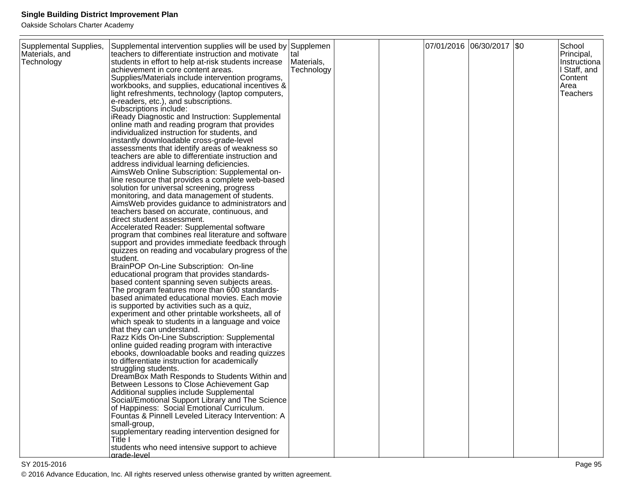| Supplemental Supplies,<br>Materials, and<br>Technology | Supplemental intervention supplies will be used by Supplemen<br>teachers to differentiate instruction and motivate<br>students in effort to help at-risk students increase<br>achievement in core content areas.<br>Supplies/Materials include intervention programs,<br>workbooks, and supplies, educational incentives &<br>light refreshments, technology (laptop computers,<br>e-readers, etc.), and subscriptions.<br>Subscriptions include:<br>iReady Diagnostic and Instruction: Supplemental<br>online math and reading program that provides<br>individualized instruction for students, and<br>instantly downloadable cross-grade-level<br>assessments that identify areas of weakness so<br>teachers are able to differentiate instruction and<br>address individual learning deficiencies.<br>AimsWeb Online Subscription: Supplemental on-<br>line resource that provides a complete web-based<br>solution for universal screening, progress<br>monitoring, and data management of students.<br>AimsWeb provides guidance to administrators and<br>teachers based on accurate, continuous, and<br>direct student assessment.<br>Accelerated Reader: Supplemental software<br>program that combines real literature and software<br>support and provides immediate feedback through<br>quizzes on reading and vocabulary progress of the<br>student.<br>BrainPOP On-Line Subscription: On-line<br>educational program that provides standards-<br>based content spanning seven subjects areas.<br>The program features more than 600 standards-<br>based animated educational movies. Each movie<br>is supported by activities such as a quiz,<br>experiment and other printable worksheets, all of<br>which speak to students in a language and voice<br>that they can understand.<br>Razz Kids On-Line Subscription: Supplemental<br>online guided reading program with interactive<br>ebooks, downloadable books and reading quizzes<br>to differentiate instruction for academically<br>struggling students.<br>DreamBox Math Responds to Students Within and<br>Between Lessons to Close Achievement Gap<br>Additional supplies include Supplemental<br>Social/Emotional Support Library and The Science<br>of Happiness: Social Emotional Curriculum.<br>Fountas & Pinnell Leveled Literacy Intervention: A<br>small-group,<br>supplementary reading intervention designed for<br>Title I | tal<br>Materials,<br>Technology |  | 07/01/2016 06/30/2017 \$0 | School<br>Principal,<br>Instructiona<br>I Staff, and<br>Content<br>Area<br><b>Teachers</b> |
|--------------------------------------------------------|-------------------------------------------------------------------------------------------------------------------------------------------------------------------------------------------------------------------------------------------------------------------------------------------------------------------------------------------------------------------------------------------------------------------------------------------------------------------------------------------------------------------------------------------------------------------------------------------------------------------------------------------------------------------------------------------------------------------------------------------------------------------------------------------------------------------------------------------------------------------------------------------------------------------------------------------------------------------------------------------------------------------------------------------------------------------------------------------------------------------------------------------------------------------------------------------------------------------------------------------------------------------------------------------------------------------------------------------------------------------------------------------------------------------------------------------------------------------------------------------------------------------------------------------------------------------------------------------------------------------------------------------------------------------------------------------------------------------------------------------------------------------------------------------------------------------------------------------------------------------------------------------------------------------------------------------------------------------------------------------------------------------------------------------------------------------------------------------------------------------------------------------------------------------------------------------------------------------------------------------------------------------------------------------------------------------------------------------------------------------------------------------------------------|---------------------------------|--|---------------------------|--------------------------------------------------------------------------------------------|
|                                                        | students who need intensive support to achieve                                                                                                                                                                                                                                                                                                                                                                                                                                                                                                                                                                                                                                                                                                                                                                                                                                                                                                                                                                                                                                                                                                                                                                                                                                                                                                                                                                                                                                                                                                                                                                                                                                                                                                                                                                                                                                                                                                                                                                                                                                                                                                                                                                                                                                                                                                                                                              |                                 |  |                           |                                                                                            |
|                                                        | grade-level                                                                                                                                                                                                                                                                                                                                                                                                                                                                                                                                                                                                                                                                                                                                                                                                                                                                                                                                                                                                                                                                                                                                                                                                                                                                                                                                                                                                                                                                                                                                                                                                                                                                                                                                                                                                                                                                                                                                                                                                                                                                                                                                                                                                                                                                                                                                                                                                 |                                 |  |                           |                                                                                            |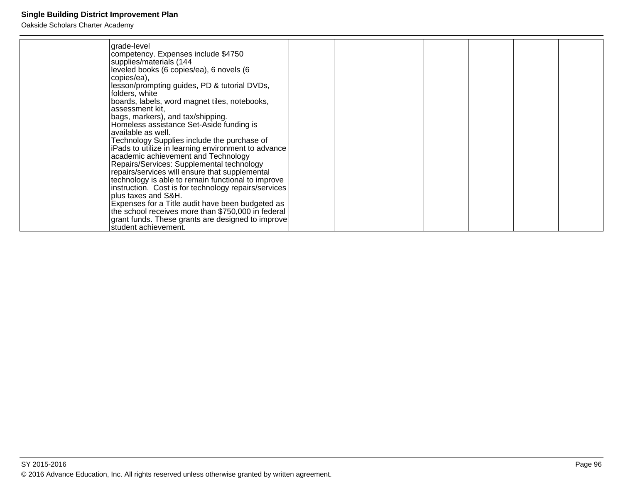| grade-level<br>competency. Expenses include \$4750<br>supplies/materials (144<br>leveled books (6 copies/ea), 6 novels (6<br>copies/ea),<br>lesson/prompting guides, PD & tutorial DVDs,<br>folders, white<br>boards, labels, word magnet tiles, notebooks,<br>assessment kit,<br>bags, markers), and tax/shipping.<br>Homeless assistance Set-Aside funding is<br>available as well.<br>Technology Supplies include the purchase of<br>iPads to utilize in learning environment to advance<br>academic achievement and Technology<br>Repairs/Services: Supplemental technology<br>repairs/services will ensure that supplemental<br>technology is able to remain functional to improve<br>instruction. Cost is for technology repairs/services<br>plus taxes and S&H.<br>Expenses for a Title audit have been budgeted as<br>the school receives more than \$750,000 in federal<br>grant funds. These grants are designed to improve |  |  |  |  |
|---------------------------------------------------------------------------------------------------------------------------------------------------------------------------------------------------------------------------------------------------------------------------------------------------------------------------------------------------------------------------------------------------------------------------------------------------------------------------------------------------------------------------------------------------------------------------------------------------------------------------------------------------------------------------------------------------------------------------------------------------------------------------------------------------------------------------------------------------------------------------------------------------------------------------------------|--|--|--|--|
| student achievement.                                                                                                                                                                                                                                                                                                                                                                                                                                                                                                                                                                                                                                                                                                                                                                                                                                                                                                                  |  |  |  |  |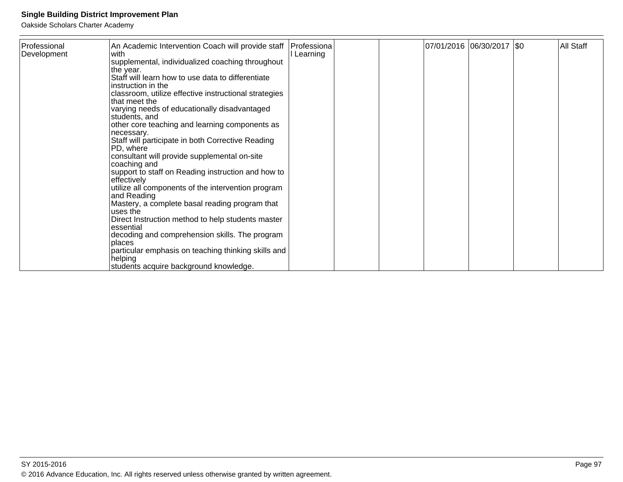| Professional<br>Development | An Academic Intervention Coach will provide staff<br>with<br>supplemental, individualized coaching throughout<br>the year.<br>Staff will learn how to use data to differentiate<br>instruction in the<br>classroom, utilize effective instructional strategies<br>lthat meet the<br>varying needs of educationally disadvantaged                                                                                                                                                                                                                                                                             | Professiona<br>Learning |  | 07/01/2016 06/30/2017   \$0 | All Staff |
|-----------------------------|--------------------------------------------------------------------------------------------------------------------------------------------------------------------------------------------------------------------------------------------------------------------------------------------------------------------------------------------------------------------------------------------------------------------------------------------------------------------------------------------------------------------------------------------------------------------------------------------------------------|-------------------------|--|-----------------------------|-----------|
|                             | students, and<br>other core teaching and learning components as<br>necessary.<br>Staff will participate in both Corrective Reading<br>PD, where<br>consultant will provide supplemental on-site<br>coaching and<br>support to staff on Reading instruction and how to<br>effectively<br>utilize all components of the intervention program<br>and Reading<br>Mastery, a complete basal reading program that<br>uses the<br>Direct Instruction method to help students master<br>essential<br>decoding and comprehension skills. The program<br>places<br>particular emphasis on teaching thinking skills and |                         |  |                             |           |
|                             | helping<br>students acquire background knowledge.                                                                                                                                                                                                                                                                                                                                                                                                                                                                                                                                                            |                         |  |                             |           |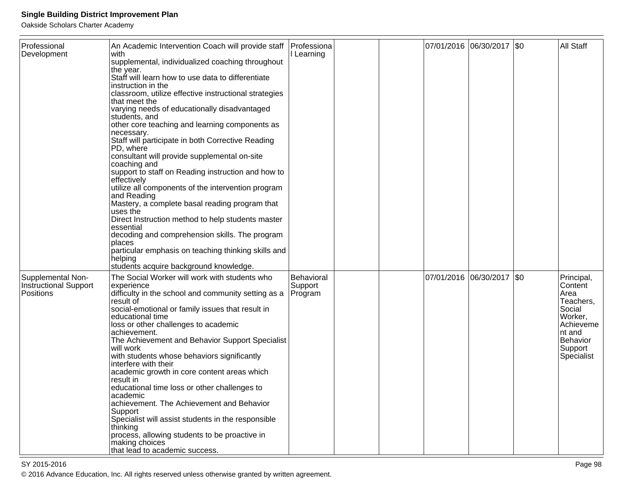Oakside Scholars Charter Academy

| Professional<br>Development                             | An Academic Intervention Coach will provide staff<br>with<br>supplemental, individualized coaching throughout<br>the year.<br>Staff will learn how to use data to differentiate<br>instruction in the<br>classroom, utilize effective instructional strategies<br>that meet the<br>varying needs of educationally disadvantaged<br>students, and<br>other core teaching and learning components as<br>necessary.<br>Staff will participate in both Corrective Reading<br>PD, where<br>consultant will provide supplemental on-site<br>coaching and<br>support to staff on Reading instruction and how to<br>effectively<br>utilize all components of the intervention program<br>and Reading<br>Mastery, a complete basal reading program that<br>uses the<br>Direct Instruction method to help students master<br>essential<br>decoding and comprehension skills. The program<br>places<br>particular emphasis on teaching thinking skills and<br>helping<br>students acquire background knowledge. | Professiona<br>I Learning        |  | 07/01/2016  06/30/2017  \$0 | All Staff                                                                                                                    |
|---------------------------------------------------------|------------------------------------------------------------------------------------------------------------------------------------------------------------------------------------------------------------------------------------------------------------------------------------------------------------------------------------------------------------------------------------------------------------------------------------------------------------------------------------------------------------------------------------------------------------------------------------------------------------------------------------------------------------------------------------------------------------------------------------------------------------------------------------------------------------------------------------------------------------------------------------------------------------------------------------------------------------------------------------------------------|----------------------------------|--|-----------------------------|------------------------------------------------------------------------------------------------------------------------------|
| Supplemental Non-<br>Instructional Support<br>Positions | The Social Worker will work with students who<br>experience<br>difficulty in the school and community setting as a<br>result of<br>social-emotional or family issues that result in<br>educational time<br>loss or other challenges to academic<br>achievement.<br>The Achievement and Behavior Support Specialist<br>will work<br>with students whose behaviors significantly<br>interfere with their<br>academic growth in core content areas which<br>result in<br>educational time loss or other challenges to<br>academic<br>achievement. The Achievement and Behavior<br>Support<br>Specialist will assist students in the responsible<br>thinking<br>process, allowing students to be proactive in<br>making choices<br>that lead to academic success.                                                                                                                                                                                                                                        | Behavioral<br>Support<br>Program |  | 07/01/2016 06/30/2017 \$0   | Principal,<br>Content<br>Area<br>Teachers,<br>Social<br>Worker,<br>Achieveme<br>Int and<br>Behavior<br>Support<br>Specialist |

SY 2015-2016

en and the set of the set of the set of the set of the set of the set of the set of the set of the set of the set of the set of the set of the set of the set of the set of the set of the set of the set of the set of the se © 2016 Advance Education, Inc. All rights reserved unless otherwise granted by written agreement.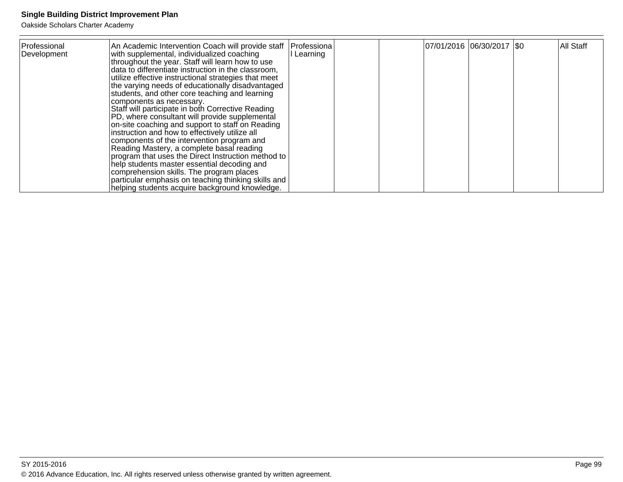| Professional<br>An Academic Intervention Coach will provide staff<br>with supplemental, individualized coaching<br>Development<br>throughout the year. Staff will learn how to use<br>data to differentiate instruction in the classroom,<br>utilize effective instructional strategies that meet<br>the varying needs of educationally disadvantaged<br>students, and other core teaching and learning<br>components as necessary.<br>Staff will participate in both Corrective Reading<br>PD, where consultant will provide supplemental<br>on-site coaching and support to staff on Reading<br>instruction and how to effectively utilize all<br>components of the intervention program and<br>Reading Mastery, a complete basal reading<br>program that uses the Direct Instruction method to<br>help students master essential decoding and<br>comprehension skills. The program places<br>particular emphasis on teaching thinking skills and<br>helping students acquire background knowledge. | Professiona<br>I Learning | 07/01/2016 06/30/2017   \$0 |  |  | All Staff |
|-------------------------------------------------------------------------------------------------------------------------------------------------------------------------------------------------------------------------------------------------------------------------------------------------------------------------------------------------------------------------------------------------------------------------------------------------------------------------------------------------------------------------------------------------------------------------------------------------------------------------------------------------------------------------------------------------------------------------------------------------------------------------------------------------------------------------------------------------------------------------------------------------------------------------------------------------------------------------------------------------------|---------------------------|-----------------------------|--|--|-----------|
|-------------------------------------------------------------------------------------------------------------------------------------------------------------------------------------------------------------------------------------------------------------------------------------------------------------------------------------------------------------------------------------------------------------------------------------------------------------------------------------------------------------------------------------------------------------------------------------------------------------------------------------------------------------------------------------------------------------------------------------------------------------------------------------------------------------------------------------------------------------------------------------------------------------------------------------------------------------------------------------------------------|---------------------------|-----------------------------|--|--|-----------|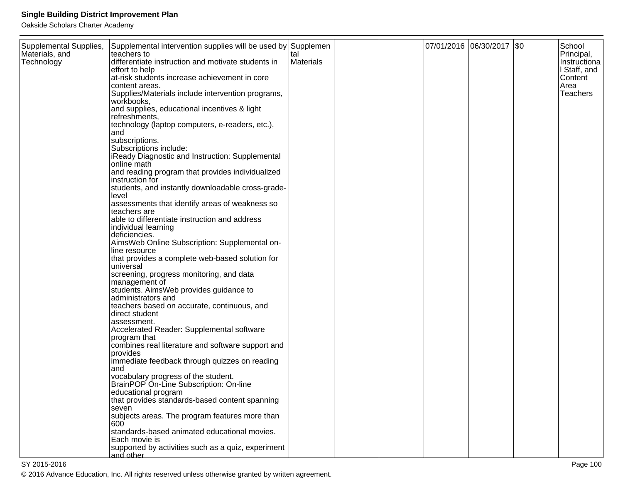| Supplemental Supplies,<br>Materials, and<br>Technology | Supplemental intervention supplies will be used by Supplemen<br>lteachers to<br>differentiate instruction and motivate students in<br>effort to help<br>at-risk students increase achievement in core<br>content areas.<br>Supplies/Materials include intervention programs,<br>workbooks,<br>and supplies, educational incentives & light<br>refreshments,<br>technology (laptop computers, e-readers, etc.),<br>and<br>subscriptions.<br>Subscriptions include:<br>iReady Diagnostic and Instruction: Supplemental<br>online math<br>and reading program that provides individualized<br>instruction for<br>students, and instantly downloadable cross-grade-<br>level<br>assessments that identify areas of weakness so<br>teachers are<br>able to differentiate instruction and address<br>individual learning<br>deficiencies.<br>AimsWeb Online Subscription: Supplemental on-<br>line resource<br>that provides a complete web-based solution for<br>universal<br>screening, progress monitoring, and data<br>management of<br>students. AimsWeb provides guidance to<br>administrators and<br>teachers based on accurate, continuous, and | tal<br>Materials |  | 07/01/2016 06/30/2017   \$0 | School<br>Principal,<br>Instructiona<br>I Staff, and<br>Content<br>Area<br>Teachers |
|--------------------------------------------------------|---------------------------------------------------------------------------------------------------------------------------------------------------------------------------------------------------------------------------------------------------------------------------------------------------------------------------------------------------------------------------------------------------------------------------------------------------------------------------------------------------------------------------------------------------------------------------------------------------------------------------------------------------------------------------------------------------------------------------------------------------------------------------------------------------------------------------------------------------------------------------------------------------------------------------------------------------------------------------------------------------------------------------------------------------------------------------------------------------------------------------------------------------|------------------|--|-----------------------------|-------------------------------------------------------------------------------------|
|                                                        |                                                                                                                                                                                                                                                                                                                                                                                                                                                                                                                                                                                                                                                                                                                                                                                                                                                                                                                                                                                                                                                                                                                                                   |                  |  |                             |                                                                                     |
|                                                        |                                                                                                                                                                                                                                                                                                                                                                                                                                                                                                                                                                                                                                                                                                                                                                                                                                                                                                                                                                                                                                                                                                                                                   |                  |  |                             |                                                                                     |
|                                                        |                                                                                                                                                                                                                                                                                                                                                                                                                                                                                                                                                                                                                                                                                                                                                                                                                                                                                                                                                                                                                                                                                                                                                   |                  |  |                             |                                                                                     |
|                                                        |                                                                                                                                                                                                                                                                                                                                                                                                                                                                                                                                                                                                                                                                                                                                                                                                                                                                                                                                                                                                                                                                                                                                                   |                  |  |                             |                                                                                     |
|                                                        |                                                                                                                                                                                                                                                                                                                                                                                                                                                                                                                                                                                                                                                                                                                                                                                                                                                                                                                                                                                                                                                                                                                                                   |                  |  |                             |                                                                                     |
|                                                        |                                                                                                                                                                                                                                                                                                                                                                                                                                                                                                                                                                                                                                                                                                                                                                                                                                                                                                                                                                                                                                                                                                                                                   |                  |  |                             |                                                                                     |
|                                                        |                                                                                                                                                                                                                                                                                                                                                                                                                                                                                                                                                                                                                                                                                                                                                                                                                                                                                                                                                                                                                                                                                                                                                   |                  |  |                             |                                                                                     |
|                                                        |                                                                                                                                                                                                                                                                                                                                                                                                                                                                                                                                                                                                                                                                                                                                                                                                                                                                                                                                                                                                                                                                                                                                                   |                  |  |                             |                                                                                     |
|                                                        |                                                                                                                                                                                                                                                                                                                                                                                                                                                                                                                                                                                                                                                                                                                                                                                                                                                                                                                                                                                                                                                                                                                                                   |                  |  |                             |                                                                                     |
|                                                        |                                                                                                                                                                                                                                                                                                                                                                                                                                                                                                                                                                                                                                                                                                                                                                                                                                                                                                                                                                                                                                                                                                                                                   |                  |  |                             |                                                                                     |
|                                                        |                                                                                                                                                                                                                                                                                                                                                                                                                                                                                                                                                                                                                                                                                                                                                                                                                                                                                                                                                                                                                                                                                                                                                   |                  |  |                             |                                                                                     |
|                                                        | direct student                                                                                                                                                                                                                                                                                                                                                                                                                                                                                                                                                                                                                                                                                                                                                                                                                                                                                                                                                                                                                                                                                                                                    |                  |  |                             |                                                                                     |
|                                                        | assessment.<br>Accelerated Reader: Supplemental software                                                                                                                                                                                                                                                                                                                                                                                                                                                                                                                                                                                                                                                                                                                                                                                                                                                                                                                                                                                                                                                                                          |                  |  |                             |                                                                                     |
|                                                        | program that                                                                                                                                                                                                                                                                                                                                                                                                                                                                                                                                                                                                                                                                                                                                                                                                                                                                                                                                                                                                                                                                                                                                      |                  |  |                             |                                                                                     |
|                                                        | combines real literature and software support and<br>provides                                                                                                                                                                                                                                                                                                                                                                                                                                                                                                                                                                                                                                                                                                                                                                                                                                                                                                                                                                                                                                                                                     |                  |  |                             |                                                                                     |
|                                                        | immediate feedback through quizzes on reading<br>land                                                                                                                                                                                                                                                                                                                                                                                                                                                                                                                                                                                                                                                                                                                                                                                                                                                                                                                                                                                                                                                                                             |                  |  |                             |                                                                                     |
|                                                        | vocabulary progress of the student.                                                                                                                                                                                                                                                                                                                                                                                                                                                                                                                                                                                                                                                                                                                                                                                                                                                                                                                                                                                                                                                                                                               |                  |  |                             |                                                                                     |
|                                                        | BrainPOP On-Line Subscription: On-line<br>educational program                                                                                                                                                                                                                                                                                                                                                                                                                                                                                                                                                                                                                                                                                                                                                                                                                                                                                                                                                                                                                                                                                     |                  |  |                             |                                                                                     |
|                                                        | that provides standards-based content spanning                                                                                                                                                                                                                                                                                                                                                                                                                                                                                                                                                                                                                                                                                                                                                                                                                                                                                                                                                                                                                                                                                                    |                  |  |                             |                                                                                     |
|                                                        | seven<br>subjects areas. The program features more than                                                                                                                                                                                                                                                                                                                                                                                                                                                                                                                                                                                                                                                                                                                                                                                                                                                                                                                                                                                                                                                                                           |                  |  |                             |                                                                                     |
|                                                        | 600<br>standards-based animated educational movies.                                                                                                                                                                                                                                                                                                                                                                                                                                                                                                                                                                                                                                                                                                                                                                                                                                                                                                                                                                                                                                                                                               |                  |  |                             |                                                                                     |
|                                                        | Each movie is                                                                                                                                                                                                                                                                                                                                                                                                                                                                                                                                                                                                                                                                                                                                                                                                                                                                                                                                                                                                                                                                                                                                     |                  |  |                             |                                                                                     |
|                                                        | supported by activities such as a quiz, experiment<br>and other                                                                                                                                                                                                                                                                                                                                                                                                                                                                                                                                                                                                                                                                                                                                                                                                                                                                                                                                                                                                                                                                                   |                  |  |                             |                                                                                     |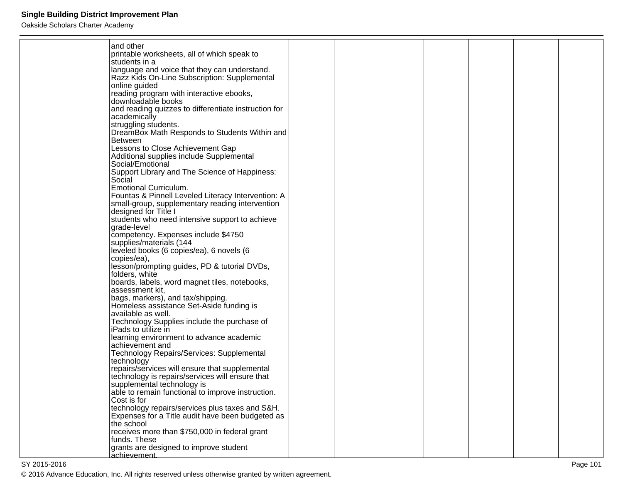| and other                                                       |  |  |  |  |
|-----------------------------------------------------------------|--|--|--|--|
| printable worksheets, all of which speak to                     |  |  |  |  |
| Istudents in a                                                  |  |  |  |  |
| language and voice that they can understand.                    |  |  |  |  |
| Razz Kids On-Line Subscription: Supplemental                    |  |  |  |  |
| online guided                                                   |  |  |  |  |
| reading program with interactive ebooks,                        |  |  |  |  |
| downloadable books                                              |  |  |  |  |
| and reading quizzes to differentiate instruction for            |  |  |  |  |
| academically                                                    |  |  |  |  |
| struggling students.                                            |  |  |  |  |
| DreamBox Math Responds to Students Within and                   |  |  |  |  |
| <b>Between</b>                                                  |  |  |  |  |
| Lessons to Close Achievement Gap                                |  |  |  |  |
| Additional supplies include Supplemental                        |  |  |  |  |
| Social/Emotional                                                |  |  |  |  |
| Support Library and The Science of Happiness:                   |  |  |  |  |
| Social                                                          |  |  |  |  |
| <b>Emotional Curriculum.</b>                                    |  |  |  |  |
| Fountas & Pinnell Leveled Literacy Intervention: A              |  |  |  |  |
| small-group, supplementary reading intervention                 |  |  |  |  |
| designed for Title I                                            |  |  |  |  |
| students who need intensive support to achieve                  |  |  |  |  |
| grade-level                                                     |  |  |  |  |
| competency. Expenses include \$4750                             |  |  |  |  |
| supplies/materials (144                                         |  |  |  |  |
| leveled books (6 copies/ea), 6 novels (6                        |  |  |  |  |
| copies/ea),                                                     |  |  |  |  |
| lesson/prompting guides, PD & tutorial DVDs,                    |  |  |  |  |
| folders, white<br>boards, labels, word magnet tiles, notebooks, |  |  |  |  |
| assessment kit,                                                 |  |  |  |  |
| bags, markers), and tax/shipping.                               |  |  |  |  |
| Homeless assistance Set-Aside funding is                        |  |  |  |  |
| available as well.                                              |  |  |  |  |
| Technology Supplies include the purchase of                     |  |  |  |  |
| iPads to utilize in                                             |  |  |  |  |
| learning environment to advance academic                        |  |  |  |  |
| achievement and                                                 |  |  |  |  |
| Technology Repairs/Services: Supplemental                       |  |  |  |  |
| technology                                                      |  |  |  |  |
| repairs/services will ensure that supplemental                  |  |  |  |  |
| technology is repairs/services will ensure that                 |  |  |  |  |
| supplemental technology is                                      |  |  |  |  |
| able to remain functional to improve instruction.               |  |  |  |  |
| Cost is for                                                     |  |  |  |  |
| technology repairs/services plus taxes and S&H.                 |  |  |  |  |
| Expenses for a Title audit have been budgeted as                |  |  |  |  |
| the school                                                      |  |  |  |  |
| receives more than \$750,000 in federal grant                   |  |  |  |  |
| funds. These                                                    |  |  |  |  |
| grants are designed to improve student                          |  |  |  |  |
| achievement.                                                    |  |  |  |  |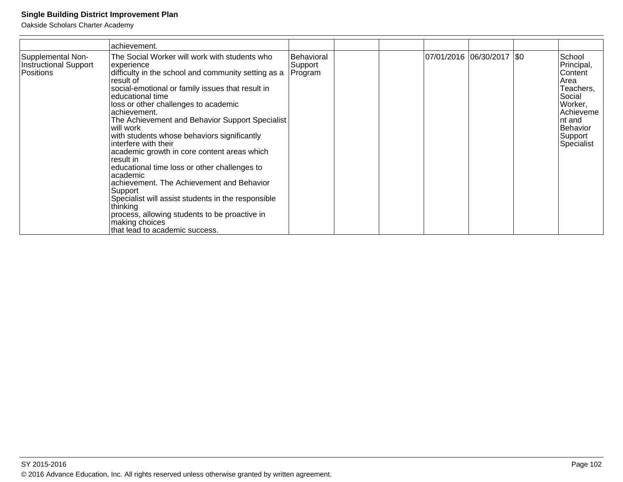|                                                           | achievement.                                                                                                                                                                                                                                                                                                                                                                                                                                                                                                                                                                                                                                                                                                                                                     |                                  |                            |  |                                                                                                                                        |
|-----------------------------------------------------------|------------------------------------------------------------------------------------------------------------------------------------------------------------------------------------------------------------------------------------------------------------------------------------------------------------------------------------------------------------------------------------------------------------------------------------------------------------------------------------------------------------------------------------------------------------------------------------------------------------------------------------------------------------------------------------------------------------------------------------------------------------------|----------------------------------|----------------------------|--|----------------------------------------------------------------------------------------------------------------------------------------|
| Supplemental Non-<br>Instructional Support<br>l Positions | The Social Worker will work with students who<br>experience<br>difficulty in the school and community setting as a<br>result of<br>social-emotional or family issues that result in<br>leducational time<br>loss or other challenges to academic<br>achievement.<br>The Achievement and Behavior Support Specialist<br>will work<br>with students whose behaviors significantly<br>linterfere with their<br>academic growth in core content areas which<br>result in<br>educational time loss or other challenges to<br>lacademic<br>achievement. The Achievement and Behavior<br>Support<br>Specialist will assist students in the responsible<br>thinking<br>process, allowing students to be proactive in<br>making choices<br>that lead to academic success. | Behavioral<br>Support<br>Program | 07/01/2016 06/30/2017  \$0 |  | School<br>Principal,<br>Content<br>Area<br>Teachers,<br>Social<br>Worker,<br>Achieveme<br>Int and<br>Behavior<br>Support<br>Specialist |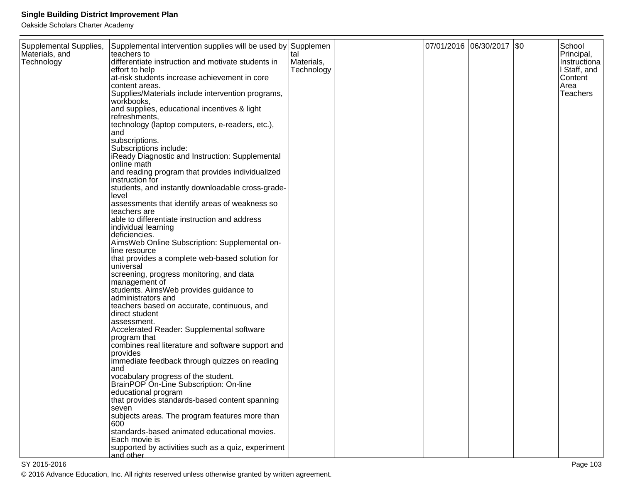Oakside Scholars Charter Academy

| Supplemental Supplies, | Supplemental intervention supplies will be used by Supplemen        |            |  | 07/01/2016 06/30/2017 \$0 | School           |
|------------------------|---------------------------------------------------------------------|------------|--|---------------------------|------------------|
| Materials, and         | teachers to                                                         | tal        |  |                           | Principal,       |
| Technology             | differentiate instruction and motivate students in                  | Materials, |  |                           | Instructiona     |
|                        | effort to help                                                      | Technology |  |                           | I Staff, and     |
|                        | at-risk students increase achievement in core                       |            |  |                           | Content          |
|                        | content areas.<br>Supplies/Materials include intervention programs, |            |  |                           | Area<br>Teachers |
|                        | workbooks,                                                          |            |  |                           |                  |
|                        | and supplies, educational incentives & light                        |            |  |                           |                  |
|                        | refreshments,                                                       |            |  |                           |                  |
|                        | technology (laptop computers, e-readers, etc.),                     |            |  |                           |                  |
|                        | and                                                                 |            |  |                           |                  |
|                        | subscriptions.                                                      |            |  |                           |                  |
|                        | Subscriptions include:                                              |            |  |                           |                  |
|                        | iReady Diagnostic and Instruction: Supplemental                     |            |  |                           |                  |
|                        | online math                                                         |            |  |                           |                  |
|                        | and reading program that provides individualized                    |            |  |                           |                  |
|                        | instruction for                                                     |            |  |                           |                  |
|                        | students, and instantly downloadable cross-grade-                   |            |  |                           |                  |
|                        | level                                                               |            |  |                           |                  |
|                        | assessments that identify areas of weakness so                      |            |  |                           |                  |
|                        | teachers are                                                        |            |  |                           |                  |
|                        | able to differentiate instruction and address                       |            |  |                           |                  |
|                        | individual learning<br>deficiencies.                                |            |  |                           |                  |
|                        | AimsWeb Online Subscription: Supplemental on-                       |            |  |                           |                  |
|                        | line resource                                                       |            |  |                           |                  |
|                        | that provides a complete web-based solution for                     |            |  |                           |                  |
|                        | universal                                                           |            |  |                           |                  |
|                        | screening, progress monitoring, and data                            |            |  |                           |                  |
|                        | management of                                                       |            |  |                           |                  |
|                        | students. AimsWeb provides guidance to                              |            |  |                           |                  |
|                        | administrators and                                                  |            |  |                           |                  |
|                        | teachers based on accurate, continuous, and                         |            |  |                           |                  |
|                        | direct student                                                      |            |  |                           |                  |
|                        | assessment.                                                         |            |  |                           |                  |
|                        | Accelerated Reader: Supplemental software                           |            |  |                           |                  |
|                        | program that                                                        |            |  |                           |                  |
|                        | combines real literature and software support and                   |            |  |                           |                  |
|                        | provides                                                            |            |  |                           |                  |
|                        | immediate feedback through quizzes on reading                       |            |  |                           |                  |
|                        | and<br>vocabulary progress of the student.                          |            |  |                           |                  |
|                        | BrainPOP On-Line Subscription: On-line                              |            |  |                           |                  |
|                        | educational program                                                 |            |  |                           |                  |
|                        | that provides standards-based content spanning                      |            |  |                           |                  |
|                        | seven                                                               |            |  |                           |                  |
|                        | subjects areas. The program features more than                      |            |  |                           |                  |
|                        | 600                                                                 |            |  |                           |                  |
|                        | standards-based animated educational movies.                        |            |  |                           |                  |
|                        | Each movie is                                                       |            |  |                           |                  |
|                        | supported by activities such as a quiz, experiment                  |            |  |                           |                  |
|                        | and other                                                           |            |  |                           |                  |

© 2016 Advance Education, Inc. All rights reserved unless otherwise granted by written agreement.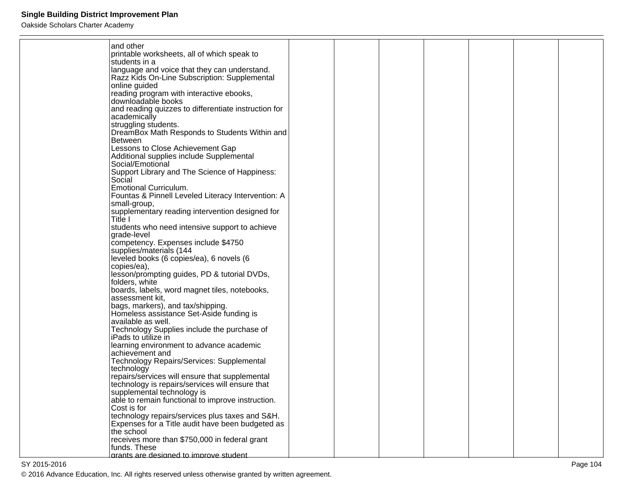| and other                                                     |  |  |  |  |
|---------------------------------------------------------------|--|--|--|--|
| printable worksheets, all of which speak to                   |  |  |  |  |
| students in a                                                 |  |  |  |  |
| language and voice that they can understand.                  |  |  |  |  |
| Razz Kids On-Line Subscription: Supplemental                  |  |  |  |  |
| online guided                                                 |  |  |  |  |
| reading program with interactive ebooks,                      |  |  |  |  |
| downloadable books                                            |  |  |  |  |
| and reading quizzes to differentiate instruction for          |  |  |  |  |
| academically                                                  |  |  |  |  |
| struggling students.                                          |  |  |  |  |
| DreamBox Math Responds to Students Within and                 |  |  |  |  |
| <b>Between</b>                                                |  |  |  |  |
| Lessons to Close Achievement Gap                              |  |  |  |  |
| Additional supplies include Supplemental                      |  |  |  |  |
| Social/Emotional                                              |  |  |  |  |
| Support Library and The Science of Happiness:                 |  |  |  |  |
| Social                                                        |  |  |  |  |
| <b>Emotional Curriculum.</b>                                  |  |  |  |  |
| Fountas & Pinnell Leveled Literacy Intervention: A            |  |  |  |  |
| small-group,                                                  |  |  |  |  |
| supplementary reading intervention designed for               |  |  |  |  |
| Title I                                                       |  |  |  |  |
| students who need intensive support to achieve<br>grade-level |  |  |  |  |
| competency. Expenses include \$4750                           |  |  |  |  |
| supplies/materials (144                                       |  |  |  |  |
| leveled books (6 copies/ea), 6 novels (6                      |  |  |  |  |
| copies/ea),                                                   |  |  |  |  |
| lesson/prompting guides, PD & tutorial DVDs,                  |  |  |  |  |
| folders, white                                                |  |  |  |  |
| boards, labels, word magnet tiles, notebooks,                 |  |  |  |  |
| assessment kit,                                               |  |  |  |  |
| bags, markers), and tax/shipping.                             |  |  |  |  |
| Homeless assistance Set-Aside funding is                      |  |  |  |  |
| available as well.                                            |  |  |  |  |
| Technology Supplies include the purchase of                   |  |  |  |  |
| iPads to utilize in                                           |  |  |  |  |
| learning environment to advance academic                      |  |  |  |  |
| achievement and                                               |  |  |  |  |
| Technology Repairs/Services: Supplemental                     |  |  |  |  |
| technology                                                    |  |  |  |  |
| repairs/services will ensure that supplemental                |  |  |  |  |
| technology is repairs/services will ensure that               |  |  |  |  |
| supplemental technology is                                    |  |  |  |  |
| able to remain functional to improve instruction.             |  |  |  |  |
| Cost is for                                                   |  |  |  |  |
| technology repairs/services plus taxes and S&H.               |  |  |  |  |
| Expenses for a Title audit have been budgeted as              |  |  |  |  |
| the school<br>receives more than \$750,000 in federal grant   |  |  |  |  |
| funds. These                                                  |  |  |  |  |
| arants are designed to improve student                        |  |  |  |  |
|                                                               |  |  |  |  |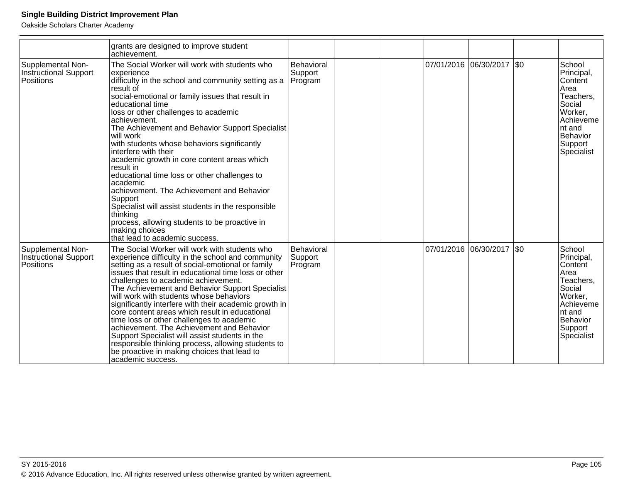|                                                                | grants are designed to improve student<br>achievement.                                                                                                                                                                                                                                                                                                                                                                                                                                                                                                                                                                                                                                                                                                        |                                  |  |                           |      |                                                                                                                                        |
|----------------------------------------------------------------|---------------------------------------------------------------------------------------------------------------------------------------------------------------------------------------------------------------------------------------------------------------------------------------------------------------------------------------------------------------------------------------------------------------------------------------------------------------------------------------------------------------------------------------------------------------------------------------------------------------------------------------------------------------------------------------------------------------------------------------------------------------|----------------------------------|--|---------------------------|------|----------------------------------------------------------------------------------------------------------------------------------------|
| Supplemental Non-<br><b>Instructional Support</b><br>Positions | The Social Worker will work with students who<br>experience<br>difficulty in the school and community setting as a<br>result of<br>social-emotional or family issues that result in<br>educational time<br>loss or other challenges to academic<br>achievement.<br>The Achievement and Behavior Support Specialist<br>will work<br>with students whose behaviors significantly<br>interfere with their<br>academic growth in core content areas which<br>result in<br>educational time loss or other challenges to<br>academic<br>achievement. The Achievement and Behavior<br>Support<br>Specialist will assist students in the responsible<br>thinking<br>process, allowing students to be proactive in<br>making choices<br>that lead to academic success. | Behavioral<br>Support<br>Program |  | 07/01/2016 06/30/2017 \$0 |      | School<br>Principal,<br>Content<br>Area<br>Teachers,<br>Social<br>Worker,<br>Achieveme<br>nt and<br>Behavior<br>Support<br>Specialist  |
| Supplemental Non-<br><b>Instructional Support</b><br>Positions | The Social Worker will work with students who<br>experience difficulty in the school and community<br>setting as a result of social-emotional or family<br>issues that result in educational time loss or other<br>challenges to academic achievement.<br>The Achievement and Behavior Support Specialist<br>will work with students whose behaviors<br>significantly interfere with their academic growth in<br>core content areas which result in educational<br>time loss or other challenges to academic<br>achievement. The Achievement and Behavior<br>Support Specialist will assist students in the<br>responsible thinking process, allowing students to<br>be proactive in making choices that lead to<br>academic success.                         | Behavioral<br>Support<br>Program |  | 07/01/2016 06/30/2017     | I\$0 | School<br>Principal,<br>Content<br>lArea<br>Teachers,<br>Social<br>Worker,<br>Achieveme<br>nt and<br>Behavior<br>Support<br>Specialist |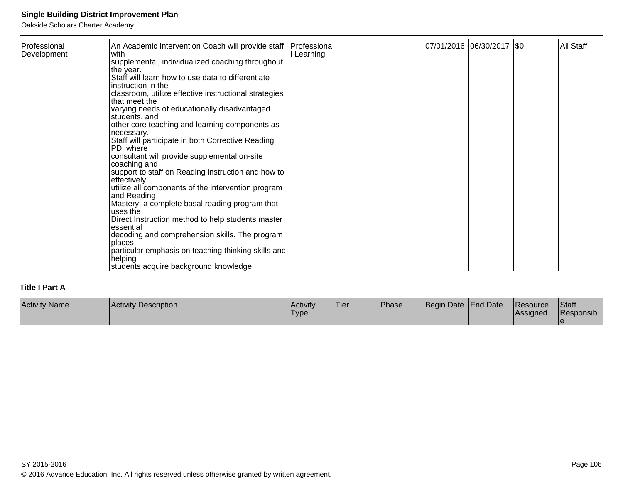Oakside Scholars Charter Academy

| Professional<br> Development | An Academic Intervention Coach will provide staff<br>with<br>supplemental, individualized coaching throughout<br>the year.<br>Staff will learn how to use data to differentiate<br>instruction in the<br>classroom, utilize effective instructional strategies<br>lthat meet the<br>varying needs of educationally disadvantaged<br>students, and<br>other core teaching and learning components as<br>necessary.<br>Staff will participate in both Corrective Reading<br>IPD, where<br>consultant will provide supplemental on-site<br> coaching and<br>support to staff on Reading instruction and how to<br>effectively<br>utilize all components of the intervention program<br>and Reading<br>Mastery, a complete basal reading program that<br>luses the<br>Direct Instruction method to help students master<br>essential<br>decoding and comprehension skills. The program<br>places<br>particular emphasis on teaching thinking skills and<br>helping | Professiona<br>I Learning |  | 07/01/2016 06/30/2017 \$0 |  | All Staff |
|------------------------------|----------------------------------------------------------------------------------------------------------------------------------------------------------------------------------------------------------------------------------------------------------------------------------------------------------------------------------------------------------------------------------------------------------------------------------------------------------------------------------------------------------------------------------------------------------------------------------------------------------------------------------------------------------------------------------------------------------------------------------------------------------------------------------------------------------------------------------------------------------------------------------------------------------------------------------------------------------------|---------------------------|--|---------------------------|--|-----------|
|                              | students acquire background knowledge.                                                                                                                                                                                                                                                                                                                                                                                                                                                                                                                                                                                                                                                                                                                                                                                                                                                                                                                         |                           |  |                           |  |           |

### **Title I Part A**

| <b>Activity Name</b> | Activity Description | <b>Activity</b><br>'Type | 'Tier | <b>Phase</b> | <i><b>Beain</b></i> | Date End Date | <b>IResource</b><br><b>Assigned</b> | Staff<br>Responsibl |
|----------------------|----------------------|--------------------------|-------|--------------|---------------------|---------------|-------------------------------------|---------------------|
|                      |                      |                          |       |              |                     |               |                                     |                     |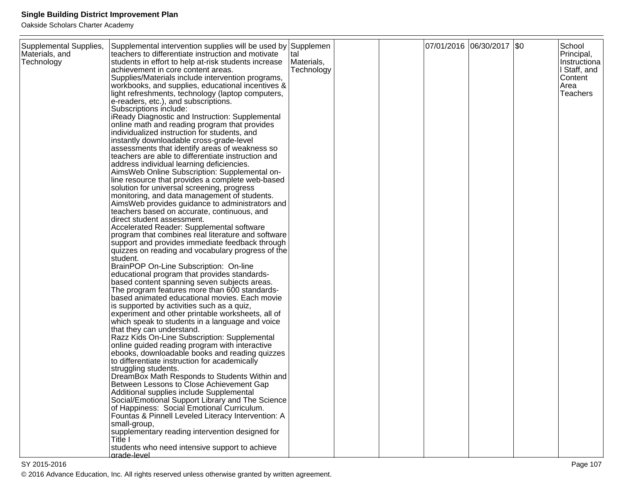| Supplemental Supplies,<br>Materials, and<br>Technology | Supplemental intervention supplies will be used by Supplemen<br>teachers to differentiate instruction and motivate<br>students in effort to help at-risk students increase<br>achievement in core content areas.<br>Supplies/Materials include intervention programs,<br>workbooks, and supplies, educational incentives &<br>light refreshments, technology (laptop computers,<br>e-readers, etc.), and subscriptions.<br>Subscriptions include:<br>iReady Diagnostic and Instruction: Supplemental<br>online math and reading program that provides<br>individualized instruction for students, and<br>instantly downloadable cross-grade-level<br>assessments that identify areas of weakness so<br>teachers are able to differentiate instruction and<br>address individual learning deficiencies.<br>AimsWeb Online Subscription: Supplemental on-<br>line resource that provides a complete web-based<br>solution for universal screening, progress<br>monitoring, and data management of students.<br>AimsWeb provides guidance to administrators and<br>teachers based on accurate, continuous, and<br>direct student assessment.<br>Accelerated Reader: Supplemental software<br>program that combines real literature and software<br>support and provides immediate feedback through<br>quizzes on reading and vocabulary progress of the<br>student.<br>BrainPOP On-Line Subscription: On-line<br>educational program that provides standards-<br>based content spanning seven subjects areas.<br>The program features more than 600 standards-<br>based animated educational movies. Each movie<br>is supported by activities such as a quiz,<br>experiment and other printable worksheets, all of<br>which speak to students in a language and voice<br>that they can understand.<br>Razz Kids On-Line Subscription: Supplemental<br>online guided reading program with interactive<br>ebooks, downloadable books and reading quizzes<br>to differentiate instruction for academically<br>struggling students.<br>DreamBox Math Responds to Students Within and<br>Between Lessons to Close Achievement Gap<br>Additional supplies include Supplemental<br>Social/Emotional Support Library and The Science<br>of Happiness: Social Emotional Curriculum.<br>Fountas & Pinnell Leveled Literacy Intervention: A<br>small-group,<br>supplementary reading intervention designed for<br>Title I | tal<br>Materials,<br>Technology |  | 07/01/2016 06/30/2017 \$0 | School<br>Principal,<br>Instructiona<br>I Staff, and<br>Content<br>Area<br><b>Teachers</b> |
|--------------------------------------------------------|-------------------------------------------------------------------------------------------------------------------------------------------------------------------------------------------------------------------------------------------------------------------------------------------------------------------------------------------------------------------------------------------------------------------------------------------------------------------------------------------------------------------------------------------------------------------------------------------------------------------------------------------------------------------------------------------------------------------------------------------------------------------------------------------------------------------------------------------------------------------------------------------------------------------------------------------------------------------------------------------------------------------------------------------------------------------------------------------------------------------------------------------------------------------------------------------------------------------------------------------------------------------------------------------------------------------------------------------------------------------------------------------------------------------------------------------------------------------------------------------------------------------------------------------------------------------------------------------------------------------------------------------------------------------------------------------------------------------------------------------------------------------------------------------------------------------------------------------------------------------------------------------------------------------------------------------------------------------------------------------------------------------------------------------------------------------------------------------------------------------------------------------------------------------------------------------------------------------------------------------------------------------------------------------------------------------------------------------------------------------------------------------------------------|---------------------------------|--|---------------------------|--------------------------------------------------------------------------------------------|
|                                                        | students who need intensive support to achieve<br>grade-level                                                                                                                                                                                                                                                                                                                                                                                                                                                                                                                                                                                                                                                                                                                                                                                                                                                                                                                                                                                                                                                                                                                                                                                                                                                                                                                                                                                                                                                                                                                                                                                                                                                                                                                                                                                                                                                                                                                                                                                                                                                                                                                                                                                                                                                                                                                                               |                                 |  |                           |                                                                                            |
|                                                        |                                                                                                                                                                                                                                                                                                                                                                                                                                                                                                                                                                                                                                                                                                                                                                                                                                                                                                                                                                                                                                                                                                                                                                                                                                                                                                                                                                                                                                                                                                                                                                                                                                                                                                                                                                                                                                                                                                                                                                                                                                                                                                                                                                                                                                                                                                                                                                                                             |                                 |  |                           |                                                                                            |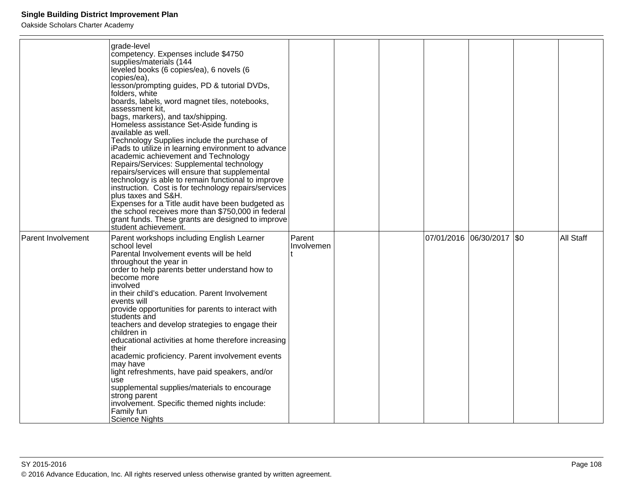|                    | grade-level<br>competency. Expenses include \$4750<br>supplies/materials (144<br>leveled books (6 copies/ea), 6 novels (6<br>copies/ea),<br>lesson/prompting guides, PD & tutorial DVDs,<br>folders, white<br>boards, labels, word magnet tiles, notebooks,<br>assessment kit,<br>bags, markers), and tax/shipping.<br>Homeless assistance Set-Aside funding is<br>available as well.<br>Technology Supplies include the purchase of<br>iPads to utilize in learning environment to advance<br>academic achievement and Technology<br>Repairs/Services: Supplemental technology<br>repairs/services will ensure that supplemental<br>technology is able to remain functional to improve<br>instruction. Cost is for technology repairs/services<br>plus taxes and S&H.<br>Expenses for a Title audit have been budgeted as<br>the school receives more than \$750,000 in federal<br>grant funds. These grants are designed to improve |                      |  |                             |           |
|--------------------|---------------------------------------------------------------------------------------------------------------------------------------------------------------------------------------------------------------------------------------------------------------------------------------------------------------------------------------------------------------------------------------------------------------------------------------------------------------------------------------------------------------------------------------------------------------------------------------------------------------------------------------------------------------------------------------------------------------------------------------------------------------------------------------------------------------------------------------------------------------------------------------------------------------------------------------|----------------------|--|-----------------------------|-----------|
| Parent Involvement | student achievement.<br>Parent workshops including English Learner<br>school level<br>Parental Involvement events will be held<br>throughout the year in<br>order to help parents better understand how to<br>become more<br>involved<br>in their child's education. Parent Involvement<br>events will<br>provide opportunities for parents to interact with<br>students and<br>teachers and develop strategies to engage their<br>children in<br>educational activities at home therefore increasing<br>their<br>academic proficiency. Parent involvement events<br>may have<br>light refreshments, have paid speakers, and/or<br>use<br>supplemental supplies/materials to encourage<br>strong parent<br>involvement. Specific themed nights include:<br>Family fun<br>Science Nights                                                                                                                                               | Parent<br>Involvemen |  | 07/01/2016 06/30/2017   \$0 | All Staff |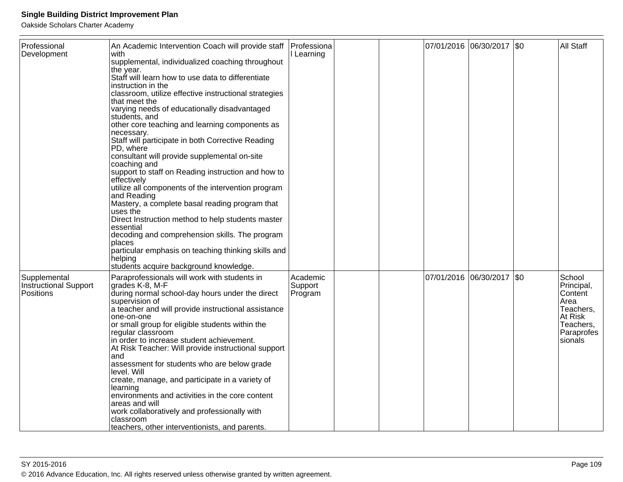| Professional<br>Development                               | An Academic Intervention Coach will provide staff<br>with<br>supplemental, individualized coaching throughout<br>the year.<br>Staff will learn how to use data to differentiate<br>instruction in the<br>classroom, utilize effective instructional strategies<br>that meet the<br>varying needs of educationally disadvantaged<br>students, and<br>other core teaching and learning components as<br>necessary.<br>Staff will participate in both Corrective Reading<br>PD, where<br>consultant will provide supplemental on-site<br>coaching and<br>support to staff on Reading instruction and how to<br>effectively<br>utilize all components of the intervention program<br>and Reading<br>Mastery, a complete basal reading program that<br>uses the<br>Direct Instruction method to help students master<br>essential<br>decoding and comprehension skills. The program<br>places<br>particular emphasis on teaching thinking skills and<br>helping<br>students acquire background knowledge. | Professiona<br>Learning        |  |                       | 07/01/2016  06/30/2017  \$0 |      | All Staff                                                                                             |
|-----------------------------------------------------------|------------------------------------------------------------------------------------------------------------------------------------------------------------------------------------------------------------------------------------------------------------------------------------------------------------------------------------------------------------------------------------------------------------------------------------------------------------------------------------------------------------------------------------------------------------------------------------------------------------------------------------------------------------------------------------------------------------------------------------------------------------------------------------------------------------------------------------------------------------------------------------------------------------------------------------------------------------------------------------------------------|--------------------------------|--|-----------------------|-----------------------------|------|-------------------------------------------------------------------------------------------------------|
| Supplemental<br><b>Instructional Support</b><br>Positions | Paraprofessionals will work with students in<br>grades K-8, M-F<br>during normal school-day hours under the direct<br>supervision of<br>a teacher and will provide instructional assistance<br>one-on-one<br>or small group for eligible students within the<br>regular classroom<br>in order to increase student achievement.<br>At Risk Teacher: Will provide instructional support<br>and<br>assessment for students who are below grade<br>level. Will<br>create, manage, and participate in a variety of<br>learning<br>environments and activities in the core content<br>areas and will<br>work collaboratively and professionally with<br>classroom<br>teachers, other interventionists, and parents.                                                                                                                                                                                                                                                                                        | Academic<br>Support<br>Program |  | 07/01/2016 06/30/2017 |                             | 1\$0 | School<br>Principal,<br>Content<br>Area<br>Teachers,<br>At Risk<br>Teachers,<br>Paraprofes<br>sionals |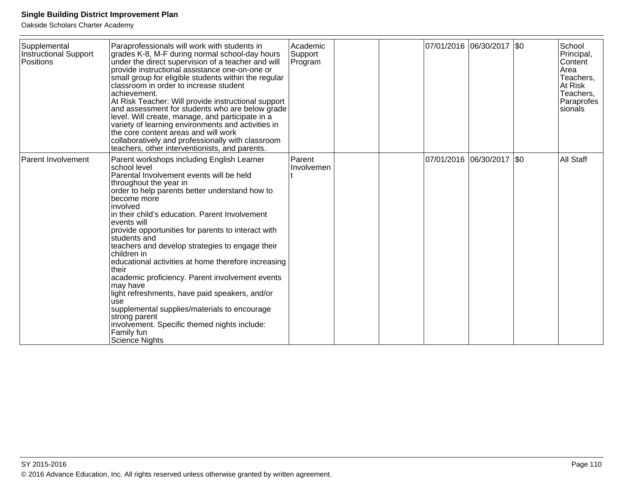| Supplemental<br>Instructional Support<br>Positions | Paraprofessionals will work with students in<br>grades K-8, M-F during normal school-day hours<br>under the direct supervision of a teacher and will<br>provide instructional assistance one-on-one or<br>small group for eligible students within the regular<br>classroom in order to increase student<br>achievement.<br>At Risk Teacher: Will provide instructional support<br>and assessment for students who are below grade<br>level. Will create, manage, and participate in a<br>variety of learning environments and activities in                                                                                                                                                                                                                    | Academic<br>Support<br>Program |  |            | 07/01/2016 06/30/2017 \$0 | School<br>Principal,<br><b>Content</b><br>Area<br>Teachers,<br>At Risk<br>Teachers,<br>Paraprofes<br>sionals |
|----------------------------------------------------|-----------------------------------------------------------------------------------------------------------------------------------------------------------------------------------------------------------------------------------------------------------------------------------------------------------------------------------------------------------------------------------------------------------------------------------------------------------------------------------------------------------------------------------------------------------------------------------------------------------------------------------------------------------------------------------------------------------------------------------------------------------------|--------------------------------|--|------------|---------------------------|--------------------------------------------------------------------------------------------------------------|
|                                                    | the core content areas and will work<br>collaboratively and professionally with classroom<br>teachers, other interventionists, and parents.                                                                                                                                                                                                                                                                                                                                                                                                                                                                                                                                                                                                                     |                                |  |            |                           |                                                                                                              |
| Parent Involvement                                 | Parent workshops including English Learner<br>school level<br>Parental Involvement events will be held<br>throughout the year in<br>order to help parents better understand how to<br>become more<br>involved<br>in their child's education. Parent Involvement<br>events will<br>provide opportunities for parents to interact with<br>students and<br>teachers and develop strategies to engage their<br>children in<br>educational activities at home therefore increasing<br>their<br>academic proficiency. Parent involvement events<br>may have<br>light refreshments, have paid speakers, and/or<br>use<br>supplemental supplies/materials to encourage<br>strong parent<br>involvement. Specific themed nights include:<br>Family fun<br>Science Nights | Parent<br>Involvemen           |  | 07/01/2016 | $ 06/30/2017 $ \$0        | All Staff                                                                                                    |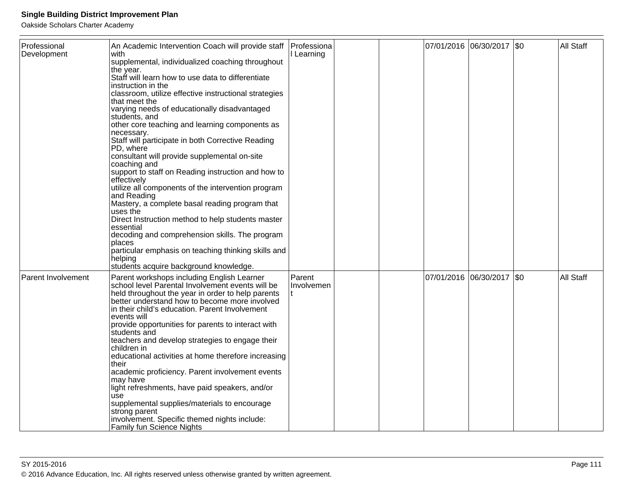| Professional       | An Academic Intervention Coach will provide staff                                              | Professiona          |  |                       | 07/01/2016  06/30/2017  \$0 |     | All Staff |
|--------------------|------------------------------------------------------------------------------------------------|----------------------|--|-----------------------|-----------------------------|-----|-----------|
| Development        | with                                                                                           | Learning             |  |                       |                             |     |           |
|                    | supplemental, individualized coaching throughout                                               |                      |  |                       |                             |     |           |
|                    | the year.<br>Staff will learn how to use data to differentiate                                 |                      |  |                       |                             |     |           |
|                    | instruction in the                                                                             |                      |  |                       |                             |     |           |
|                    | classroom, utilize effective instructional strategies                                          |                      |  |                       |                             |     |           |
|                    | that meet the                                                                                  |                      |  |                       |                             |     |           |
|                    | varying needs of educationally disadvantaged<br>students, and                                  |                      |  |                       |                             |     |           |
|                    | other core teaching and learning components as                                                 |                      |  |                       |                             |     |           |
|                    | necessary.<br>Staff will participate in both Corrective Reading                                |                      |  |                       |                             |     |           |
|                    | PD, where                                                                                      |                      |  |                       |                             |     |           |
|                    | consultant will provide supplemental on-site                                                   |                      |  |                       |                             |     |           |
|                    | coaching and                                                                                   |                      |  |                       |                             |     |           |
|                    | support to staff on Reading instruction and how to                                             |                      |  |                       |                             |     |           |
|                    | effectively<br>utilize all components of the intervention program                              |                      |  |                       |                             |     |           |
|                    | and Reading                                                                                    |                      |  |                       |                             |     |           |
|                    | Mastery, a complete basal reading program that                                                 |                      |  |                       |                             |     |           |
|                    | uses the                                                                                       |                      |  |                       |                             |     |           |
|                    | Direct Instruction method to help students master<br>essential                                 |                      |  |                       |                             |     |           |
|                    | decoding and comprehension skills. The program                                                 |                      |  |                       |                             |     |           |
|                    | places                                                                                         |                      |  |                       |                             |     |           |
|                    | particular emphasis on teaching thinking skills and                                            |                      |  |                       |                             |     |           |
|                    | helping<br>students acquire background knowledge.                                              |                      |  |                       |                             |     |           |
|                    |                                                                                                |                      |  |                       |                             |     |           |
| Parent Involvement | Parent workshops including English Learner<br>school level Parental Involvement events will be | Parent<br>Involvemen |  | 07/01/2016 06/30/2017 |                             | \$0 | All Staff |
|                    | held throughout the year in order to help parents                                              |                      |  |                       |                             |     |           |
|                    | better understand how to become more involved                                                  |                      |  |                       |                             |     |           |
|                    | in their child's education. Parent Involvement                                                 |                      |  |                       |                             |     |           |
|                    | events will                                                                                    |                      |  |                       |                             |     |           |
|                    | provide opportunities for parents to interact with<br>students and                             |                      |  |                       |                             |     |           |
|                    | teachers and develop strategies to engage their                                                |                      |  |                       |                             |     |           |
|                    | children in                                                                                    |                      |  |                       |                             |     |           |
|                    | educational activities at home therefore increasing                                            |                      |  |                       |                             |     |           |
|                    | their<br>academic proficiency. Parent involvement events                                       |                      |  |                       |                             |     |           |
|                    | may have                                                                                       |                      |  |                       |                             |     |           |
|                    | light refreshments, have paid speakers, and/or                                                 |                      |  |                       |                             |     |           |
|                    | use                                                                                            |                      |  |                       |                             |     |           |
|                    | supplemental supplies/materials to encourage<br>strong parent                                  |                      |  |                       |                             |     |           |
|                    | involvement. Specific themed nights include:                                                   |                      |  |                       |                             |     |           |
|                    | <b>Family fun Science Nights</b>                                                               |                      |  |                       |                             |     |           |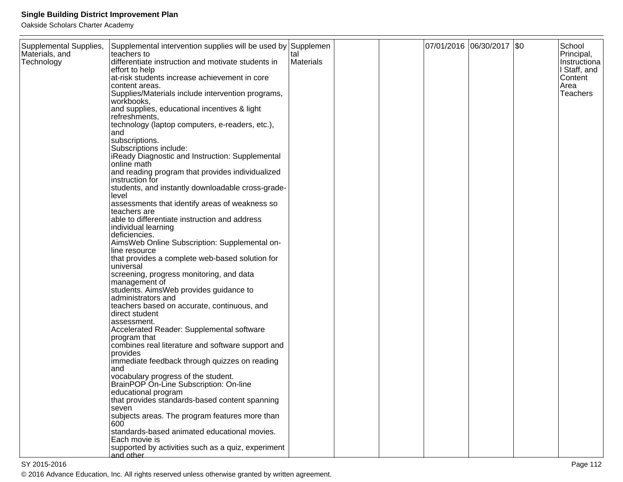Oakside Scholars Charter Academy

| Supplemental Supplies, | Supplemental intervention supplies will be used by Supplemen |           |  | 07/01/2016 06/30/2017 \$0 | School       |
|------------------------|--------------------------------------------------------------|-----------|--|---------------------------|--------------|
| Materials, and         | teachers to                                                  | tal       |  |                           | Principal,   |
| Technology             | differentiate instruction and motivate students in           | Materials |  |                           | Instructiona |
|                        | effort to help                                               |           |  |                           | I Staff, and |
|                        | at-risk students increase achievement in core                |           |  |                           | Content      |
|                        | content areas.                                               |           |  |                           | Area         |
|                        | Supplies/Materials include intervention programs,            |           |  |                           | Teachers     |
|                        | workbooks,                                                   |           |  |                           |              |
|                        | and supplies, educational incentives & light                 |           |  |                           |              |
|                        | refreshments,                                                |           |  |                           |              |
|                        | technology (laptop computers, e-readers, etc.),              |           |  |                           |              |
|                        | and                                                          |           |  |                           |              |
|                        | subscriptions.                                               |           |  |                           |              |
|                        | Subscriptions include:                                       |           |  |                           |              |
|                        | iReady Diagnostic and Instruction: Supplemental              |           |  |                           |              |
|                        | online math                                                  |           |  |                           |              |
|                        | and reading program that provides individualized             |           |  |                           |              |
|                        | instruction for                                              |           |  |                           |              |
|                        | students, and instantly downloadable cross-grade-            |           |  |                           |              |
|                        | level                                                        |           |  |                           |              |
|                        | assessments that identify areas of weakness so               |           |  |                           |              |
|                        | teachers are                                                 |           |  |                           |              |
|                        | able to differentiate instruction and address                |           |  |                           |              |
|                        | individual learning                                          |           |  |                           |              |
|                        | deficiencies.                                                |           |  |                           |              |
|                        | AimsWeb Online Subscription: Supplemental on-                |           |  |                           |              |
|                        | line resource                                                |           |  |                           |              |
|                        | that provides a complete web-based solution for              |           |  |                           |              |
|                        | universal                                                    |           |  |                           |              |
|                        | screening, progress monitoring, and data                     |           |  |                           |              |
|                        | management of                                                |           |  |                           |              |
|                        | students. AimsWeb provides guidance to                       |           |  |                           |              |
|                        | administrators and                                           |           |  |                           |              |
|                        | teachers based on accurate, continuous, and                  |           |  |                           |              |
|                        | direct student                                               |           |  |                           |              |
|                        | assessment.                                                  |           |  |                           |              |
|                        | Accelerated Reader: Supplemental software                    |           |  |                           |              |
|                        | program that                                                 |           |  |                           |              |
|                        | combines real literature and software support and            |           |  |                           |              |
|                        | provides                                                     |           |  |                           |              |
|                        | immediate feedback through quizzes on reading                |           |  |                           |              |
|                        | and                                                          |           |  |                           |              |
|                        | vocabulary progress of the student.                          |           |  |                           |              |
|                        | BrainPOP On-Line Subscription: On-line                       |           |  |                           |              |
|                        | educational program                                          |           |  |                           |              |
|                        | that provides standards-based content spanning               |           |  |                           |              |
|                        | seven                                                        |           |  |                           |              |
|                        | subjects areas. The program features more than               |           |  |                           |              |
|                        | 600                                                          |           |  |                           |              |
|                        | standards-based animated educational movies.                 |           |  |                           |              |
|                        | Each movie is                                                |           |  |                           |              |
|                        | supported by activities such as a quiz, experiment           |           |  |                           |              |
|                        | and other                                                    |           |  |                           |              |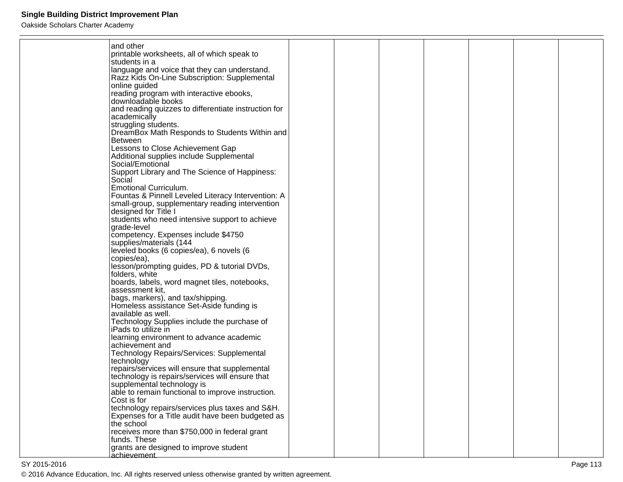Oakside Scholars Charter Academy

| and other                                                       |  |  |  |  |
|-----------------------------------------------------------------|--|--|--|--|
| printable worksheets, all of which speak to                     |  |  |  |  |
| Istudents in a                                                  |  |  |  |  |
| language and voice that they can understand.                    |  |  |  |  |
| Razz Kids On-Line Subscription: Supplemental                    |  |  |  |  |
| online guided                                                   |  |  |  |  |
| reading program with interactive ebooks,                        |  |  |  |  |
| downloadable books                                              |  |  |  |  |
| and reading quizzes to differentiate instruction for            |  |  |  |  |
| academically                                                    |  |  |  |  |
| struggling students.                                            |  |  |  |  |
| DreamBox Math Responds to Students Within and                   |  |  |  |  |
| <b>Between</b>                                                  |  |  |  |  |
| Lessons to Close Achievement Gap                                |  |  |  |  |
| Additional supplies include Supplemental                        |  |  |  |  |
| Social/Emotional                                                |  |  |  |  |
| Support Library and The Science of Happiness:                   |  |  |  |  |
| Social                                                          |  |  |  |  |
| <b>Emotional Curriculum.</b>                                    |  |  |  |  |
| Fountas & Pinnell Leveled Literacy Intervention: A              |  |  |  |  |
| small-group, supplementary reading intervention                 |  |  |  |  |
| designed for Title I                                            |  |  |  |  |
| students who need intensive support to achieve                  |  |  |  |  |
| grade-level                                                     |  |  |  |  |
| competency. Expenses include \$4750                             |  |  |  |  |
| supplies/materials (144                                         |  |  |  |  |
| leveled books (6 copies/ea), 6 novels (6                        |  |  |  |  |
| copies/ea),                                                     |  |  |  |  |
| lesson/prompting guides, PD & tutorial DVDs,                    |  |  |  |  |
| folders, white<br>boards, labels, word magnet tiles, notebooks, |  |  |  |  |
| assessment kit,                                                 |  |  |  |  |
| bags, markers), and tax/shipping.                               |  |  |  |  |
| Homeless assistance Set-Aside funding is                        |  |  |  |  |
| available as well.                                              |  |  |  |  |
| Technology Supplies include the purchase of                     |  |  |  |  |
| iPads to utilize in                                             |  |  |  |  |
| learning environment to advance academic                        |  |  |  |  |
| achievement and                                                 |  |  |  |  |
| Technology Repairs/Services: Supplemental                       |  |  |  |  |
| technology                                                      |  |  |  |  |
| repairs/services will ensure that supplemental                  |  |  |  |  |
| technology is repairs/services will ensure that                 |  |  |  |  |
| supplemental technology is                                      |  |  |  |  |
| able to remain functional to improve instruction.               |  |  |  |  |
| Cost is for                                                     |  |  |  |  |
| technology repairs/services plus taxes and S&H.                 |  |  |  |  |
| Expenses for a Title audit have been budgeted as                |  |  |  |  |
| the school                                                      |  |  |  |  |
| receives more than \$750,000 in federal grant                   |  |  |  |  |
| funds. These                                                    |  |  |  |  |
| grants are designed to improve student                          |  |  |  |  |
| achievement.                                                    |  |  |  |  |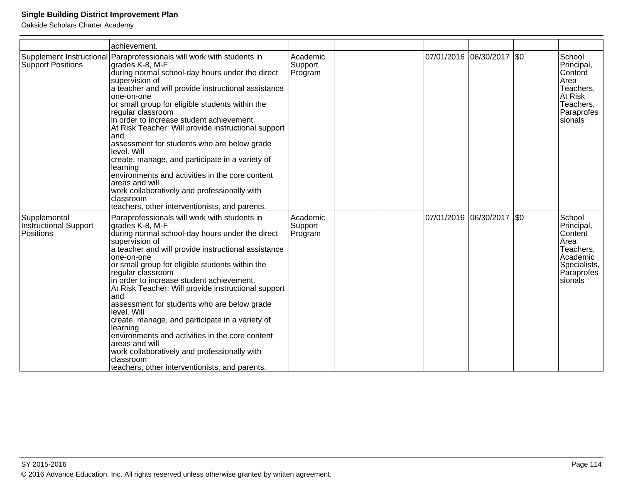|                                                    | achievement.                                                                                                                                                                                                                                                                                                                                                                                                                                                                                                                                                                                                                                                                                                  |                                |  |            |                             |     |                                                                                                           |
|----------------------------------------------------|---------------------------------------------------------------------------------------------------------------------------------------------------------------------------------------------------------------------------------------------------------------------------------------------------------------------------------------------------------------------------------------------------------------------------------------------------------------------------------------------------------------------------------------------------------------------------------------------------------------------------------------------------------------------------------------------------------------|--------------------------------|--|------------|-----------------------------|-----|-----------------------------------------------------------------------------------------------------------|
| Supplement Instructional<br>Support Positions      | Paraprofessionals will work with students in<br>grades K-8, M-F<br>during normal school-day hours under the direct<br>supervision of<br>a teacher and will provide instructional assistance<br>one-on-one<br>or small group for eligible students within the<br>regular classroom<br>in order to increase student achievement.<br>At Risk Teacher: Will provide instructional support<br>and<br>assessment for students who are below grade<br>level. Will<br>create, manage, and participate in a variety of<br>learning<br>environments and activities in the core content<br>areas and will<br>work collaboratively and professionally with<br>classroom<br>teachers, other interventionists, and parents. | Academic<br>Support<br>Program |  |            | 07/01/2016 06/30/2017   \$0 |     | School<br>Principal,<br>Content<br>Area<br>Teachers,<br>At Risk<br>Teachers,<br>Paraprofes<br>sionals     |
| Supplemental<br>Instructional Support<br>Positions | Paraprofessionals will work with students in<br>grades K-8, M-F<br>during normal school-day hours under the direct<br>supervision of<br>a teacher and will provide instructional assistance<br>one-on-one<br>or small group for eligible students within the<br>regular classroom<br>in order to increase student achievement.<br>At Risk Teacher: Will provide instructional support<br>and<br>assessment for students who are below grade<br>level. Will<br>create, manage, and participate in a variety of<br>learning<br>environments and activities in the core content<br>areas and will<br>work collaboratively and professionally with<br>classroom<br>teachers, other interventionists, and parents. | Academic<br>Support<br>Program |  | 07/01/2016 | 06/30/2017                  | \$0 | School<br>Principal,<br>Content<br>Area<br>Teachers,<br>Academic<br>Specialists,<br>Paraprofes<br>sionals |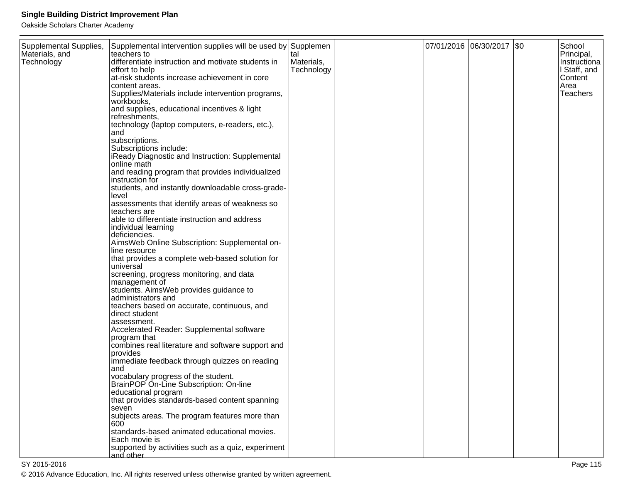| Supplemental Supplies,<br>Materials, and<br>Technology | Supplemental intervention supplies will be used by Supplemen<br>lteachers to<br>differentiate instruction and motivate students in<br>effort to help<br>at-risk students increase achievement in core<br>content areas.<br>Supplies/Materials include intervention programs,<br>workbooks,<br>and supplies, educational incentives & light<br>refreshments,<br>technology (laptop computers, e-readers, etc.),<br>and<br>subscriptions.<br>Subscriptions include:<br>iReady Diagnostic and Instruction: Supplemental<br>online math<br>and reading program that provides individualized<br>instruction for<br>students, and instantly downloadable cross-grade-<br>level<br>assessments that identify areas of weakness so<br>teachers are<br>able to differentiate instruction and address<br>individual learning<br>deficiencies.<br>AimsWeb Online Subscription: Supplemental on-<br>line resource<br>that provides a complete web-based solution for<br>universal<br>screening, progress monitoring, and data<br>management of<br>students. AimsWeb provides guidance to<br>administrators and<br>teachers based on accurate, continuous, and<br>direct student<br>assessment.<br>Accelerated Reader: Supplemental software<br>program that<br>combines real literature and software support and<br>provides<br>immediate feedback through quizzes on reading<br>land<br>vocabulary progress of the student.<br>BrainPOP On-Line Subscription: On-line<br>educational program<br>that provides standards-based content spanning<br>seven<br>subjects areas. The program features more than | tal<br>Materials,<br>Technology |  | 07/01/2016 06/30/2017   \$0 | School<br>Principal,<br>Instructiona<br>I Staff, and<br>Content<br>Area<br>Teachers |
|--------------------------------------------------------|------------------------------------------------------------------------------------------------------------------------------------------------------------------------------------------------------------------------------------------------------------------------------------------------------------------------------------------------------------------------------------------------------------------------------------------------------------------------------------------------------------------------------------------------------------------------------------------------------------------------------------------------------------------------------------------------------------------------------------------------------------------------------------------------------------------------------------------------------------------------------------------------------------------------------------------------------------------------------------------------------------------------------------------------------------------------------------------------------------------------------------------------------------------------------------------------------------------------------------------------------------------------------------------------------------------------------------------------------------------------------------------------------------------------------------------------------------------------------------------------------------------------------------------------------------------------------------------------|---------------------------------|--|-----------------------------|-------------------------------------------------------------------------------------|
|                                                        |                                                                                                                                                                                                                                                                                                                                                                                                                                                                                                                                                                                                                                                                                                                                                                                                                                                                                                                                                                                                                                                                                                                                                                                                                                                                                                                                                                                                                                                                                                                                                                                                |                                 |  |                             |                                                                                     |
|                                                        | 600                                                                                                                                                                                                                                                                                                                                                                                                                                                                                                                                                                                                                                                                                                                                                                                                                                                                                                                                                                                                                                                                                                                                                                                                                                                                                                                                                                                                                                                                                                                                                                                            |                                 |  |                             |                                                                                     |
|                                                        | standards-based animated educational movies.<br>Each movie is<br>supported by activities such as a quiz, experiment<br>and other                                                                                                                                                                                                                                                                                                                                                                                                                                                                                                                                                                                                                                                                                                                                                                                                                                                                                                                                                                                                                                                                                                                                                                                                                                                                                                                                                                                                                                                               |                                 |  |                             |                                                                                     |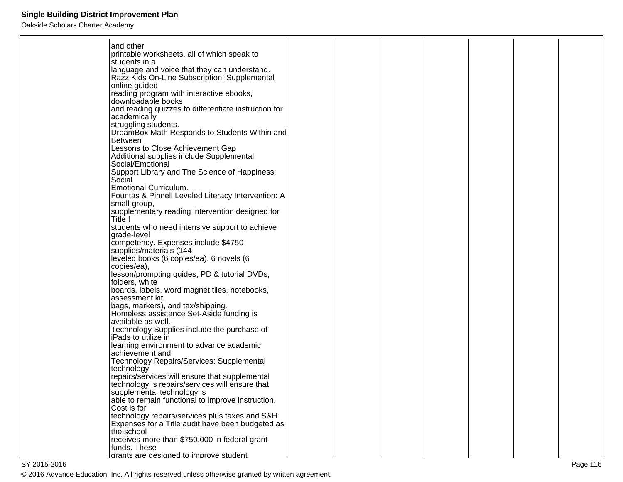| and other                                                                                           |  |  |  |  |
|-----------------------------------------------------------------------------------------------------|--|--|--|--|
| printable worksheets, all of which speak to                                                         |  |  |  |  |
| students in a                                                                                       |  |  |  |  |
| language and voice that they can understand.                                                        |  |  |  |  |
| Razz Kids On-Line Subscription: Supplemental                                                        |  |  |  |  |
| online guided<br>reading program with interactive ebooks,                                           |  |  |  |  |
| downloadable books                                                                                  |  |  |  |  |
| and reading quizzes to differentiate instruction for                                                |  |  |  |  |
| academically                                                                                        |  |  |  |  |
| struggling students.                                                                                |  |  |  |  |
| DreamBox Math Responds to Students Within and                                                       |  |  |  |  |
| <b>Between</b>                                                                                      |  |  |  |  |
| Lessons to Close Achievement Gap                                                                    |  |  |  |  |
| Additional supplies include Supplemental                                                            |  |  |  |  |
| Social/Emotional                                                                                    |  |  |  |  |
| Support Library and The Science of Happiness:<br>Social                                             |  |  |  |  |
| <b>Emotional Curriculum.</b>                                                                        |  |  |  |  |
| Fountas & Pinnell Leveled Literacy Intervention: A                                                  |  |  |  |  |
| small-group,                                                                                        |  |  |  |  |
| supplementary reading intervention designed for                                                     |  |  |  |  |
| Title I                                                                                             |  |  |  |  |
| students who need intensive support to achieve                                                      |  |  |  |  |
| grade-level                                                                                         |  |  |  |  |
| competency. Expenses include \$4750                                                                 |  |  |  |  |
| supplies/materials (144                                                                             |  |  |  |  |
| leveled books (6 copies/ea), 6 novels (6<br>copies/ea),                                             |  |  |  |  |
| lesson/prompting guides, PD & tutorial DVDs,                                                        |  |  |  |  |
| folders, white                                                                                      |  |  |  |  |
| boards, labels, word magnet tiles, notebooks,                                                       |  |  |  |  |
| assessment kit,                                                                                     |  |  |  |  |
| bags, markers), and tax/shipping.                                                                   |  |  |  |  |
| Homeless assistance Set-Aside funding is                                                            |  |  |  |  |
| available as well.                                                                                  |  |  |  |  |
| Technology Supplies include the purchase of<br>iPads to utilize in                                  |  |  |  |  |
| learning environment to advance academic                                                            |  |  |  |  |
| achievement and                                                                                     |  |  |  |  |
| Technology Repairs/Services: Supplemental                                                           |  |  |  |  |
| technology                                                                                          |  |  |  |  |
| repairs/services will ensure that supplemental                                                      |  |  |  |  |
| technology is repairs/services will ensure that                                                     |  |  |  |  |
| supplemental technology is                                                                          |  |  |  |  |
| able to remain functional to improve instruction.                                                   |  |  |  |  |
| Cost is for                                                                                         |  |  |  |  |
| technology repairs/services plus taxes and S&H.<br>Expenses for a Title audit have been budgeted as |  |  |  |  |
| the school                                                                                          |  |  |  |  |
| receives more than \$750,000 in federal grant                                                       |  |  |  |  |
| funds. These                                                                                        |  |  |  |  |
| grants are designed to improve student.                                                             |  |  |  |  |
|                                                                                                     |  |  |  |  |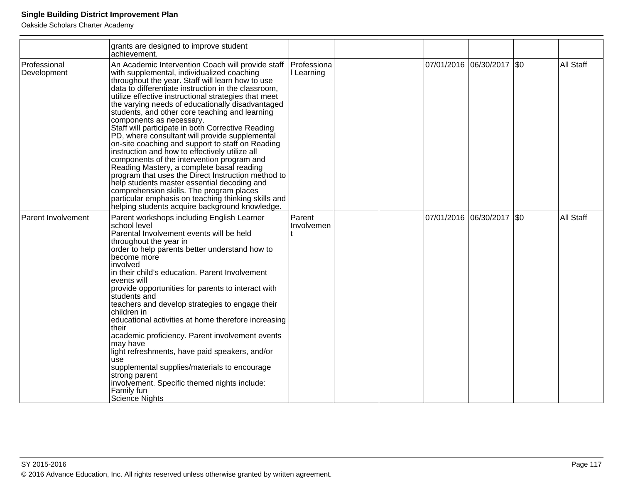|                             | grants are designed to improve student<br>achievement.                                                                                                                                                                                                                                                                                                                                                                                                                                                                                                                                                                                                                                                                                                                                                                                                                                                                                                                 |                           |  |                           |                  |
|-----------------------------|------------------------------------------------------------------------------------------------------------------------------------------------------------------------------------------------------------------------------------------------------------------------------------------------------------------------------------------------------------------------------------------------------------------------------------------------------------------------------------------------------------------------------------------------------------------------------------------------------------------------------------------------------------------------------------------------------------------------------------------------------------------------------------------------------------------------------------------------------------------------------------------------------------------------------------------------------------------------|---------------------------|--|---------------------------|------------------|
| Professional<br>Development | An Academic Intervention Coach will provide staff<br>with supplemental, individualized coaching<br>throughout the year. Staff will learn how to use<br>data to differentiate instruction in the classroom,<br>utilize effective instructional strategies that meet<br>the varying needs of educationally disadvantaged<br>students, and other core teaching and learning<br>components as necessary.<br>Staff will participate in both Corrective Reading<br>PD, where consultant will provide supplemental<br>on-site coaching and support to staff on Reading<br>instruction and how to effectively utilize all<br>components of the intervention program and<br>Reading Mastery, a complete basal reading<br>program that uses the Direct Instruction method to<br>help students master essential decoding and<br>comprehension skills. The program places<br>particular emphasis on teaching thinking skills and<br>helping students acquire background knowledge. | Professiona<br>I Learning |  | 07/01/2016 06/30/2017 \$0 | <b>All Staff</b> |
| <b>Parent Involvement</b>   | Parent workshops including English Learner<br>school level<br>Parental Involvement events will be held<br>throughout the year in<br>order to help parents better understand how to<br>become more<br>Involved<br>in their child's education. Parent Involvement<br>events will<br>provide opportunities for parents to interact with<br>students and<br>teachers and develop strategies to engage their<br>children in<br>educational activities at home therefore increasing<br>their<br>academic proficiency. Parent involvement events<br>may have<br>light refreshments, have paid speakers, and/or<br>use<br>supplemental supplies/materials to encourage<br>strong parent<br>involvement. Specific themed nights include:<br>Family fun<br><b>Science Nights</b>                                                                                                                                                                                                 | Parent<br>Involvemen      |  | 07/01/2016 06/30/2017 \$0 | All Staff        |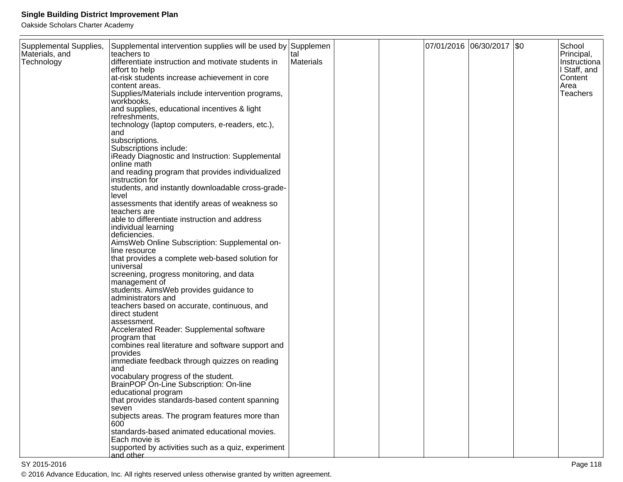Oakside Scholars Charter Academy

| Supplemental Supplies, | Supplemental intervention supplies will be used by Supplemen |           |  | 07/01/2016 06/30/2017 \$0 | School       |
|------------------------|--------------------------------------------------------------|-----------|--|---------------------------|--------------|
| Materials, and         | teachers to                                                  | tal       |  |                           | Principal,   |
| Technology             | differentiate instruction and motivate students in           | Materials |  |                           | Instructiona |
|                        | effort to help                                               |           |  |                           | I Staff, and |
|                        | at-risk students increase achievement in core                |           |  |                           | Content      |
|                        | content areas.                                               |           |  |                           | Area         |
|                        | Supplies/Materials include intervention programs,            |           |  |                           | Teachers     |
|                        | workbooks,                                                   |           |  |                           |              |
|                        | and supplies, educational incentives & light                 |           |  |                           |              |
|                        | refreshments,                                                |           |  |                           |              |
|                        | technology (laptop computers, e-readers, etc.),              |           |  |                           |              |
|                        | and                                                          |           |  |                           |              |
|                        | subscriptions.                                               |           |  |                           |              |
|                        | Subscriptions include:                                       |           |  |                           |              |
|                        | iReady Diagnostic and Instruction: Supplemental              |           |  |                           |              |
|                        | online math                                                  |           |  |                           |              |
|                        | and reading program that provides individualized             |           |  |                           |              |
|                        | instruction for                                              |           |  |                           |              |
|                        | students, and instantly downloadable cross-grade-            |           |  |                           |              |
|                        | level                                                        |           |  |                           |              |
|                        | assessments that identify areas of weakness so               |           |  |                           |              |
|                        | teachers are                                                 |           |  |                           |              |
|                        | able to differentiate instruction and address                |           |  |                           |              |
|                        | individual learning                                          |           |  |                           |              |
|                        | deficiencies.                                                |           |  |                           |              |
|                        | AimsWeb Online Subscription: Supplemental on-                |           |  |                           |              |
|                        | line resource                                                |           |  |                           |              |
|                        | that provides a complete web-based solution for              |           |  |                           |              |
|                        | universal                                                    |           |  |                           |              |
|                        | screening, progress monitoring, and data                     |           |  |                           |              |
|                        | management of                                                |           |  |                           |              |
|                        | students. AimsWeb provides guidance to                       |           |  |                           |              |
|                        | administrators and                                           |           |  |                           |              |
|                        | teachers based on accurate, continuous, and                  |           |  |                           |              |
|                        | direct student                                               |           |  |                           |              |
|                        | assessment.                                                  |           |  |                           |              |
|                        | Accelerated Reader: Supplemental software                    |           |  |                           |              |
|                        | program that                                                 |           |  |                           |              |
|                        | combines real literature and software support and            |           |  |                           |              |
|                        | provides                                                     |           |  |                           |              |
|                        | immediate feedback through quizzes on reading                |           |  |                           |              |
|                        | and                                                          |           |  |                           |              |
|                        | vocabulary progress of the student.                          |           |  |                           |              |
|                        | BrainPOP On-Line Subscription: On-line                       |           |  |                           |              |
|                        | educational program                                          |           |  |                           |              |
|                        | that provides standards-based content spanning               |           |  |                           |              |
|                        | seven                                                        |           |  |                           |              |
|                        | subjects areas. The program features more than               |           |  |                           |              |
|                        | 600                                                          |           |  |                           |              |
|                        | standards-based animated educational movies.                 |           |  |                           |              |
|                        | Each movie is                                                |           |  |                           |              |
|                        | supported by activities such as a quiz, experiment           |           |  |                           |              |
|                        | and other                                                    |           |  |                           |              |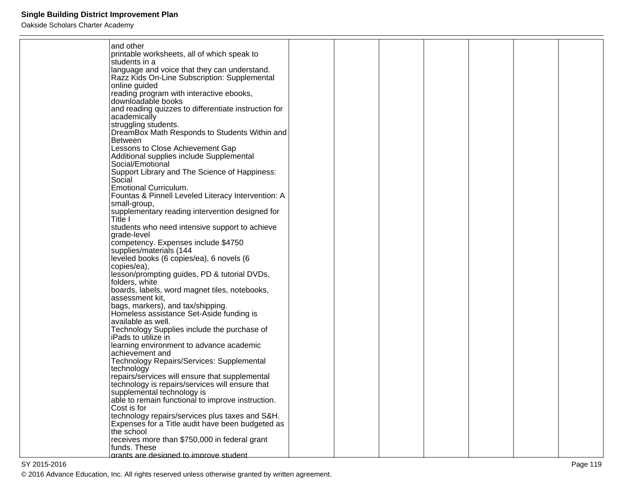Oakside Scholars Charter Academy

| and other                                                             |  |  |  |  |
|-----------------------------------------------------------------------|--|--|--|--|
| printable worksheets, all of which speak to                           |  |  |  |  |
| students in a                                                         |  |  |  |  |
| language and voice that they can understand.                          |  |  |  |  |
| Razz Kids On-Line Subscription: Supplemental                          |  |  |  |  |
| online guided                                                         |  |  |  |  |
| reading program with interactive ebooks,                              |  |  |  |  |
| downloadable books                                                    |  |  |  |  |
| and reading quizzes to differentiate instruction for                  |  |  |  |  |
| academically                                                          |  |  |  |  |
| struggling students.<br>DreamBox Math Responds to Students Within and |  |  |  |  |
| <b>Between</b>                                                        |  |  |  |  |
| Lessons to Close Achievement Gap                                      |  |  |  |  |
| Additional supplies include Supplemental                              |  |  |  |  |
| Social/Emotional                                                      |  |  |  |  |
| Support Library and The Science of Happiness:                         |  |  |  |  |
| Social                                                                |  |  |  |  |
| Emotional Curriculum.                                                 |  |  |  |  |
| Fountas & Pinnell Leveled Literacy Intervention: A                    |  |  |  |  |
| small-group,                                                          |  |  |  |  |
| supplementary reading intervention designed for                       |  |  |  |  |
| Title I                                                               |  |  |  |  |
| students who need intensive support to achieve<br>grade-level         |  |  |  |  |
| competency. Expenses include \$4750                                   |  |  |  |  |
| supplies/materials (144                                               |  |  |  |  |
| leveled books (6 copies/ea), 6 novels (6                              |  |  |  |  |
| copies/ea),                                                           |  |  |  |  |
| lesson/prompting guides, PD & tutorial DVDs,                          |  |  |  |  |
| folders, white                                                        |  |  |  |  |
| boards, labels, word magnet tiles, notebooks,                         |  |  |  |  |
| assessment kit,                                                       |  |  |  |  |
| bags, markers), and tax/shipping.                                     |  |  |  |  |
| Homeless assistance Set-Aside funding is                              |  |  |  |  |
| available as well.                                                    |  |  |  |  |
| Technology Supplies include the purchase of<br>iPads to utilize in    |  |  |  |  |
| learning environment to advance academic                              |  |  |  |  |
| achievement and                                                       |  |  |  |  |
| Technology Repairs/Services: Supplemental                             |  |  |  |  |
| technology                                                            |  |  |  |  |
| repairs/services will ensure that supplemental                        |  |  |  |  |
| technology is repairs/services will ensure that                       |  |  |  |  |
| supplemental technology is                                            |  |  |  |  |
| able to remain functional to improve instruction.                     |  |  |  |  |
| Cost is for                                                           |  |  |  |  |
| technology repairs/services plus taxes and S&H.                       |  |  |  |  |
| Expenses for a Title audit have been budgeted as                      |  |  |  |  |
| the school<br>receives more than \$750,000 in federal grant           |  |  |  |  |
| funds. These                                                          |  |  |  |  |
| arants are designed to improve student                                |  |  |  |  |
|                                                                       |  |  |  |  |